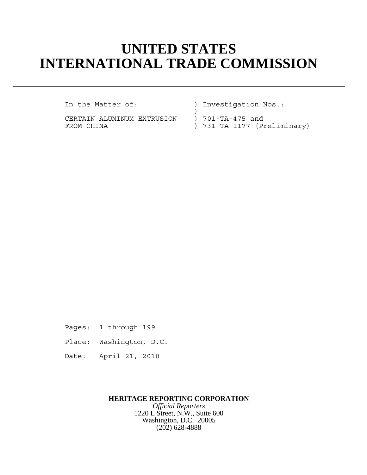# **UNITED STATES INTERNATIONAL TRADE COMMISSION**

CERTAIN ALUMINUM EXTRUSION ) 701-TA-475 and

In the Matter of: ) Investigation Nos.:

 $)$ FROM CHINA  $\qquad \qquad$  ) 731-TA-1177 (Preliminary)

Pages: 1 through 199 Place: Washington, D.C. Date: April 21, 2010

## **HERITAGE REPORTING CORPORATION**

*Official Reporters* 1220 L Street, N.W., Suite 600 Washington, D.C. 20005 (202) 628-4888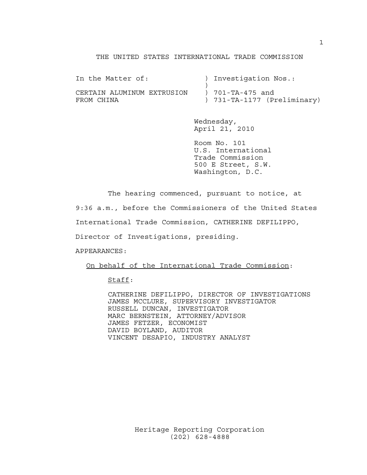#### THE UNITED STATES INTERNATIONAL TRADE COMMISSION

| In the Matter of:          | ) Investigation Nos.:       |
|----------------------------|-----------------------------|
|                            |                             |
| CERTAIN ALUMINUM EXTRUSION | ) 701-TA-475 and            |
| FROM CHINA                 | ) 731-TA-1177 (Preliminary) |

Wednesday, April 21, 2010

Room No. 101 U.S. International Trade Commission 500 E Street, S.W. Washington, D.C.

The hearing commenced, pursuant to notice, at

9:36 a.m., before the Commissioners of the United States

International Trade Commission, CATHERINE DEFILIPPO,

Director of Investigations, presiding.

APPEARANCES:

On behalf of the International Trade Commission:

#### Staff:

CATHERINE DEFILIPPO, DIRECTOR OF INVESTIGATIONS JAMES MCCLURE, SUPERVISORY INVESTIGATOR RUSSELL DUNCAN, INVESTIGATOR MARC BERNSTEIN, ATTORNEY/ADVISOR JAMES FETZER, ECONOMIST DAVID BOYLAND, AUDITOR VINCENT DESAPIO, INDUSTRY ANALYST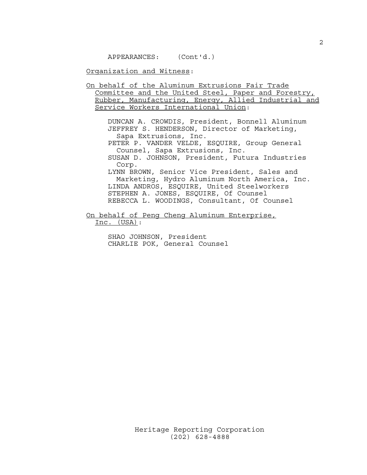APPEARANCES: (Cont'd.)

Organization and Witness:

On behalf of the Aluminum Extrusions Fair Trade Committee and the United Steel, Paper and Forestry, Rubber, Manufacturing, Energy, Allied Industrial and Service Workers International Union:

DUNCAN A. CROWDIS, President, Bonnell Aluminum JEFFREY S. HENDERSON, Director of Marketing, Sapa Extrusions, Inc.

PETER P. VANDER VELDE, ESQUIRE, Group General Counsel, Sapa Extrusions, Inc.

SUSAN D. JOHNSON, President, Futura Industries Corp.

LYNN BROWN, Senior Vice President, Sales and Marketing, Hydro Aluminum North America, Inc. LINDA ANDROS, ESQUIRE, United Steelworkers STEPHEN A. JONES, ESQUIRE, Of Counsel REBECCA L. WOODINGS, Consultant, Of Counsel

On behalf of Peng Cheng Aluminum Enterprise, Inc. (USA):

> SHAO JOHNSON, President CHARLIE POK, General Counsel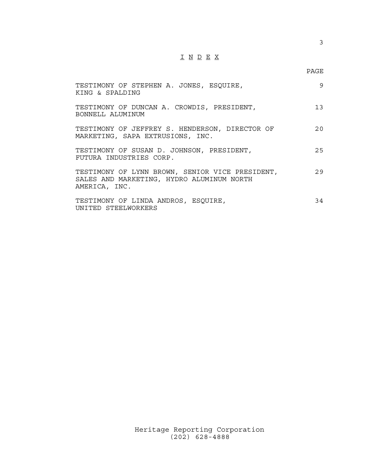# I N D E X

## PAGE

| TESTIMONY OF STEPHEN A. JONES, ESQUIRE,<br>KING & SPALDING                                                    | 9   |
|---------------------------------------------------------------------------------------------------------------|-----|
| TESTIMONY OF DUNCAN A. CROWDIS, PRESIDENT,<br>BONNELL ALUMINUM                                                | 13  |
| TESTIMONY OF JEFFREY S. HENDERSON, DIRECTOR OF<br>MARKETING, SAPA EXTRUSIONS, INC.                            | 20  |
| TESTIMONY OF SUSAN D. JOHNSON, PRESIDENT,<br>FUTURA INDUSTRIES CORP.                                          | 2.5 |
| TESTIMONY OF LYNN BROWN, SENIOR VICE PRESIDENT,<br>SALES AND MARKETING, HYDRO ALUMINUM NORTH<br>AMERICA, INC. | 2.9 |
| TESTIMONY OF LINDA ANDROS, ESQUIRE,<br>UNITED STEELWORKERS                                                    | 34  |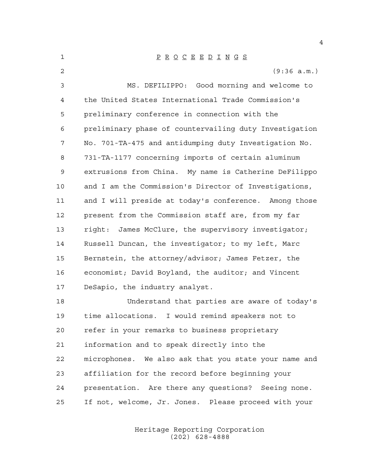| 1            | $\underline{P} \underline{R} \underline{O} \underline{C} \underline{E} \underline{E} \underline{D} \underline{I} \underline{N} \underline{G} \underline{S}$ |
|--------------|-------------------------------------------------------------------------------------------------------------------------------------------------------------|
| $\mathbf{2}$ | (9:36 a.m.)                                                                                                                                                 |
| 3            | MS. DEFILIPPO: Good morning and welcome to                                                                                                                  |
| 4            | the United States International Trade Commission's                                                                                                          |
| 5            | preliminary conference in connection with the                                                                                                               |
| 6            | preliminary phase of countervailing duty Investigation                                                                                                      |
| 7            | No. 701-TA-475 and antidumping duty Investigation No.                                                                                                       |
| 8            | 731-TA-1177 concerning imports of certain aluminum                                                                                                          |
| 9            | extrusions from China. My name is Catherine DeFilippo                                                                                                       |
| 10           | and I am the Commission's Director of Investigations,                                                                                                       |
| 11           | and I will preside at today's conference. Among those                                                                                                       |
| 12           | present from the Commission staff are, from my far                                                                                                          |
| 13           | right: James McClure, the supervisory investigator;                                                                                                         |
| 14           | Russell Duncan, the investigator; to my left, Marc                                                                                                          |
| 15           | Bernstein, the attorney/advisor; James Fetzer, the                                                                                                          |
| 16           | economist; David Boyland, the auditor; and Vincent                                                                                                          |
| 17           | DeSapio, the industry analyst.                                                                                                                              |
| 18           | Understand that parties are aware of today's                                                                                                                |
| 19           | time allocations. I would remind speakers not to                                                                                                            |
| 20           | refer in your remarks to business proprietary                                                                                                               |
| 21           | information and to speak directly into the                                                                                                                  |
| 22           | microphones. We also ask that you state your name and                                                                                                       |
| 23           | affiliation for the record before beginning your                                                                                                            |
| 24           | presentation. Are there any questions? Seeing none.                                                                                                         |
| 25           | If not, welcome, Jr. Jones. Please proceed with your                                                                                                        |

Heritage Reporting Corporation (202) 628-4888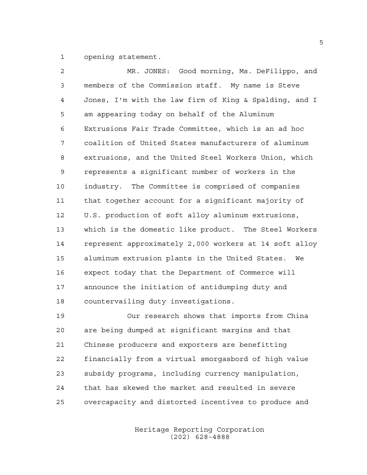opening statement.

| 2              | MR. JONES: Good morning, Ms. DeFilippo, and            |
|----------------|--------------------------------------------------------|
| $\mathfrak{Z}$ | members of the Commission staff. My name is Steve      |
| 4              | Jones, I'm with the law firm of King & Spalding, and I |
| 5              | am appearing today on behalf of the Aluminum           |
| 6              | Extrusions Fair Trade Committee, which is an ad hoc    |
| 7              | coalition of United States manufacturers of aluminum   |
| 8              | extrusions, and the United Steel Workers Union, which  |
| $\mathsf 9$    | represents a significant number of workers in the      |
| 10             | industry. The Committee is comprised of companies      |
| 11             | that together account for a significant majority of    |
| 12             | U.S. production of soft alloy aluminum extrusions,     |
| 13             | which is the domestic like product. The Steel Workers  |
| 14             | represent approximately 2,000 workers at 14 soft alloy |
| 15             | aluminum extrusion plants in the United States.<br>We  |
| 16             | expect today that the Department of Commerce will      |
| 17             | announce the initiation of antidumping duty and        |
| 18             | countervailing duty investigations.                    |

 Our research shows that imports from China are being dumped at significant margins and that Chinese producers and exporters are benefitting financially from a virtual smorgasbord of high value subsidy programs, including currency manipulation, that has skewed the market and resulted in severe overcapacity and distorted incentives to produce and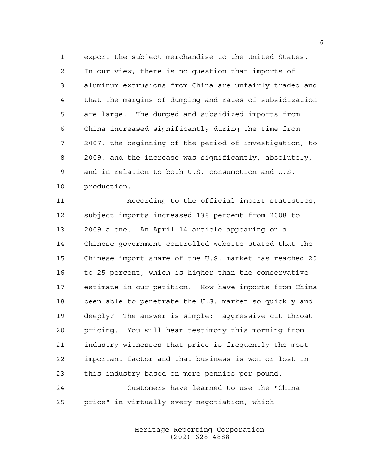export the subject merchandise to the United States. In our view, there is no question that imports of aluminum extrusions from China are unfairly traded and that the margins of dumping and rates of subsidization are large. The dumped and subsidized imports from China increased significantly during the time from 2007, the beginning of the period of investigation, to 2009, and the increase was significantly, absolutely, and in relation to both U.S. consumption and U.S. production.

 According to the official import statistics, subject imports increased 138 percent from 2008 to 2009 alone. An April 14 article appearing on a Chinese government-controlled website stated that the Chinese import share of the U.S. market has reached 20 to 25 percent, which is higher than the conservative estimate in our petition. How have imports from China been able to penetrate the U.S. market so quickly and deeply? The answer is simple: aggressive cut throat pricing. You will hear testimony this morning from industry witnesses that price is frequently the most important factor and that business is won or lost in this industry based on mere pennies per pound. Customers have learned to use the "China

price" in virtually every negotiation, which

Heritage Reporting Corporation (202) 628-4888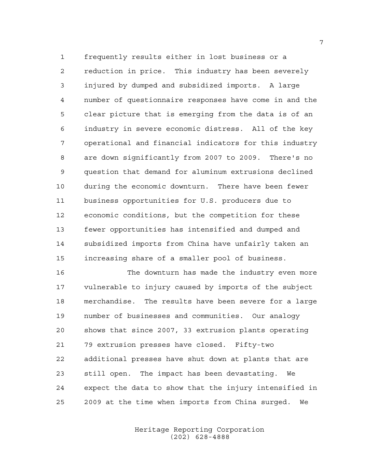frequently results either in lost business or a reduction in price. This industry has been severely injured by dumped and subsidized imports. A large number of questionnaire responses have come in and the clear picture that is emerging from the data is of an industry in severe economic distress. All of the key operational and financial indicators for this industry are down significantly from 2007 to 2009. There's no question that demand for aluminum extrusions declined during the economic downturn. There have been fewer business opportunities for U.S. producers due to economic conditions, but the competition for these fewer opportunities has intensified and dumped and subsidized imports from China have unfairly taken an increasing share of a smaller pool of business.

 The downturn has made the industry even more vulnerable to injury caused by imports of the subject merchandise. The results have been severe for a large number of businesses and communities. Our analogy shows that since 2007, 33 extrusion plants operating 79 extrusion presses have closed. Fifty-two additional presses have shut down at plants that are still open. The impact has been devastating. We expect the data to show that the injury intensified in 2009 at the time when imports from China surged. We

> Heritage Reporting Corporation (202) 628-4888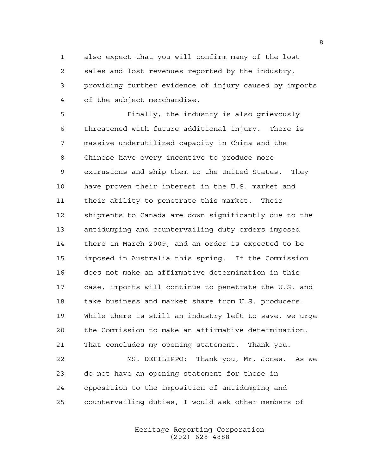also expect that you will confirm many of the lost sales and lost revenues reported by the industry, providing further evidence of injury caused by imports of the subject merchandise.

 Finally, the industry is also grievously threatened with future additional injury. There is massive underutilized capacity in China and the Chinese have every incentive to produce more extrusions and ship them to the United States. They have proven their interest in the U.S. market and their ability to penetrate this market. Their shipments to Canada are down significantly due to the antidumping and countervailing duty orders imposed there in March 2009, and an order is expected to be imposed in Australia this spring. If the Commission does not make an affirmative determination in this case, imports will continue to penetrate the U.S. and take business and market share from U.S. producers. While there is still an industry left to save, we urge the Commission to make an affirmative determination. That concludes my opening statement. Thank you.

 MS. DEFILIPPO: Thank you, Mr. Jones. As we do not have an opening statement for those in opposition to the imposition of antidumping and countervailing duties, I would ask other members of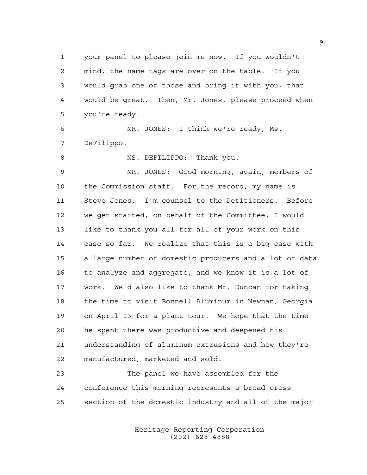your panel to please join me now. If you wouldn't mind, the name tags are over on the table. If you would grab one of those and bring it with you, that would be great. Then, Mr. Jones, please proceed when you're ready.

 MR. JONES: I think we're ready, Ms. DeFilippo.

8 MS. DEFILIPPO: Thank you.

 MR. JONES: Good morning, again, members of the Commission staff. For the record, my name is Steve Jones. I'm counsel to the Petitioners. Before we get started, on behalf of the Committee, I would like to thank you all for all of your work on this case so far. We realize that this is a big case with a large number of domestic producers and a lot of data to analyze and aggregate, and we know it is a lot of work. We'd also like to thank Mr. Duncan for taking the time to visit Bonnell Aluminum in Newnan, Georgia on April 13 for a plant tour. We hope that the time he spent there was productive and deepened his understanding of aluminum extrusions and how they're manufactured, marketed and sold.

 The panel we have assembled for the conference this morning represents a broad cross-section of the domestic industry and all of the major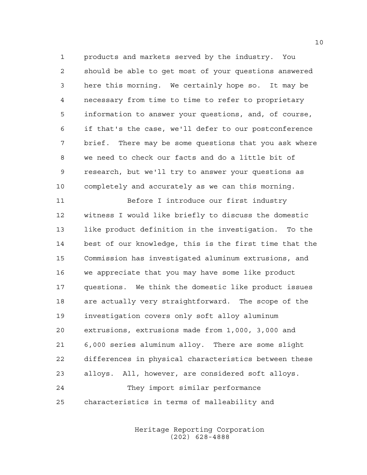products and markets served by the industry. You should be able to get most of your questions answered here this morning. We certainly hope so. It may be necessary from time to time to refer to proprietary information to answer your questions, and, of course, if that's the case, we'll defer to our postconference brief. There may be some questions that you ask where we need to check our facts and do a little bit of research, but we'll try to answer your questions as completely and accurately as we can this morning.

 Before I introduce our first industry witness I would like briefly to discuss the domestic like product definition in the investigation. To the best of our knowledge, this is the first time that the Commission has investigated aluminum extrusions, and we appreciate that you may have some like product questions. We think the domestic like product issues are actually very straightforward. The scope of the investigation covers only soft alloy aluminum extrusions, extrusions made from 1,000, 3,000 and 6,000 series aluminum alloy. There are some slight differences in physical characteristics between these alloys. All, however, are considered soft alloys. They import similar performance characteristics in terms of malleability and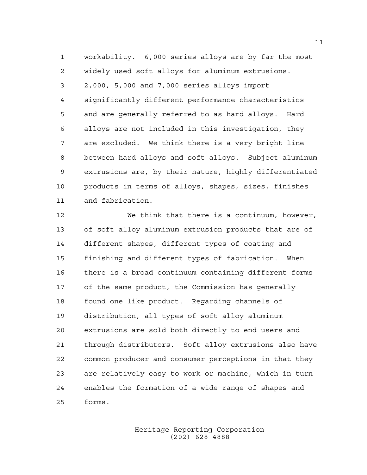workability. 6,000 series alloys are by far the most widely used soft alloys for aluminum extrusions. 2,000, 5,000 and 7,000 series alloys import significantly different performance characteristics and are generally referred to as hard alloys. Hard alloys are not included in this investigation, they are excluded. We think there is a very bright line between hard alloys and soft alloys. Subject aluminum extrusions are, by their nature, highly differentiated products in terms of alloys, shapes, sizes, finishes and fabrication.

 We think that there is a continuum, however, of soft alloy aluminum extrusion products that are of different shapes, different types of coating and finishing and different types of fabrication. When there is a broad continuum containing different forms of the same product, the Commission has generally found one like product. Regarding channels of distribution, all types of soft alloy aluminum extrusions are sold both directly to end users and through distributors. Soft alloy extrusions also have common producer and consumer perceptions in that they are relatively easy to work or machine, which in turn enables the formation of a wide range of shapes and forms.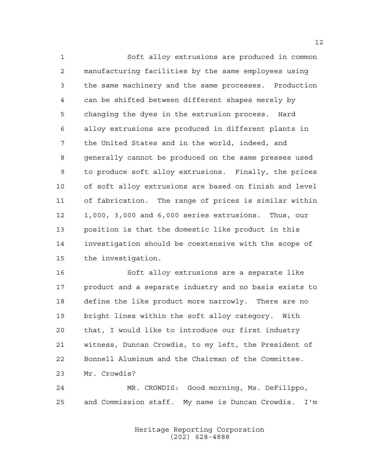Soft alloy extrusions are produced in common manufacturing facilities by the same employees using the same machinery and the same processes. Production can be shifted between different shapes merely by changing the dyes in the extrusion process. Hard alloy extrusions are produced in different plants in the United States and in the world, indeed, and generally cannot be produced on the same presses used to produce soft alloy extrusions. Finally, the prices of soft alloy extrusions are based on finish and level of fabrication. The range of prices is similar within 1,000, 3,000 and 6,000 series extrusions. Thus, our position is that the domestic like product in this investigation should be coextensive with the scope of the investigation.

 Soft alloy extrusions are a separate like product and a separate industry and no basis exists to define the like product more narrowly. There are no bright lines within the soft alloy category. With that, I would like to introduce our first industry witness, Duncan Crowdis, to my left, the President of Bonnell Aluminum and the Chairman of the Committee. Mr. Crowdis?

 MR. CROWDIS: Good morning, Ms. DeFilippo, and Commission staff. My name is Duncan Crowdis. I'm

> Heritage Reporting Corporation (202) 628-4888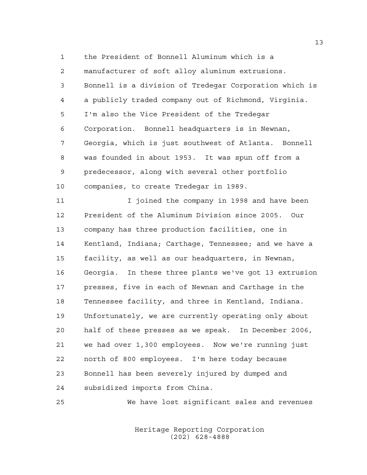the President of Bonnell Aluminum which is a manufacturer of soft alloy aluminum extrusions. Bonnell is a division of Tredegar Corporation which is a publicly traded company out of Richmond, Virginia. I'm also the Vice President of the Tredegar Corporation. Bonnell headquarters is in Newnan, Georgia, which is just southwest of Atlanta. Bonnell was founded in about 1953. It was spun off from a predecessor, along with several other portfolio companies, to create Tredegar in 1989.

**I** I joined the company in 1998 and have been President of the Aluminum Division since 2005. Our company has three production facilities, one in Kentland, Indiana; Carthage, Tennessee; and we have a facility, as well as our headquarters, in Newnan, Georgia. In these three plants we've got 13 extrusion presses, five in each of Newnan and Carthage in the Tennessee facility, and three in Kentland, Indiana. Unfortunately, we are currently operating only about half of these presses as we speak. In December 2006, we had over 1,300 employees. Now we're running just north of 800 employees. I'm here today because Bonnell has been severely injured by dumped and subsidized imports from China.

We have lost significant sales and revenues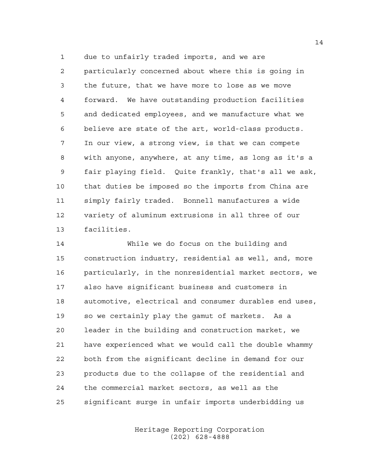due to unfairly traded imports, and we are particularly concerned about where this is going in the future, that we have more to lose as we move forward. We have outstanding production facilities and dedicated employees, and we manufacture what we believe are state of the art, world-class products. In our view, a strong view, is that we can compete with anyone, anywhere, at any time, as long as it's a fair playing field. Quite frankly, that's all we ask, that duties be imposed so the imports from China are simply fairly traded. Bonnell manufactures a wide variety of aluminum extrusions in all three of our facilities.

 While we do focus on the building and construction industry, residential as well, and, more particularly, in the nonresidential market sectors, we also have significant business and customers in automotive, electrical and consumer durables end uses, so we certainly play the gamut of markets. As a leader in the building and construction market, we have experienced what we would call the double whammy both from the significant decline in demand for our products due to the collapse of the residential and the commercial market sectors, as well as the significant surge in unfair imports underbidding us

> Heritage Reporting Corporation (202) 628-4888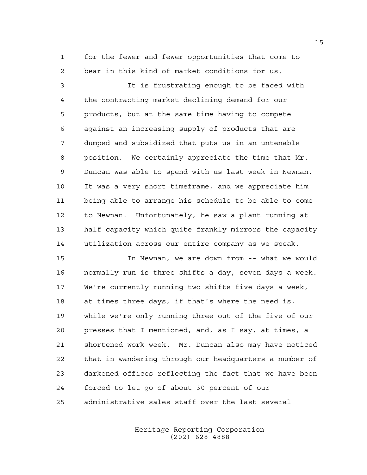for the fewer and fewer opportunities that come to bear in this kind of market conditions for us.

 It is frustrating enough to be faced with the contracting market declining demand for our products, but at the same time having to compete against an increasing supply of products that are dumped and subsidized that puts us in an untenable position. We certainly appreciate the time that Mr. Duncan was able to spend with us last week in Newnan. It was a very short timeframe, and we appreciate him being able to arrange his schedule to be able to come to Newnan. Unfortunately, he saw a plant running at half capacity which quite frankly mirrors the capacity utilization across our entire company as we speak.

 In Newnan, we are down from -- what we would normally run is three shifts a day, seven days a week. We're currently running two shifts five days a week, at times three days, if that's where the need is, while we're only running three out of the five of our presses that I mentioned, and, as I say, at times, a shortened work week. Mr. Duncan also may have noticed that in wandering through our headquarters a number of darkened offices reflecting the fact that we have been forced to let go of about 30 percent of our administrative sales staff over the last several

> Heritage Reporting Corporation (202) 628-4888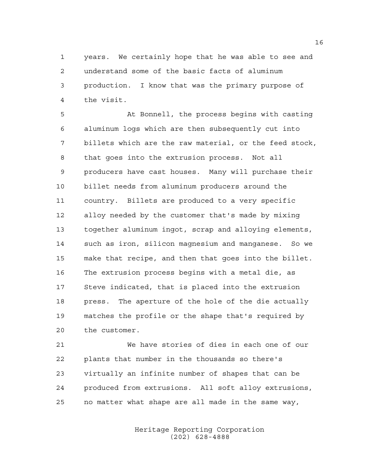years. We certainly hope that he was able to see and understand some of the basic facts of aluminum production. I know that was the primary purpose of the visit.

 At Bonnell, the process begins with casting aluminum logs which are then subsequently cut into billets which are the raw material, or the feed stock, that goes into the extrusion process. Not all producers have cast houses. Many will purchase their billet needs from aluminum producers around the country. Billets are produced to a very specific alloy needed by the customer that's made by mixing together aluminum ingot, scrap and alloying elements, such as iron, silicon magnesium and manganese. So we make that recipe, and then that goes into the billet. The extrusion process begins with a metal die, as Steve indicated, that is placed into the extrusion press. The aperture of the hole of the die actually matches the profile or the shape that's required by the customer.

 We have stories of dies in each one of our plants that number in the thousands so there's virtually an infinite number of shapes that can be produced from extrusions. All soft alloy extrusions, no matter what shape are all made in the same way,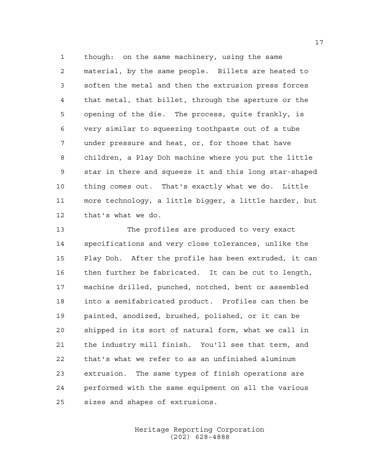though: on the same machinery, using the same material, by the same people. Billets are heated to soften the metal and then the extrusion press forces that metal, that billet, through the aperture or the opening of the die. The process, quite frankly, is very similar to squeezing toothpaste out of a tube under pressure and heat, or, for those that have children, a Play Doh machine where you put the little star in there and squeeze it and this long star-shaped thing comes out. That's exactly what we do. Little more technology, a little bigger, a little harder, but that's what we do.

 The profiles are produced to very exact specifications and very close tolerances, unlike the Play Doh. After the profile has been extruded, it can then further be fabricated. It can be cut to length, machine drilled, punched, notched, bent or assembled into a semifabricated product. Profiles can then be painted, anodized, brushed, polished, or it can be shipped in its sort of natural form, what we call in the industry mill finish. You'll see that term, and that's what we refer to as an unfinished aluminum extrusion. The same types of finish operations are performed with the same equipment on all the various sizes and shapes of extrusions.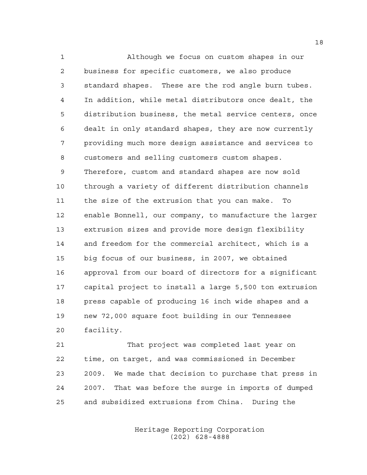Although we focus on custom shapes in our business for specific customers, we also produce standard shapes. These are the rod angle burn tubes. In addition, while metal distributors once dealt, the distribution business, the metal service centers, once dealt in only standard shapes, they are now currently providing much more design assistance and services to customers and selling customers custom shapes. Therefore, custom and standard shapes are now sold through a variety of different distribution channels the size of the extrusion that you can make. To enable Bonnell, our company, to manufacture the larger extrusion sizes and provide more design flexibility and freedom for the commercial architect, which is a big focus of our business, in 2007, we obtained approval from our board of directors for a significant capital project to install a large 5,500 ton extrusion press capable of producing 16 inch wide shapes and a new 72,000 square foot building in our Tennessee facility.

 That project was completed last year on time, on target, and was commissioned in December 2009. We made that decision to purchase that press in 2007. That was before the surge in imports of dumped and subsidized extrusions from China. During the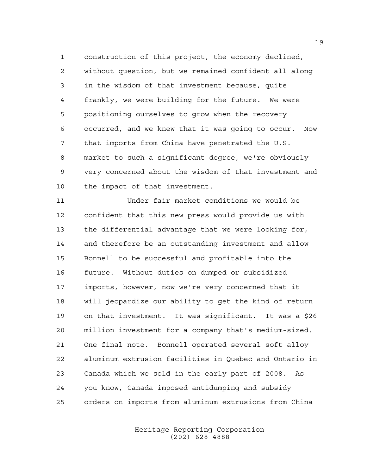construction of this project, the economy declined, without question, but we remained confident all along in the wisdom of that investment because, quite frankly, we were building for the future. We were positioning ourselves to grow when the recovery occurred, and we knew that it was going to occur. Now that imports from China have penetrated the U.S. market to such a significant degree, we're obviously very concerned about the wisdom of that investment and the impact of that investment.

 Under fair market conditions we would be confident that this new press would provide us with the differential advantage that we were looking for, and therefore be an outstanding investment and allow Bonnell to be successful and profitable into the future. Without duties on dumped or subsidized imports, however, now we're very concerned that it will jeopardize our ability to get the kind of return on that investment. It was significant. It was a \$26 million investment for a company that's medium-sized. One final note. Bonnell operated several soft alloy aluminum extrusion facilities in Quebec and Ontario in Canada which we sold in the early part of 2008. As you know, Canada imposed antidumping and subsidy orders on imports from aluminum extrusions from China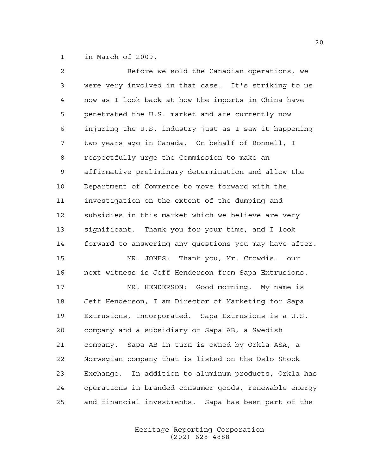in March of 2009.

| 2  | Before we sold the Canadian operations, we               |
|----|----------------------------------------------------------|
| 3  | were very involved in that case. It's striking to us     |
| 4  | now as I look back at how the imports in China have      |
| 5  | penetrated the U.S. market and are currently now         |
| 6  | injuring the U.S. industry just as I saw it happening    |
| 7  | two years ago in Canada. On behalf of Bonnell, I         |
| 8  | respectfully urge the Commission to make an              |
| 9  | affirmative preliminary determination and allow the      |
| 10 | Department of Commerce to move forward with the          |
| 11 | investigation on the extent of the dumping and           |
| 12 | subsidies in this market which we believe are very       |
| 13 | significant. Thank you for your time, and I look         |
| 14 | forward to answering any questions you may have after.   |
| 15 | MR. JONES: Thank you, Mr. Crowdis. our                   |
| 16 | next witness is Jeff Henderson from Sapa Extrusions.     |
| 17 | MR. HENDERSON: Good morning. My name is                  |
| 18 | Jeff Henderson, I am Director of Marketing for Sapa      |
| 19 | Extrusions, Incorporated. Sapa Extrusions is a U.S.      |
| 20 | company and a subsidiary of Sapa AB, a Swedish           |
| 21 | company. Sapa AB in turn is owned by Orkla ASA, a        |
| 22 | Norwegian company that is listed on the Oslo Stock       |
| 23 | Exchange.<br>In addition to aluminum products, Orkla has |
| 24 | operations in branded consumer goods, renewable energy   |
| 25 | and financial investments.<br>Sapa has been part of the  |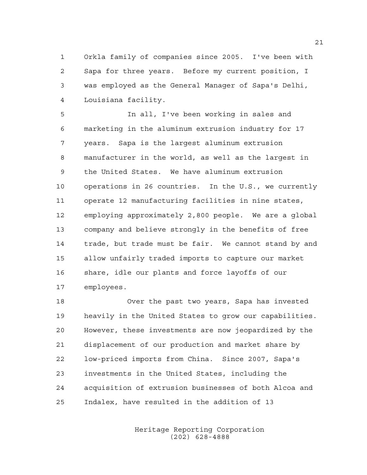Orkla family of companies since 2005. I've been with Sapa for three years. Before my current position, I was employed as the General Manager of Sapa's Delhi, Louisiana facility.

 In all, I've been working in sales and marketing in the aluminum extrusion industry for 17 years. Sapa is the largest aluminum extrusion manufacturer in the world, as well as the largest in the United States. We have aluminum extrusion operations in 26 countries. In the U.S., we currently operate 12 manufacturing facilities in nine states, employing approximately 2,800 people. We are a global company and believe strongly in the benefits of free trade, but trade must be fair. We cannot stand by and allow unfairly traded imports to capture our market share, idle our plants and force layoffs of our employees.

 Over the past two years, Sapa has invested heavily in the United States to grow our capabilities. However, these investments are now jeopardized by the displacement of our production and market share by low-priced imports from China. Since 2007, Sapa's investments in the United States, including the acquisition of extrusion businesses of both Alcoa and Indalex, have resulted in the addition of 13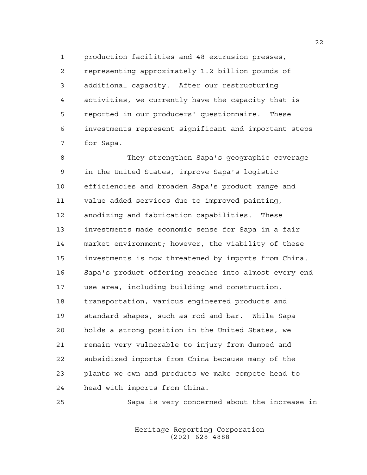production facilities and 48 extrusion presses,

 representing approximately 1.2 billion pounds of additional capacity. After our restructuring activities, we currently have the capacity that is reported in our producers' questionnaire. These investments represent significant and important steps for Sapa.

 They strengthen Sapa's geographic coverage in the United States, improve Sapa's logistic efficiencies and broaden Sapa's product range and value added services due to improved painting, anodizing and fabrication capabilities. These investments made economic sense for Sapa in a fair market environment; however, the viability of these investments is now threatened by imports from China. Sapa's product offering reaches into almost every end use area, including building and construction, transportation, various engineered products and standard shapes, such as rod and bar. While Sapa holds a strong position in the United States, we remain very vulnerable to injury from dumped and subsidized imports from China because many of the plants we own and products we make compete head to head with imports from China.

Sapa is very concerned about the increase in

Heritage Reporting Corporation (202) 628-4888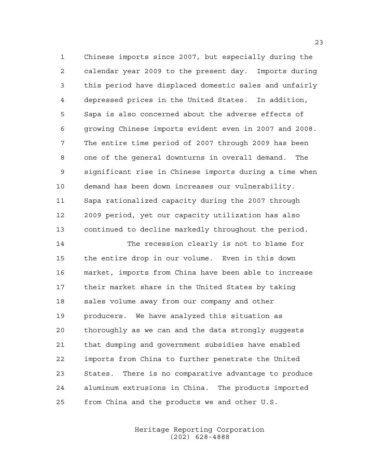Chinese imports since 2007, but especially during the calendar year 2009 to the present day. Imports during this period have displaced domestic sales and unfairly depressed prices in the United States. In addition, Sapa is also concerned about the adverse effects of growing Chinese imports evident even in 2007 and 2008. The entire time period of 2007 through 2009 has been one of the general downturns in overall demand. The significant rise in Chinese imports during a time when demand has been down increases our vulnerability. Sapa rationalized capacity during the 2007 through 2009 period, yet our capacity utilization has also continued to decline markedly throughout the period.

 The recession clearly is not to blame for the entire drop in our volume. Even in this down market, imports from China have been able to increase their market share in the United States by taking sales volume away from our company and other producers. We have analyzed this situation as thoroughly as we can and the data strongly suggests that dumping and government subsidies have enabled imports from China to further penetrate the United States. There is no comparative advantage to produce aluminum extrusions in China. The products imported from China and the products we and other U.S.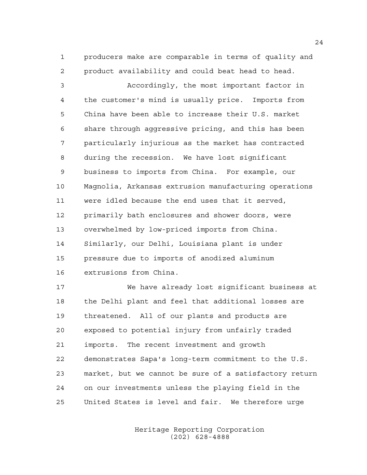producers make are comparable in terms of quality and product availability and could beat head to head.

 Accordingly, the most important factor in the customer's mind is usually price. Imports from China have been able to increase their U.S. market share through aggressive pricing, and this has been particularly injurious as the market has contracted during the recession. We have lost significant business to imports from China. For example, our Magnolia, Arkansas extrusion manufacturing operations were idled because the end uses that it served, primarily bath enclosures and shower doors, were overwhelmed by low-priced imports from China. Similarly, our Delhi, Louisiana plant is under pressure due to imports of anodized aluminum extrusions from China.

 We have already lost significant business at the Delhi plant and feel that additional losses are threatened. All of our plants and products are exposed to potential injury from unfairly traded imports. The recent investment and growth demonstrates Sapa's long-term commitment to the U.S. market, but we cannot be sure of a satisfactory return on our investments unless the playing field in the United States is level and fair. We therefore urge

> Heritage Reporting Corporation (202) 628-4888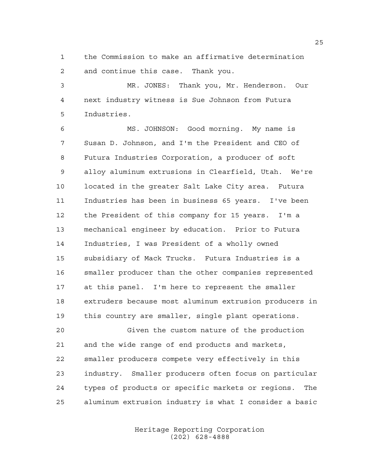the Commission to make an affirmative determination and continue this case. Thank you.

 MR. JONES: Thank you, Mr. Henderson. Our next industry witness is Sue Johnson from Futura Industries.

 MS. JOHNSON: Good morning. My name is Susan D. Johnson, and I'm the President and CEO of Futura Industries Corporation, a producer of soft alloy aluminum extrusions in Clearfield, Utah. We're located in the greater Salt Lake City area. Futura Industries has been in business 65 years. I've been the President of this company for 15 years. I'm a mechanical engineer by education. Prior to Futura Industries, I was President of a wholly owned subsidiary of Mack Trucks. Futura Industries is a smaller producer than the other companies represented at this panel. I'm here to represent the smaller extruders because most aluminum extrusion producers in this country are smaller, single plant operations.

 Given the custom nature of the production and the wide range of end products and markets, smaller producers compete very effectively in this industry. Smaller producers often focus on particular types of products or specific markets or regions. The aluminum extrusion industry is what I consider a basic

> Heritage Reporting Corporation (202) 628-4888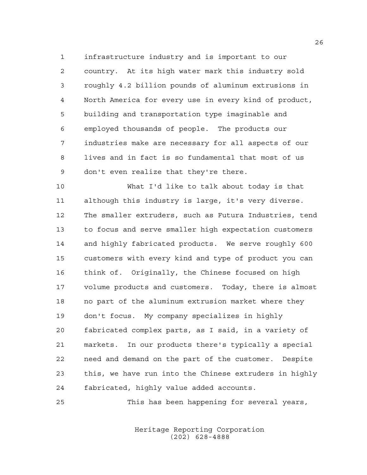infrastructure industry and is important to our country. At its high water mark this industry sold roughly 4.2 billion pounds of aluminum extrusions in North America for every use in every kind of product, building and transportation type imaginable and employed thousands of people. The products our industries make are necessary for all aspects of our lives and in fact is so fundamental that most of us don't even realize that they're there.

 What I'd like to talk about today is that although this industry is large, it's very diverse. The smaller extruders, such as Futura Industries, tend to focus and serve smaller high expectation customers and highly fabricated products. We serve roughly 600 customers with every kind and type of product you can think of. Originally, the Chinese focused on high volume products and customers. Today, there is almost no part of the aluminum extrusion market where they don't focus. My company specializes in highly fabricated complex parts, as I said, in a variety of markets. In our products there's typically a special need and demand on the part of the customer. Despite this, we have run into the Chinese extruders in highly fabricated, highly value added accounts.

This has been happening for several years,

Heritage Reporting Corporation (202) 628-4888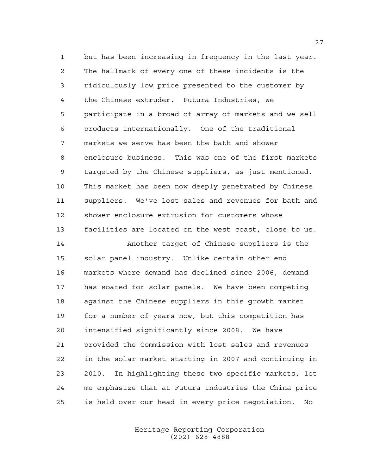but has been increasing in frequency in the last year. The hallmark of every one of these incidents is the ridiculously low price presented to the customer by the Chinese extruder. Futura Industries, we participate in a broad of array of markets and we sell products internationally. One of the traditional markets we serve has been the bath and shower enclosure business. This was one of the first markets targeted by the Chinese suppliers, as just mentioned. This market has been now deeply penetrated by Chinese suppliers. We've lost sales and revenues for bath and shower enclosure extrusion for customers whose facilities are located on the west coast, close to us.

 Another target of Chinese suppliers is the solar panel industry. Unlike certain other end markets where demand has declined since 2006, demand has soared for solar panels. We have been competing against the Chinese suppliers in this growth market for a number of years now, but this competition has intensified significantly since 2008. We have provided the Commission with lost sales and revenues in the solar market starting in 2007 and continuing in 2010. In highlighting these two specific markets, let me emphasize that at Futura Industries the China price is held over our head in every price negotiation. No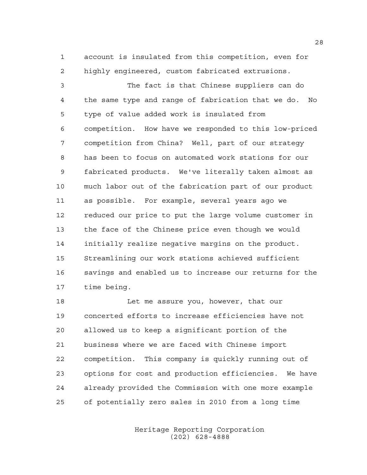account is insulated from this competition, even for highly engineered, custom fabricated extrusions.

 The fact is that Chinese suppliers can do the same type and range of fabrication that we do. No type of value added work is insulated from competition. How have we responded to this low-priced competition from China? Well, part of our strategy has been to focus on automated work stations for our fabricated products. We've literally taken almost as much labor out of the fabrication part of our product as possible. For example, several years ago we reduced our price to put the large volume customer in the face of the Chinese price even though we would initially realize negative margins on the product. Streamlining our work stations achieved sufficient savings and enabled us to increase our returns for the time being.

18 Let me assure you, however, that our concerted efforts to increase efficiencies have not allowed us to keep a significant portion of the business where we are faced with Chinese import competition. This company is quickly running out of options for cost and production efficiencies. We have already provided the Commission with one more example of potentially zero sales in 2010 from a long time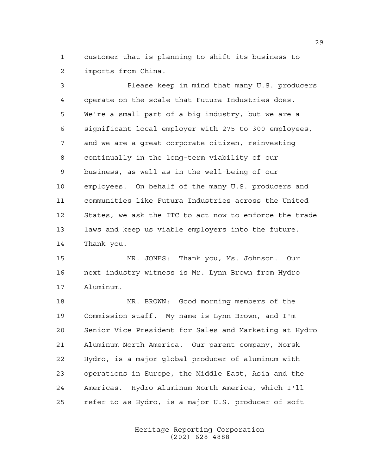customer that is planning to shift its business to imports from China.

 Please keep in mind that many U.S. producers operate on the scale that Futura Industries does. We're a small part of a big industry, but we are a significant local employer with 275 to 300 employees, and we are a great corporate citizen, reinvesting continually in the long-term viability of our business, as well as in the well-being of our employees. On behalf of the many U.S. producers and communities like Futura Industries across the United States, we ask the ITC to act now to enforce the trade laws and keep us viable employers into the future. Thank you.

 MR. JONES: Thank you, Ms. Johnson. Our next industry witness is Mr. Lynn Brown from Hydro Aluminum.

 MR. BROWN: Good morning members of the Commission staff. My name is Lynn Brown, and I'm Senior Vice President for Sales and Marketing at Hydro Aluminum North America. Our parent company, Norsk Hydro, is a major global producer of aluminum with operations in Europe, the Middle East, Asia and the Americas. Hydro Aluminum North America, which I'll refer to as Hydro, is a major U.S. producer of soft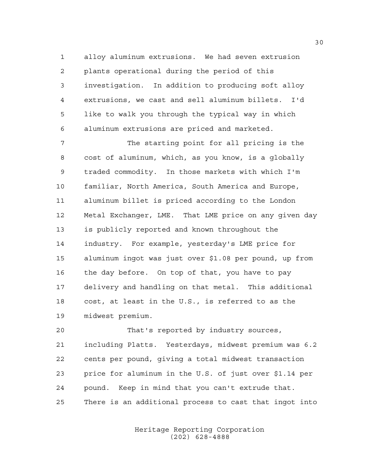alloy aluminum extrusions. We had seven extrusion plants operational during the period of this investigation. In addition to producing soft alloy extrusions, we cast and sell aluminum billets. I'd like to walk you through the typical way in which aluminum extrusions are priced and marketed.

 The starting point for all pricing is the cost of aluminum, which, as you know, is a globally traded commodity. In those markets with which I'm familiar, North America, South America and Europe, aluminum billet is priced according to the London Metal Exchanger, LME. That LME price on any given day is publicly reported and known throughout the industry. For example, yesterday's LME price for aluminum ingot was just over \$1.08 per pound, up from the day before. On top of that, you have to pay delivery and handling on that metal. This additional cost, at least in the U.S., is referred to as the midwest premium.

 That's reported by industry sources, including Platts. Yesterdays, midwest premium was 6.2 cents per pound, giving a total midwest transaction price for aluminum in the U.S. of just over \$1.14 per pound. Keep in mind that you can't extrude that. There is an additional process to cast that ingot into

> Heritage Reporting Corporation (202) 628-4888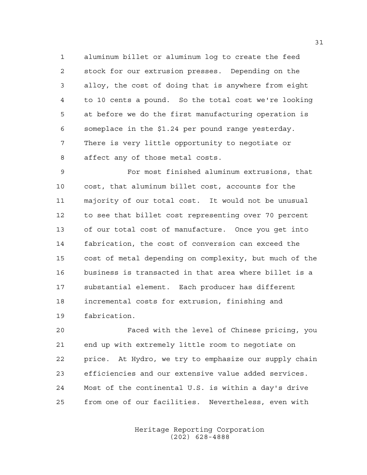aluminum billet or aluminum log to create the feed stock for our extrusion presses. Depending on the alloy, the cost of doing that is anywhere from eight to 10 cents a pound. So the total cost we're looking at before we do the first manufacturing operation is someplace in the \$1.24 per pound range yesterday. There is very little opportunity to negotiate or affect any of those metal costs.

 For most finished aluminum extrusions, that cost, that aluminum billet cost, accounts for the majority of our total cost. It would not be unusual to see that billet cost representing over 70 percent of our total cost of manufacture. Once you get into fabrication, the cost of conversion can exceed the cost of metal depending on complexity, but much of the business is transacted in that area where billet is a substantial element. Each producer has different incremental costs for extrusion, finishing and fabrication.

 Faced with the level of Chinese pricing, you end up with extremely little room to negotiate on price. At Hydro, we try to emphasize our supply chain efficiencies and our extensive value added services. Most of the continental U.S. is within a day's drive from one of our facilities. Nevertheless, even with

> Heritage Reporting Corporation (202) 628-4888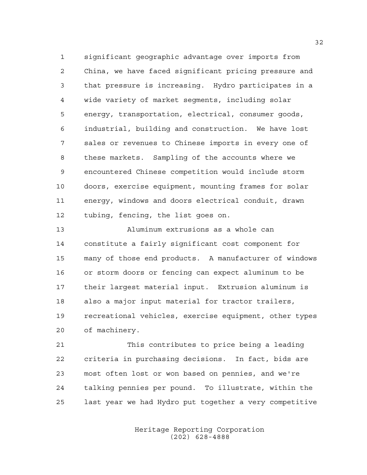significant geographic advantage over imports from China, we have faced significant pricing pressure and that pressure is increasing. Hydro participates in a wide variety of market segments, including solar energy, transportation, electrical, consumer goods, industrial, building and construction. We have lost sales or revenues to Chinese imports in every one of these markets. Sampling of the accounts where we encountered Chinese competition would include storm doors, exercise equipment, mounting frames for solar energy, windows and doors electrical conduit, drawn tubing, fencing, the list goes on.

 Aluminum extrusions as a whole can constitute a fairly significant cost component for many of those end products. A manufacturer of windows or storm doors or fencing can expect aluminum to be their largest material input. Extrusion aluminum is also a major input material for tractor trailers, recreational vehicles, exercise equipment, other types of machinery.

 This contributes to price being a leading criteria in purchasing decisions. In fact, bids are most often lost or won based on pennies, and we're talking pennies per pound. To illustrate, within the last year we had Hydro put together a very competitive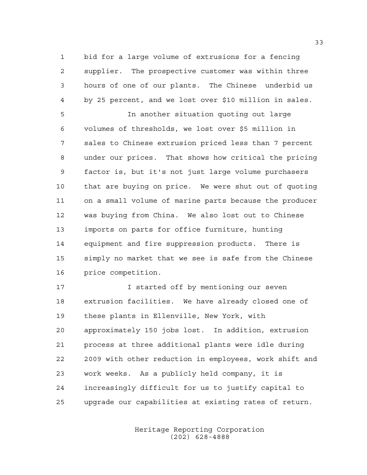bid for a large volume of extrusions for a fencing supplier. The prospective customer was within three hours of one of our plants. The Chinese underbid us by 25 percent, and we lost over \$10 million in sales.

 In another situation quoting out large volumes of thresholds, we lost over \$5 million in sales to Chinese extrusion priced less than 7 percent under our prices. That shows how critical the pricing factor is, but it's not just large volume purchasers that are buying on price. We were shut out of quoting on a small volume of marine parts because the producer was buying from China. We also lost out to Chinese imports on parts for office furniture, hunting equipment and fire suppression products. There is simply no market that we see is safe from the Chinese price competition.

**I** started off by mentioning our seven extrusion facilities. We have already closed one of these plants in Ellenville, New York, with approximately 150 jobs lost. In addition, extrusion process at three additional plants were idle during 2009 with other reduction in employees, work shift and work weeks. As a publicly held company, it is increasingly difficult for us to justify capital to upgrade our capabilities at existing rates of return.

> Heritage Reporting Corporation (202) 628-4888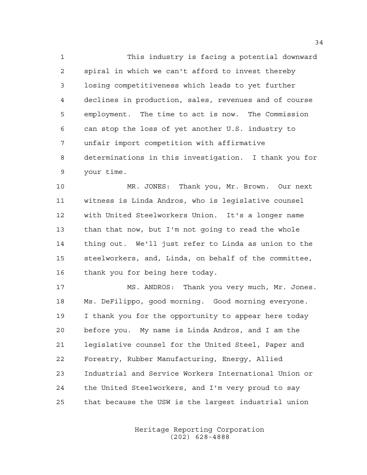This industry is facing a potential downward spiral in which we can't afford to invest thereby losing competitiveness which leads to yet further declines in production, sales, revenues and of course employment. The time to act is now. The Commission can stop the loss of yet another U.S. industry to unfair import competition with affirmative determinations in this investigation. I thank you for your time.

 MR. JONES: Thank you, Mr. Brown. Our next witness is Linda Andros, who is legislative counsel with United Steelworkers Union. It's a longer name than that now, but I'm not going to read the whole thing out. We'll just refer to Linda as union to the steelworkers, and, Linda, on behalf of the committee, thank you for being here today.

 MS. ANDROS: Thank you very much, Mr. Jones. Ms. DeFilippo, good morning. Good morning everyone. I thank you for the opportunity to appear here today before you. My name is Linda Andros, and I am the legislative counsel for the United Steel, Paper and Forestry, Rubber Manufacturing, Energy, Allied Industrial and Service Workers International Union or the United Steelworkers, and I'm very proud to say that because the USW is the largest industrial union

> Heritage Reporting Corporation (202) 628-4888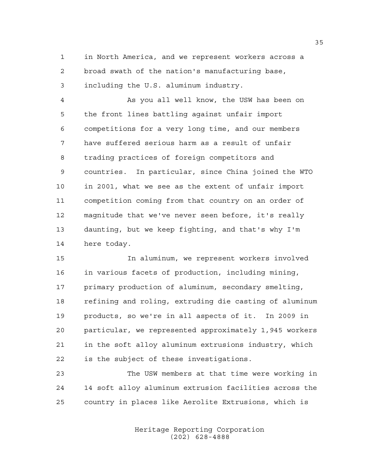in North America, and we represent workers across a broad swath of the nation's manufacturing base, including the U.S. aluminum industry.

 As you all well know, the USW has been on the front lines battling against unfair import competitions for a very long time, and our members have suffered serious harm as a result of unfair trading practices of foreign competitors and countries. In particular, since China joined the WTO in 2001, what we see as the extent of unfair import competition coming from that country on an order of magnitude that we've never seen before, it's really daunting, but we keep fighting, and that's why I'm here today.

 In aluminum, we represent workers involved in various facets of production, including mining, primary production of aluminum, secondary smelting, refining and roling, extruding die casting of aluminum products, so we're in all aspects of it. In 2009 in particular, we represented approximately 1,945 workers in the soft alloy aluminum extrusions industry, which is the subject of these investigations.

 The USW members at that time were working in 14 soft alloy aluminum extrusion facilities across the country in places like Aerolite Extrusions, which is

> Heritage Reporting Corporation (202) 628-4888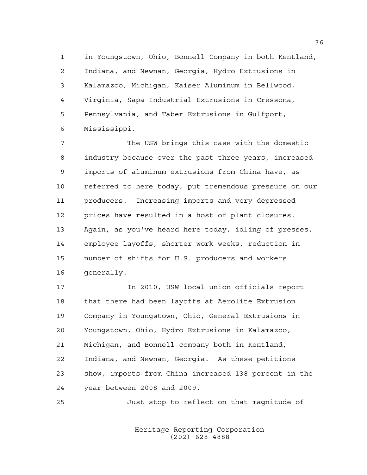in Youngstown, Ohio, Bonnell Company in both Kentland, Indiana, and Newnan, Georgia, Hydro Extrusions in Kalamazoo, Michigan, Kaiser Aluminum in Bellwood, Virginia, Sapa Industrial Extrusions in Cressona, Pennsylvania, and Taber Extrusions in Gulfport, Mississippi.

 The USW brings this case with the domestic industry because over the past three years, increased imports of aluminum extrusions from China have, as referred to here today, put tremendous pressure on our producers. Increasing imports and very depressed prices have resulted in a host of plant closures. Again, as you've heard here today, idling of presses, employee layoffs, shorter work weeks, reduction in number of shifts for U.S. producers and workers generally.

 In 2010, USW local union officials report that there had been layoffs at Aerolite Extrusion Company in Youngstown, Ohio, General Extrusions in Youngstown, Ohio, Hydro Extrusions in Kalamazoo, Michigan, and Bonnell company both in Kentland, Indiana, and Newnan, Georgia. As these petitions show, imports from China increased 138 percent in the year between 2008 and 2009.

Just stop to reflect on that magnitude of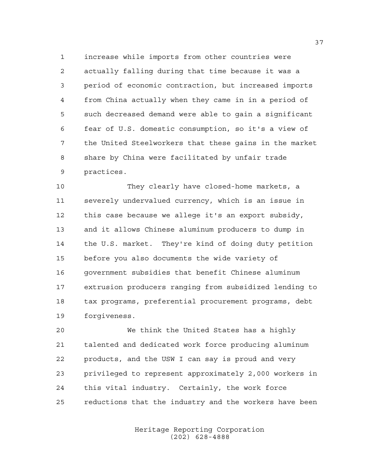increase while imports from other countries were actually falling during that time because it was a period of economic contraction, but increased imports from China actually when they came in in a period of such decreased demand were able to gain a significant fear of U.S. domestic consumption, so it's a view of the United Steelworkers that these gains in the market share by China were facilitated by unfair trade practices.

 They clearly have closed-home markets, a severely undervalued currency, which is an issue in this case because we allege it's an export subsidy, and it allows Chinese aluminum producers to dump in the U.S. market. They're kind of doing duty petition before you also documents the wide variety of government subsidies that benefit Chinese aluminum extrusion producers ranging from subsidized lending to tax programs, preferential procurement programs, debt forgiveness.

 We think the United States has a highly talented and dedicated work force producing aluminum products, and the USW I can say is proud and very privileged to represent approximately 2,000 workers in this vital industry. Certainly, the work force reductions that the industry and the workers have been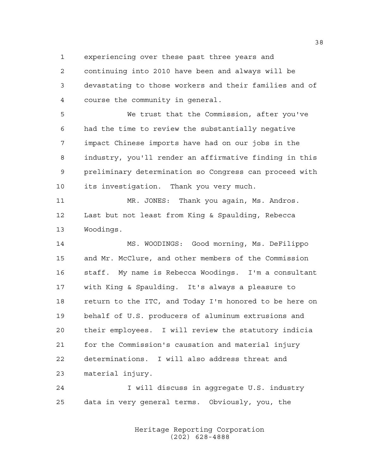experiencing over these past three years and

 continuing into 2010 have been and always will be devastating to those workers and their families and of course the community in general.

 We trust that the Commission, after you've had the time to review the substantially negative impact Chinese imports have had on our jobs in the industry, you'll render an affirmative finding in this preliminary determination so Congress can proceed with its investigation. Thank you very much.

 MR. JONES: Thank you again, Ms. Andros. Last but not least from King & Spaulding, Rebecca Woodings.

 MS. WOODINGS: Good morning, Ms. DeFilippo and Mr. McClure, and other members of the Commission staff. My name is Rebecca Woodings. I'm a consultant with King & Spaulding. It's always a pleasure to return to the ITC, and Today I'm honored to be here on behalf of U.S. producers of aluminum extrusions and their employees. I will review the statutory indicia for the Commission's causation and material injury determinations. I will also address threat and material injury.

 I will discuss in aggregate U.S. industry data in very general terms. Obviously, you, the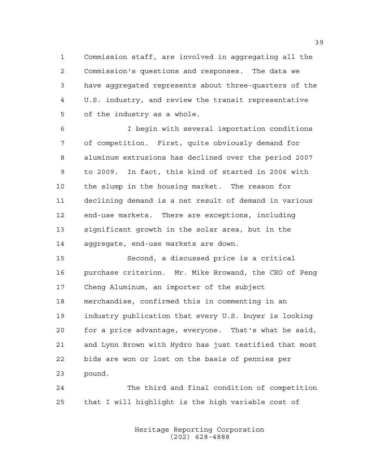Commission staff, are involved in aggregating all the Commission's questions and responses. The data we have aggregated represents about three-quarters of the U.S. industry, and review the transit representative of the industry as a whole.

 I begin with several importation conditions of competition. First, quite obviously demand for aluminum extrusions has declined over the period 2007 to 2009. In fact, this kind of started in 2006 with the slump in the housing market. The reason for declining demand is a net result of demand in various end-use markets. There are exceptions, including significant growth in the solar area, but in the aggregate, end-use markets are down.

 Second, a discussed price is a critical purchase criterion. Mr. Mike Browand, the CEO of Peng Cheng Aluminum, an importer of the subject merchandise, confirmed this in commenting in an industry publication that every U.S. buyer is looking for a price advantage, everyone. That's what he said, and Lynn Brown with Hydro has just testified that most bids are won or lost on the basis of pennies per pound.

 The third and final condition of competition that I will highlight is the high variable cost of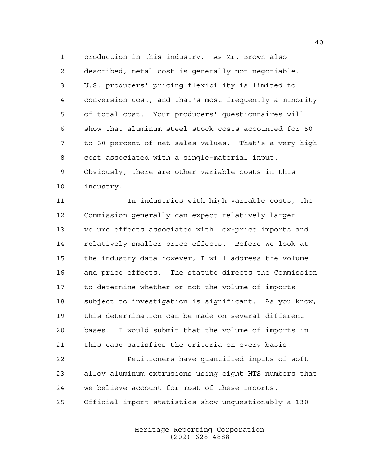production in this industry. As Mr. Brown also described, metal cost is generally not negotiable. U.S. producers' pricing flexibility is limited to conversion cost, and that's most frequently a minority of total cost. Your producers' questionnaires will show that aluminum steel stock costs accounted for 50 to 60 percent of net sales values. That's a very high cost associated with a single-material input. Obviously, there are other variable costs in this industry.

 In industries with high variable costs, the Commission generally can expect relatively larger volume effects associated with low-price imports and relatively smaller price effects. Before we look at the industry data however, I will address the volume and price effects. The statute directs the Commission to determine whether or not the volume of imports subject to investigation is significant. As you know, this determination can be made on several different bases. I would submit that the volume of imports in this case satisfies the criteria on every basis.

 Petitioners have quantified inputs of soft alloy aluminum extrusions using eight HTS numbers that we believe account for most of these imports. Official import statistics show unquestionably a 130

> Heritage Reporting Corporation (202) 628-4888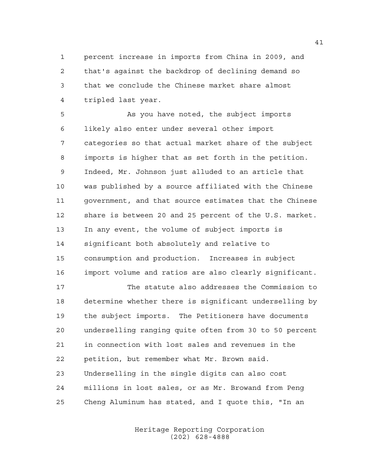percent increase in imports from China in 2009, and that's against the backdrop of declining demand so that we conclude the Chinese market share almost tripled last year.

 As you have noted, the subject imports likely also enter under several other import categories so that actual market share of the subject imports is higher that as set forth in the petition. Indeed, Mr. Johnson just alluded to an article that was published by a source affiliated with the Chinese government, and that source estimates that the Chinese share is between 20 and 25 percent of the U.S. market. In any event, the volume of subject imports is significant both absolutely and relative to consumption and production. Increases in subject import volume and ratios are also clearly significant.

 The statute also addresses the Commission to determine whether there is significant underselling by the subject imports. The Petitioners have documents underselling ranging quite often from 30 to 50 percent in connection with lost sales and revenues in the petition, but remember what Mr. Brown said. Underselling in the single digits can also cost millions in lost sales, or as Mr. Browand from Peng Cheng Aluminum has stated, and I quote this, "In an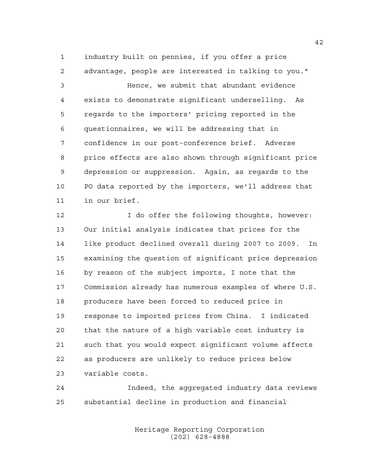industry built on pennies, if you offer a price advantage, people are interested in talking to you."

 Hence, we submit that abundant evidence exists to demonstrate significant underselling. As regards to the importers' pricing reported in the questionnaires, we will be addressing that in confidence in our post-conference brief. Adverse price effects are also shown through significant price depression or suppression. Again, as regards to the PO data reported by the importers, we'll address that in our brief.

 I do offer the following thoughts, however: Our initial analysis indicates that prices for the like product declined overall during 2007 to 2009. In examining the question of significant price depression by reason of the subject imports, I note that the Commission already has numerous examples of where U.S. producers have been forced to reduced price in response to imported prices from China. I indicated that the nature of a high variable cost industry is such that you would expect significant volume affects as producers are unlikely to reduce prices below variable costs.

 Indeed, the aggregated industry data reviews substantial decline in production and financial

> Heritage Reporting Corporation (202) 628-4888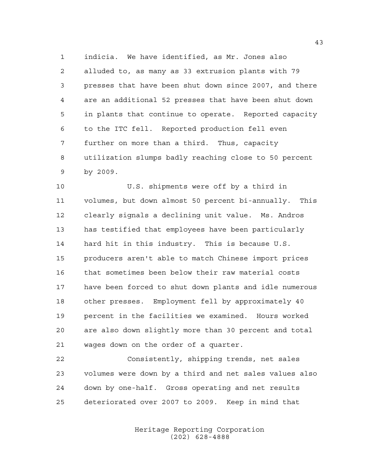indicia. We have identified, as Mr. Jones also alluded to, as many as 33 extrusion plants with 79 presses that have been shut down since 2007, and there are an additional 52 presses that have been shut down in plants that continue to operate. Reported capacity to the ITC fell. Reported production fell even further on more than a third. Thus, capacity utilization slumps badly reaching close to 50 percent by 2009.

 U.S. shipments were off by a third in volumes, but down almost 50 percent bi-annually. This clearly signals a declining unit value. Ms. Andros has testified that employees have been particularly hard hit in this industry. This is because U.S. producers aren't able to match Chinese import prices that sometimes been below their raw material costs have been forced to shut down plants and idle numerous other presses. Employment fell by approximately 40 percent in the facilities we examined. Hours worked are also down slightly more than 30 percent and total wages down on the order of a quarter.

 Consistently, shipping trends, net sales volumes were down by a third and net sales values also down by one-half. Gross operating and net results deteriorated over 2007 to 2009. Keep in mind that

> Heritage Reporting Corporation (202) 628-4888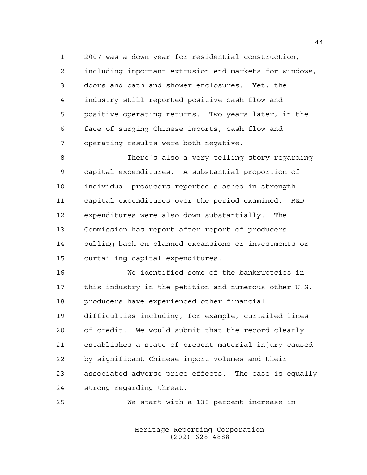2007 was a down year for residential construction, including important extrusion end markets for windows, doors and bath and shower enclosures. Yet, the industry still reported positive cash flow and positive operating returns. Two years later, in the face of surging Chinese imports, cash flow and operating results were both negative.

 There's also a very telling story regarding capital expenditures. A substantial proportion of individual producers reported slashed in strength capital expenditures over the period examined. R&D expenditures were also down substantially. The Commission has report after report of producers pulling back on planned expansions or investments or curtailing capital expenditures.

 We identified some of the bankruptcies in this industry in the petition and numerous other U.S. producers have experienced other financial difficulties including, for example, curtailed lines of credit. We would submit that the record clearly establishes a state of present material injury caused by significant Chinese import volumes and their associated adverse price effects. The case is equally strong regarding threat.

We start with a 138 percent increase in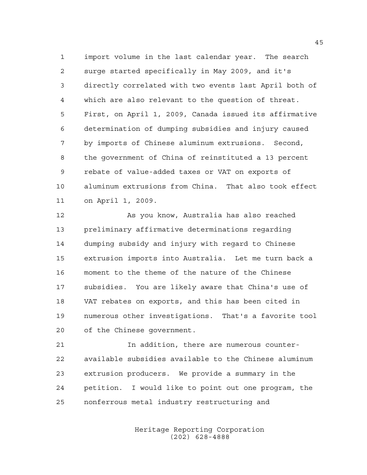import volume in the last calendar year. The search surge started specifically in May 2009, and it's directly correlated with two events last April both of which are also relevant to the question of threat. First, on April 1, 2009, Canada issued its affirmative determination of dumping subsidies and injury caused by imports of Chinese aluminum extrusions. Second, the government of China of reinstituted a 13 percent rebate of value-added taxes or VAT on exports of aluminum extrusions from China. That also took effect on April 1, 2009.

 As you know, Australia has also reached preliminary affirmative determinations regarding dumping subsidy and injury with regard to Chinese extrusion imports into Australia. Let me turn back a moment to the theme of the nature of the Chinese subsidies. You are likely aware that China's use of VAT rebates on exports, and this has been cited in numerous other investigations. That's a favorite tool of the Chinese government.

 In addition, there are numerous counter- available subsidies available to the Chinese aluminum extrusion producers. We provide a summary in the petition. I would like to point out one program, the nonferrous metal industry restructuring and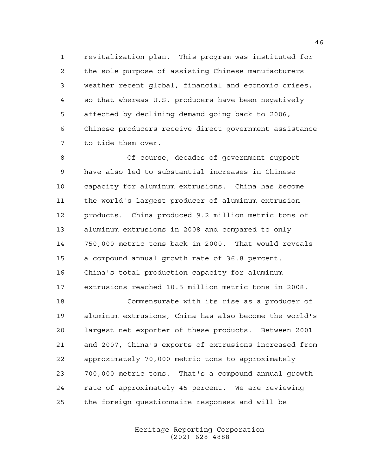revitalization plan. This program was instituted for the sole purpose of assisting Chinese manufacturers weather recent global, financial and economic crises, so that whereas U.S. producers have been negatively affected by declining demand going back to 2006, Chinese producers receive direct government assistance to tide them over.

 Of course, decades of government support have also led to substantial increases in Chinese capacity for aluminum extrusions. China has become the world's largest producer of aluminum extrusion products. China produced 9.2 million metric tons of aluminum extrusions in 2008 and compared to only 750,000 metric tons back in 2000. That would reveals a compound annual growth rate of 36.8 percent. China's total production capacity for aluminum extrusions reached 10.5 million metric tons in 2008.

 Commensurate with its rise as a producer of aluminum extrusions, China has also become the world's largest net exporter of these products. Between 2001 and 2007, China's exports of extrusions increased from approximately 70,000 metric tons to approximately 700,000 metric tons. That's a compound annual growth rate of approximately 45 percent. We are reviewing the foreign questionnaire responses and will be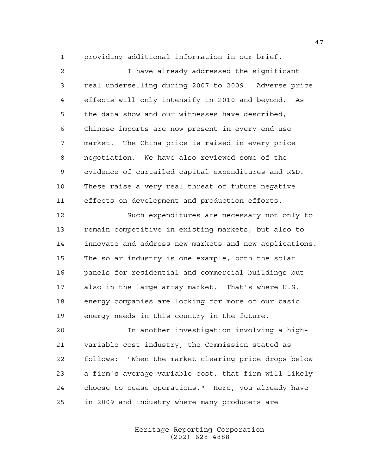providing additional information in our brief.

 I have already addressed the significant real underselling during 2007 to 2009. Adverse price effects will only intensify in 2010 and beyond. As the data show and our witnesses have described, Chinese imports are now present in every end-use market. The China price is raised in every price negotiation. We have also reviewed some of the evidence of curtailed capital expenditures and R&D. These raise a very real threat of future negative effects on development and production efforts.

 Such expenditures are necessary not only to remain competitive in existing markets, but also to innovate and address new markets and new applications. The solar industry is one example, both the solar panels for residential and commercial buildings but also in the large array market. That's where U.S. energy companies are looking for more of our basic energy needs in this country in the future.

 In another investigation involving a high- variable cost industry, the Commission stated as follows: "When the market clearing price drops below a firm's average variable cost, that firm will likely choose to cease operations." Here, you already have in 2009 and industry where many producers are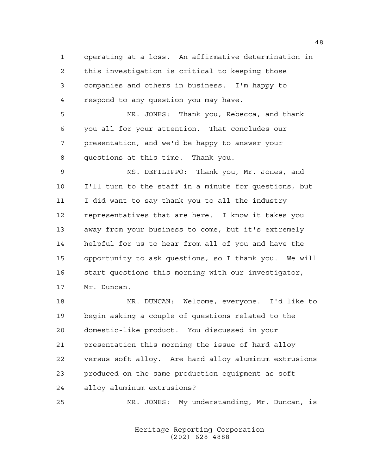operating at a loss. An affirmative determination in this investigation is critical to keeping those companies and others in business. I'm happy to respond to any question you may have.

 MR. JONES: Thank you, Rebecca, and thank you all for your attention. That concludes our presentation, and we'd be happy to answer your questions at this time. Thank you.

 MS. DEFILIPPO: Thank you, Mr. Jones, and I'll turn to the staff in a minute for questions, but I did want to say thank you to all the industry representatives that are here. I know it takes you away from your business to come, but it's extremely helpful for us to hear from all of you and have the opportunity to ask questions, so I thank you. We will start questions this morning with our investigator, Mr. Duncan.

 MR. DUNCAN: Welcome, everyone. I'd like to begin asking a couple of questions related to the domestic-like product. You discussed in your presentation this morning the issue of hard alloy versus soft alloy. Are hard alloy aluminum extrusions produced on the same production equipment as soft alloy aluminum extrusions?

MR. JONES: My understanding, Mr. Duncan, is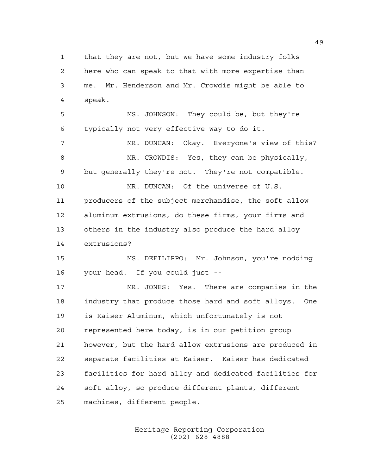that they are not, but we have some industry folks here who can speak to that with more expertise than me. Mr. Henderson and Mr. Crowdis might be able to speak.

 MS. JOHNSON: They could be, but they're typically not very effective way to do it.

 MR. DUNCAN: Okay. Everyone's view of this? 8 MR. CROWDIS: Yes, they can be physically, but generally they're not. They're not compatible.

 MR. DUNCAN: Of the universe of U.S. producers of the subject merchandise, the soft allow aluminum extrusions, do these firms, your firms and others in the industry also produce the hard alloy extrusions?

 MS. DEFILIPPO: Mr. Johnson, you're nodding your head. If you could just --

 MR. JONES: Yes. There are companies in the industry that produce those hard and soft alloys. One is Kaiser Aluminum, which unfortunately is not represented here today, is in our petition group however, but the hard allow extrusions are produced in separate facilities at Kaiser. Kaiser has dedicated facilities for hard alloy and dedicated facilities for soft alloy, so produce different plants, different machines, different people.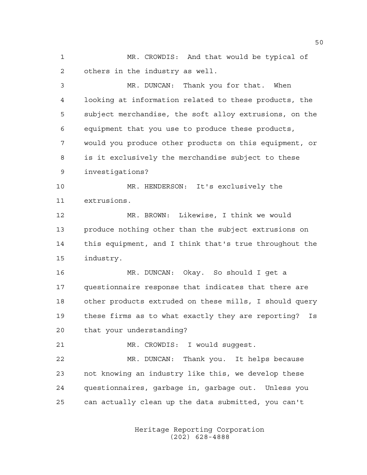MR. CROWDIS: And that would be typical of others in the industry as well.

 MR. DUNCAN: Thank you for that. When looking at information related to these products, the subject merchandise, the soft alloy extrusions, on the equipment that you use to produce these products, would you produce other products on this equipment, or is it exclusively the merchandise subject to these investigations?

 MR. HENDERSON: It's exclusively the extrusions.

 MR. BROWN: Likewise, I think we would produce nothing other than the subject extrusions on this equipment, and I think that's true throughout the industry.

 MR. DUNCAN: Okay. So should I get a questionnaire response that indicates that there are other products extruded on these mills, I should query these firms as to what exactly they are reporting? Is that your understanding?

MR. CROWDIS: I would suggest.

 MR. DUNCAN: Thank you. It helps because not knowing an industry like this, we develop these questionnaires, garbage in, garbage out. Unless you can actually clean up the data submitted, you can't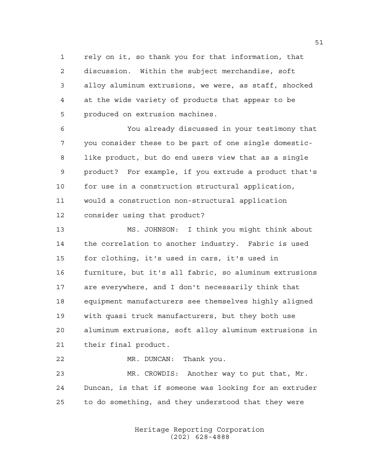rely on it, so thank you for that information, that discussion. Within the subject merchandise, soft alloy aluminum extrusions, we were, as staff, shocked at the wide variety of products that appear to be produced on extrusion machines.

 You already discussed in your testimony that you consider these to be part of one single domestic- like product, but do end users view that as a single product? For example, if you extrude a product that's for use in a construction structural application, would a construction non-structural application consider using that product?

 MS. JOHNSON: I think you might think about the correlation to another industry. Fabric is used for clothing, it's used in cars, it's used in furniture, but it's all fabric, so aluminum extrusions are everywhere, and I don't necessarily think that equipment manufacturers see themselves highly aligned with quasi truck manufacturers, but they both use aluminum extrusions, soft alloy aluminum extrusions in their final product.

 MR. DUNCAN: Thank you. MR. CROWDIS: Another way to put that, Mr. Duncan, is that if someone was looking for an extruder to do something, and they understood that they were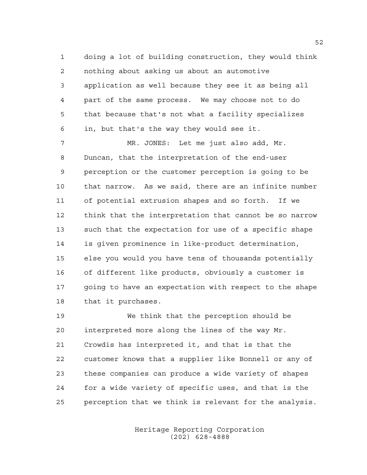doing a lot of building construction, they would think nothing about asking us about an automotive application as well because they see it as being all part of the same process. We may choose not to do that because that's not what a facility specializes in, but that's the way they would see it.

 MR. JONES: Let me just also add, Mr. Duncan, that the interpretation of the end-user perception or the customer perception is going to be that narrow. As we said, there are an infinite number of potential extrusion shapes and so forth. If we think that the interpretation that cannot be so narrow such that the expectation for use of a specific shape is given prominence in like-product determination, else you would you have tens of thousands potentially of different like products, obviously a customer is going to have an expectation with respect to the shape that it purchases.

 We think that the perception should be interpreted more along the lines of the way Mr. Crowdis has interpreted it, and that is that the customer knows that a supplier like Bonnell or any of these companies can produce a wide variety of shapes for a wide variety of specific uses, and that is the perception that we think is relevant for the analysis.

> Heritage Reporting Corporation (202) 628-4888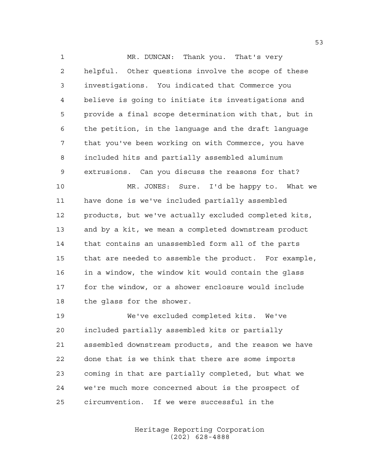1 MR. DUNCAN: Thank you. That's very helpful. Other questions involve the scope of these investigations. You indicated that Commerce you believe is going to initiate its investigations and provide a final scope determination with that, but in the petition, in the language and the draft language that you've been working on with Commerce, you have included hits and partially assembled aluminum extrusions. Can you discuss the reasons for that? MR. JONES: Sure. I'd be happy to. What we have done is we've included partially assembled products, but we've actually excluded completed kits,

 and by a kit, we mean a completed downstream product that contains an unassembled form all of the parts that are needed to assemble the product. For example, in a window, the window kit would contain the glass for the window, or a shower enclosure would include the glass for the shower.

 We've excluded completed kits. We've included partially assembled kits or partially assembled downstream products, and the reason we have done that is we think that there are some imports coming in that are partially completed, but what we we're much more concerned about is the prospect of circumvention. If we were successful in the

> Heritage Reporting Corporation (202) 628-4888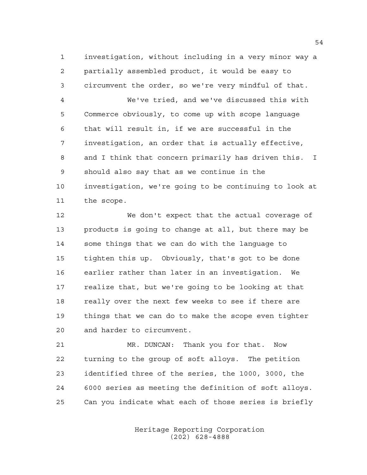investigation, without including in a very minor way a partially assembled product, it would be easy to circumvent the order, so we're very mindful of that.

 We've tried, and we've discussed this with Commerce obviously, to come up with scope language that will result in, if we are successful in the investigation, an order that is actually effective, and I think that concern primarily has driven this. I should also say that as we continue in the investigation, we're going to be continuing to look at the scope.

 We don't expect that the actual coverage of products is going to change at all, but there may be some things that we can do with the language to tighten this up. Obviously, that's got to be done earlier rather than later in an investigation. We realize that, but we're going to be looking at that really over the next few weeks to see if there are things that we can do to make the scope even tighter and harder to circumvent.

 MR. DUNCAN: Thank you for that. Now turning to the group of soft alloys. The petition identified three of the series, the 1000, 3000, the 6000 series as meeting the definition of soft alloys. Can you indicate what each of those series is briefly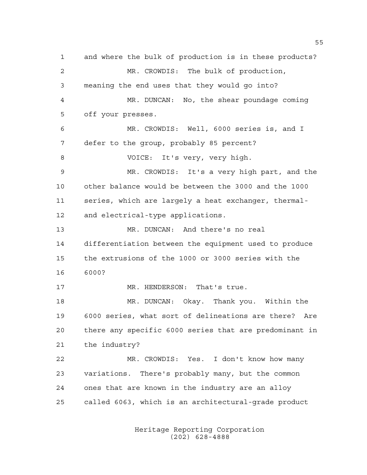and where the bulk of production is in these products? MR. CROWDIS: The bulk of production, meaning the end uses that they would go into? MR. DUNCAN: No, the shear poundage coming off your presses. MR. CROWDIS: Well, 6000 series is, and I defer to the group, probably 85 percent? VOICE: It's very, very high. MR. CROWDIS: It's a very high part, and the other balance would be between the 3000 and the 1000 series, which are largely a heat exchanger, thermal- and electrical-type applications. MR. DUNCAN: And there's no real differentiation between the equipment used to produce the extrusions of the 1000 or 3000 series with the 6000? 17 MR. HENDERSON: That's true. MR. DUNCAN: Okay. Thank you. Within the 6000 series, what sort of delineations are there? Are there any specific 6000 series that are predominant in the industry? MR. CROWDIS: Yes. I don't know how many variations. There's probably many, but the common ones that are known in the industry are an alloy called 6063, which is an architectural-grade product

> Heritage Reporting Corporation (202) 628-4888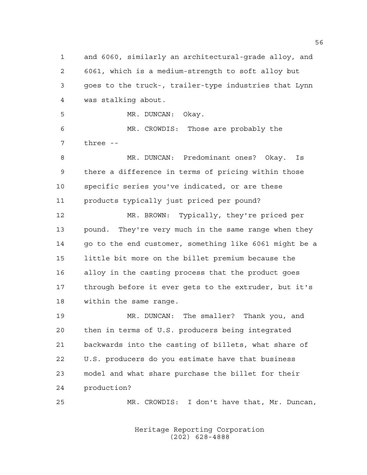and 6060, similarly an architectural-grade alloy, and 6061, which is a medium-strength to soft alloy but goes to the truck-, trailer-type industries that Lynn was stalking about. MR. DUNCAN: Okay. MR. CROWDIS: Those are probably the three -- MR. DUNCAN: Predominant ones? Okay. Is there a difference in terms of pricing within those specific series you've indicated, or are these products typically just priced per pound? MR. BROWN: Typically, they're priced per pound. They're very much in the same range when they 14 go to the end customer, something like 6061 might be a little bit more on the billet premium because the alloy in the casting process that the product goes through before it ever gets to the extruder, but it's within the same range. MR. DUNCAN: The smaller? Thank you, and then in terms of U.S. producers being integrated backwards into the casting of billets, what share of U.S. producers do you estimate have that business model and what share purchase the billet for their production? MR. CROWDIS: I don't have that, Mr. Duncan,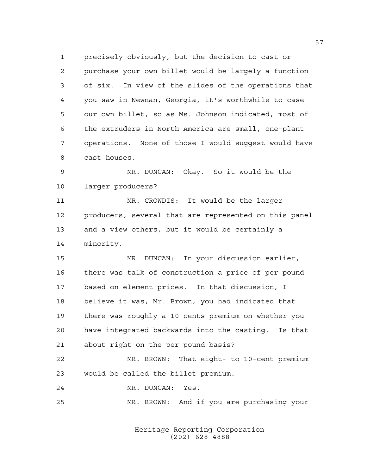precisely obviously, but the decision to cast or purchase your own billet would be largely a function of six. In view of the slides of the operations that you saw in Newnan, Georgia, it's worthwhile to case our own billet, so as Ms. Johnson indicated, most of the extruders in North America are small, one-plant operations. None of those I would suggest would have cast houses.

 MR. DUNCAN: Okay. So it would be the larger producers?

 MR. CROWDIS: It would be the larger producers, several that are represented on this panel and a view others, but it would be certainly a minority.

 MR. DUNCAN: In your discussion earlier, there was talk of construction a price of per pound based on element prices. In that discussion, I believe it was, Mr. Brown, you had indicated that there was roughly a 10 cents premium on whether you have integrated backwards into the casting. Is that about right on the per pound basis?

 MR. BROWN: That eight- to 10-cent premium would be called the billet premium.

MR. DUNCAN: Yes.

MR. BROWN: And if you are purchasing your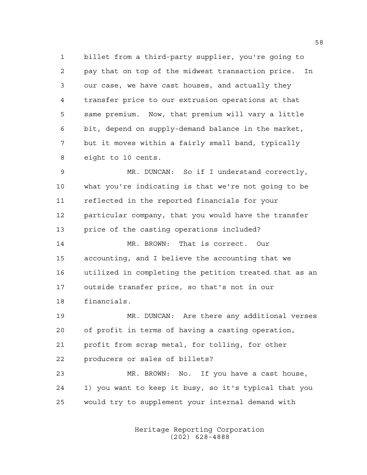billet from a third-party supplier, you're going to pay that on top of the midwest transaction price. In our case, we have cast houses, and actually they transfer price to our extrusion operations at that same premium. Now, that premium will vary a little bit, depend on supply-demand balance in the market, but it moves within a fairly small band, typically eight to 10 cents.

 MR. DUNCAN: So if I understand correctly, what you're indicating is that we're not going to be reflected in the reported financials for your particular company, that you would have the transfer price of the casting operations included?

 MR. BROWN: That is correct. Our accounting, and I believe the accounting that we utilized in completing the petition treated that as an outside transfer price, so that's not in our financials.

 MR. DUNCAN: Are there any additional verses of profit in terms of having a casting operation, profit from scrap metal, for tolling, for other producers or sales of billets?

 MR. BROWN: No. If you have a cast house, 1) you want to keep it busy, so it's typical that you would try to supplement your internal demand with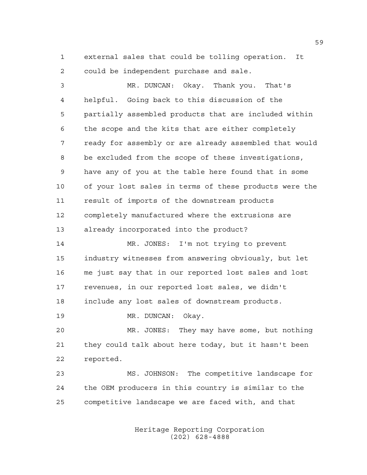external sales that could be tolling operation. It could be independent purchase and sale.

 MR. DUNCAN: Okay. Thank you. That's helpful. Going back to this discussion of the partially assembled products that are included within the scope and the kits that are either completely ready for assembly or are already assembled that would be excluded from the scope of these investigations, have any of you at the table here found that in some of your lost sales in terms of these products were the result of imports of the downstream products completely manufactured where the extrusions are already incorporated into the product? MR. JONES: I'm not trying to prevent industry witnesses from answering obviously, but let me just say that in our reported lost sales and lost revenues, in our reported lost sales, we didn't include any lost sales of downstream products. 19 MR. DUNCAN: Okay. MR. JONES: They may have some, but nothing they could talk about here today, but it hasn't been reported. MS. JOHNSON: The competitive landscape for

 the OEM producers in this country is similar to the competitive landscape we are faced with, and that

> Heritage Reporting Corporation (202) 628-4888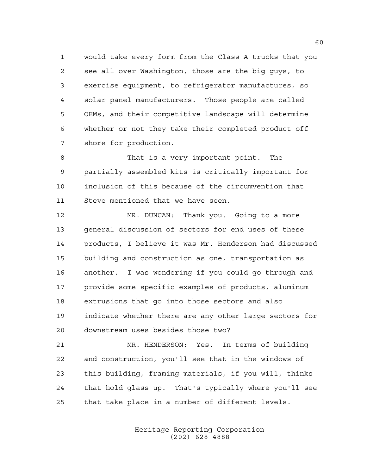would take every form from the Class A trucks that you see all over Washington, those are the big guys, to exercise equipment, to refrigerator manufactures, so solar panel manufacturers. Those people are called OEMs, and their competitive landscape will determine whether or not they take their completed product off shore for production.

 That is a very important point. The partially assembled kits is critically important for inclusion of this because of the circumvention that Steve mentioned that we have seen.

 MR. DUNCAN: Thank you. Going to a more general discussion of sectors for end uses of these products, I believe it was Mr. Henderson had discussed building and construction as one, transportation as another. I was wondering if you could go through and provide some specific examples of products, aluminum extrusions that go into those sectors and also indicate whether there are any other large sectors for downstream uses besides those two?

 MR. HENDERSON: Yes. In terms of building and construction, you'll see that in the windows of this building, framing materials, if you will, thinks that hold glass up. That's typically where you'll see that take place in a number of different levels.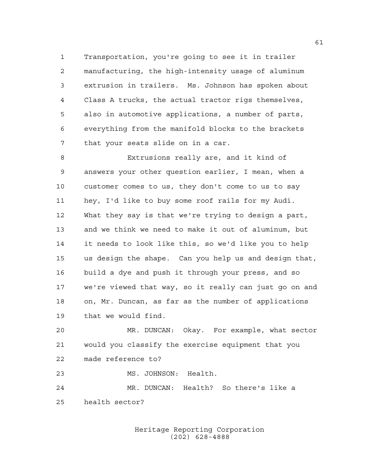Transportation, you're going to see it in trailer manufacturing, the high-intensity usage of aluminum extrusion in trailers. Ms. Johnson has spoken about Class A trucks, the actual tractor rigs themselves, also in automotive applications, a number of parts, everything from the manifold blocks to the brackets that your seats slide on in a car.

 Extrusions really are, and it kind of answers your other question earlier, I mean, when a customer comes to us, they don't come to us to say hey, I'd like to buy some roof rails for my Audi. What they say is that we're trying to design a part, and we think we need to make it out of aluminum, but it needs to look like this, so we'd like you to help us design the shape. Can you help us and design that, build a dye and push it through your press, and so we're viewed that way, so it really can just go on and on, Mr. Duncan, as far as the number of applications that we would find.

 MR. DUNCAN: Okay. For example, what sector would you classify the exercise equipment that you made reference to?

MS. JOHNSON: Health.

 MR. DUNCAN: Health? So there's like a health sector?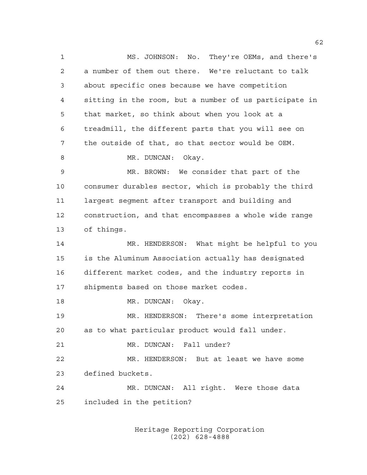MS. JOHNSON: No. They're OEMs, and there's a number of them out there. We're reluctant to talk about specific ones because we have competition sitting in the room, but a number of us participate in that market, so think about when you look at a treadmill, the different parts that you will see on the outside of that, so that sector would be OEM. 8 MR. DUNCAN: Okay. MR. BROWN: We consider that part of the consumer durables sector, which is probably the third largest segment after transport and building and construction, and that encompasses a whole wide range of things. MR. HENDERSON: What might be helpful to you is the Aluminum Association actually has designated different market codes, and the industry reports in shipments based on those market codes. 18 MR. DUNCAN: Okay. MR. HENDERSON: There's some interpretation as to what particular product would fall under. MR. DUNCAN: Fall under? MR. HENDERSON: But at least we have some defined buckets. MR. DUNCAN: All right. Were those data included in the petition?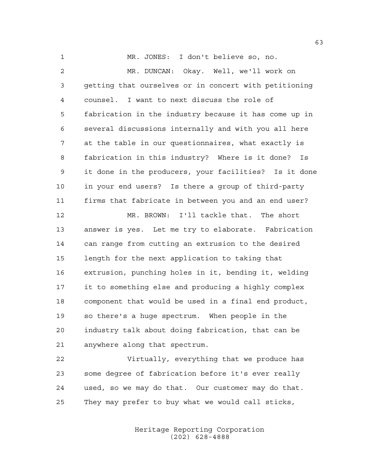MR. JONES: I don't believe so, no. MR. DUNCAN: Okay. Well, we'll work on getting that ourselves or in concert with petitioning counsel. I want to next discuss the role of fabrication in the industry because it has come up in several discussions internally and with you all here at the table in our questionnaires, what exactly is fabrication in this industry? Where is it done? Is it done in the producers, your facilities? Is it done in your end users? Is there a group of third-party firms that fabricate in between you and an end user? MR. BROWN: I'll tackle that. The short answer is yes. Let me try to elaborate. Fabrication can range from cutting an extrusion to the desired length for the next application to taking that extrusion, punching holes in it, bending it, welding it to something else and producing a highly complex component that would be used in a final end product, so there's a huge spectrum. When people in the industry talk about doing fabrication, that can be anywhere along that spectrum.

 Virtually, everything that we produce has some degree of fabrication before it's ever really used, so we may do that. Our customer may do that. They may prefer to buy what we would call sticks,

> Heritage Reporting Corporation (202) 628-4888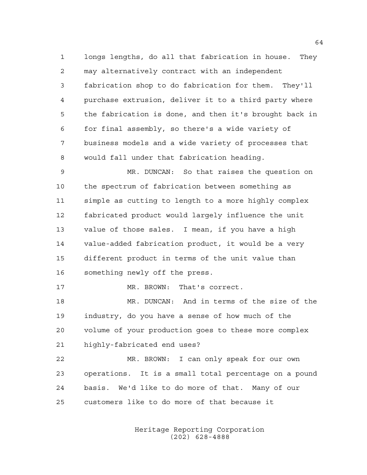longs lengths, do all that fabrication in house. They may alternatively contract with an independent fabrication shop to do fabrication for them. They'll purchase extrusion, deliver it to a third party where the fabrication is done, and then it's brought back in for final assembly, so there's a wide variety of business models and a wide variety of processes that would fall under that fabrication heading.

 MR. DUNCAN: So that raises the question on the spectrum of fabrication between something as simple as cutting to length to a more highly complex fabricated product would largely influence the unit value of those sales. I mean, if you have a high value-added fabrication product, it would be a very different product in terms of the unit value than something newly off the press.

17 MR. BROWN: That's correct.

 MR. DUNCAN: And in terms of the size of the industry, do you have a sense of how much of the volume of your production goes to these more complex highly-fabricated end uses?

 MR. BROWN: I can only speak for our own operations. It is a small total percentage on a pound basis. We'd like to do more of that. Many of our customers like to do more of that because it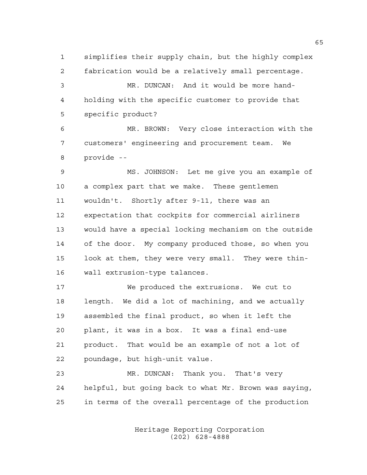simplifies their supply chain, but the highly complex fabrication would be a relatively small percentage.

 MR. DUNCAN: And it would be more hand- holding with the specific customer to provide that specific product?

 MR. BROWN: Very close interaction with the customers' engineering and procurement team. We provide --

 MS. JOHNSON: Let me give you an example of a complex part that we make. These gentlemen wouldn't. Shortly after 9-11, there was an expectation that cockpits for commercial airliners would have a special locking mechanism on the outside of the door. My company produced those, so when you look at them, they were very small. They were thin-wall extrusion-type talances.

 We produced the extrusions. We cut to length. We did a lot of machining, and we actually assembled the final product, so when it left the plant, it was in a box. It was a final end-use product. That would be an example of not a lot of poundage, but high-unit value.

 MR. DUNCAN: Thank you. That's very helpful, but going back to what Mr. Brown was saying, in terms of the overall percentage of the production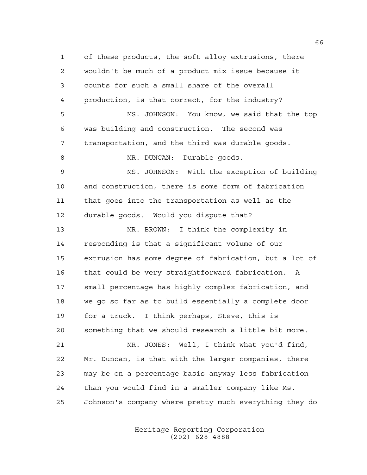of these products, the soft alloy extrusions, there wouldn't be much of a product mix issue because it counts for such a small share of the overall production, is that correct, for the industry? MS. JOHNSON: You know, we said that the top was building and construction. The second was transportation, and the third was durable goods. 8 MR. DUNCAN: Durable goods. MS. JOHNSON: With the exception of building and construction, there is some form of fabrication that goes into the transportation as well as the durable goods. Would you dispute that? MR. BROWN: I think the complexity in responding is that a significant volume of our extrusion has some degree of fabrication, but a lot of that could be very straightforward fabrication. A small percentage has highly complex fabrication, and we go so far as to build essentially a complete door for a truck. I think perhaps, Steve, this is something that we should research a little bit more. MR. JONES: Well, I think what you'd find, Mr. Duncan, is that with the larger companies, there may be on a percentage basis anyway less fabrication than you would find in a smaller company like Ms. Johnson's company where pretty much everything they do

> Heritage Reporting Corporation (202) 628-4888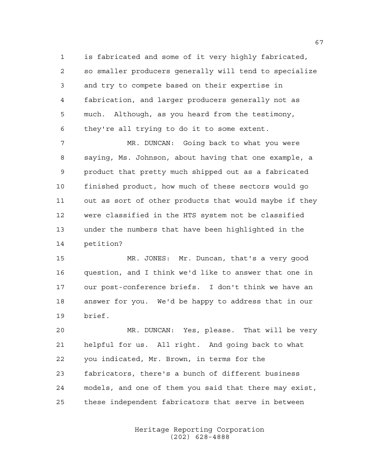is fabricated and some of it very highly fabricated, so smaller producers generally will tend to specialize and try to compete based on their expertise in fabrication, and larger producers generally not as much. Although, as you heard from the testimony, they're all trying to do it to some extent.

 MR. DUNCAN: Going back to what you were saying, Ms. Johnson, about having that one example, a product that pretty much shipped out as a fabricated finished product, how much of these sectors would go out as sort of other products that would maybe if they were classified in the HTS system not be classified under the numbers that have been highlighted in the petition?

 MR. JONES: Mr. Duncan, that's a very good question, and I think we'd like to answer that one in our post-conference briefs. I don't think we have an answer for you. We'd be happy to address that in our brief.

 MR. DUNCAN: Yes, please. That will be very helpful for us. All right. And going back to what you indicated, Mr. Brown, in terms for the fabricators, there's a bunch of different business models, and one of them you said that there may exist, these independent fabricators that serve in between

> Heritage Reporting Corporation (202) 628-4888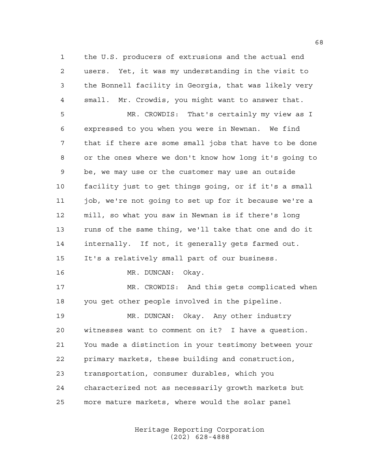the U.S. producers of extrusions and the actual end users. Yet, it was my understanding in the visit to the Bonnell facility in Georgia, that was likely very small. Mr. Crowdis, you might want to answer that.

 MR. CROWDIS: That's certainly my view as I expressed to you when you were in Newnan. We find that if there are some small jobs that have to be done or the ones where we don't know how long it's going to be, we may use or the customer may use an outside facility just to get things going, or if it's a small job, we're not going to set up for it because we're a mill, so what you saw in Newnan is if there's long runs of the same thing, we'll take that one and do it internally. If not, it generally gets farmed out. It's a relatively small part of our business. 16 MR. DUNCAN: Okay. 17 MR. CROWDIS: And this gets complicated when

you get other people involved in the pipeline.

 MR. DUNCAN: Okay. Any other industry witnesses want to comment on it? I have a question. You made a distinction in your testimony between your primary markets, these building and construction, transportation, consumer durables, which you characterized not as necessarily growth markets but more mature markets, where would the solar panel

> Heritage Reporting Corporation (202) 628-4888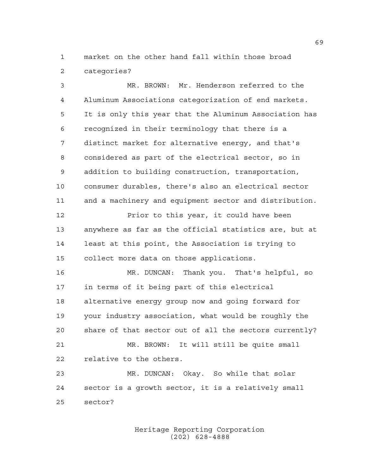market on the other hand fall within those broad categories?

 MR. BROWN: Mr. Henderson referred to the Aluminum Associations categorization of end markets. It is only this year that the Aluminum Association has recognized in their terminology that there is a distinct market for alternative energy, and that's considered as part of the electrical sector, so in addition to building construction, transportation, consumer durables, there's also an electrical sector and a machinery and equipment sector and distribution. Prior to this year, it could have been anywhere as far as the official statistics are, but at least at this point, the Association is trying to collect more data on those applications. MR. DUNCAN: Thank you. That's helpful, so in terms of it being part of this electrical alternative energy group now and going forward for your industry association, what would be roughly the share of that sector out of all the sectors currently? MR. BROWN: It will still be quite small relative to the others. MR. DUNCAN: Okay. So while that solar sector is a growth sector, it is a relatively small sector?

> Heritage Reporting Corporation (202) 628-4888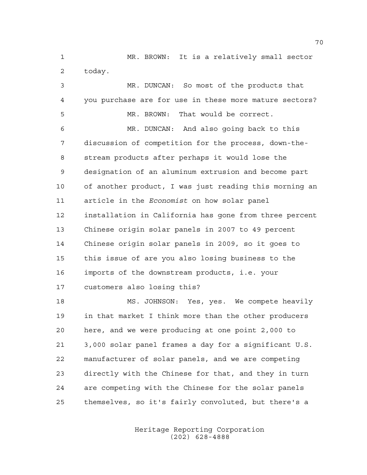MR. BROWN: It is a relatively small sector today.

 MR. DUNCAN: So most of the products that you purchase are for use in these more mature sectors? MR. BROWN: That would be correct. MR. DUNCAN: And also going back to this discussion of competition for the process, down-the- stream products after perhaps it would lose the designation of an aluminum extrusion and become part of another product, I was just reading this morning an article in the *Economist* on how solar panel installation in California has gone from three percent Chinese origin solar panels in 2007 to 49 percent Chinese origin solar panels in 2009, so it goes to this issue of are you also losing business to the imports of the downstream products, i.e. your customers also losing this? MS. JOHNSON: Yes, yes. We compete heavily in that market I think more than the other producers here, and we were producing at one point 2,000 to 3,000 solar panel frames a day for a significant U.S. manufacturer of solar panels, and we are competing directly with the Chinese for that, and they in turn are competing with the Chinese for the solar panels

themselves, so it's fairly convoluted, but there's a

Heritage Reporting Corporation (202) 628-4888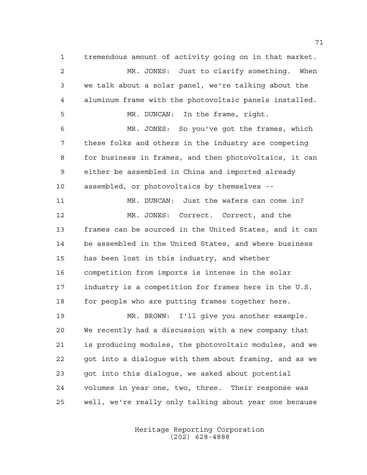tremendous amount of activity going on in that market. MR. JONES: Just to clarify something. When we talk about a solar panel, we're talking about the aluminum frame with the photovoltaic panels installed. MR. DUNCAN: In the frame, right. MR. JONES: So you've got the frames, which these folks and others in the industry are competing for business in frames, and then photovoltaics, it can either be assembled in China and imported already assembled, or photovoltaics by themselves -- MR. DUNCAN: Just the wafers can come in? MR. JONES: Correct. Correct, and the frames can be sourced in the United States, and it can be assembled in the United States, and where business has been lost in this industry, and whether competition from imports is intense in the solar industry is a competition for frames here in the U.S. 18 for people who are putting frames together here. MR. BROWN: I'll give you another example. We recently had a discussion with a new company that is producing modules, the photovoltaic modules, and we

 got into a dialogue with them about framing, and as we got into this dialogue, we asked about potential volumes in year one, two, three. Their response was well, we're really only talking about year one because

> Heritage Reporting Corporation (202) 628-4888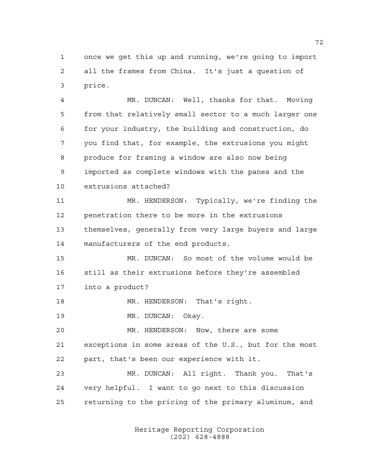once we get this up and running, we're going to import all the frames from China. It's just a question of price.

 MR. DUNCAN: Well, thanks for that. Moving from that relatively small sector to a much larger one for your industry, the building and construction, do you find that, for example, the extrusions you might produce for framing a window are also now being imported as complete windows with the panes and the extrusions attached?

 MR. HENDERSON: Typically, we're finding the penetration there to be more in the extrusions themselves, generally from very large buyers and large manufacturers of the end products.

 MR. DUNCAN: So most of the volume would be still as their extrusions before they're assembled into a product?

18 MR. HENDERSON: That's right.

19 MR. DUNCAN: Okay.

 MR. HENDERSON: Now, there are some exceptions in some areas of the U.S., but for the most part, that's been our experience with it.

 MR. DUNCAN: All right. Thank you. That's very helpful. I want to go next to this discussion returning to the pricing of the primary aluminum, and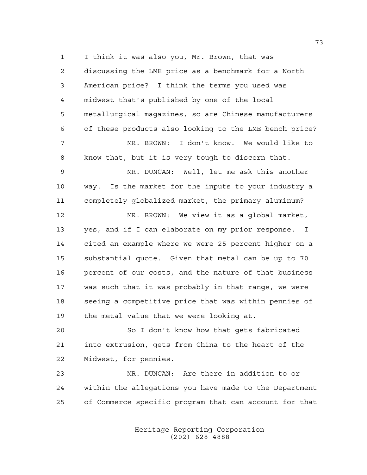I think it was also you, Mr. Brown, that was discussing the LME price as a benchmark for a North American price? I think the terms you used was midwest that's published by one of the local metallurgical magazines, so are Chinese manufacturers of these products also looking to the LME bench price? MR. BROWN: I don't know. We would like to know that, but it is very tough to discern that. MR. DUNCAN: Well, let me ask this another way. Is the market for the inputs to your industry a completely globalized market, the primary aluminum? MR. BROWN: We view it as a global market, yes, and if I can elaborate on my prior response. I cited an example where we were 25 percent higher on a substantial quote. Given that metal can be up to 70 percent of our costs, and the nature of that business was such that it was probably in that range, we were seeing a competitive price that was within pennies of the metal value that we were looking at. So I don't know how that gets fabricated into extrusion, gets from China to the heart of the Midwest, for pennies. MR. DUNCAN: Are there in addition to or within the allegations you have made to the Department

> Heritage Reporting Corporation (202) 628-4888

of Commerce specific program that can account for that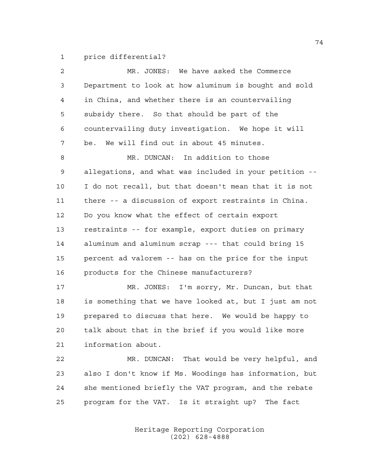price differential?

| $\overline{2}$ | MR. JONES: We have asked the Commerce                  |
|----------------|--------------------------------------------------------|
| 3              | Department to look at how aluminum is bought and sold  |
| 4              | in China, and whether there is an countervailing       |
| 5              | subsidy there. So that should be part of the           |
| 6              | countervailing duty investigation. We hope it will     |
| 7              | be. We will find out in about 45 minutes.              |
| 8              | MR. DUNCAN: In addition to those                       |
| 9              | allegations, and what was included in your petition -- |
| 10             | I do not recall, but that doesn't mean that it is not  |
| 11             | there -- a discussion of export restraints in China.   |
| 12             | Do you know what the effect of certain export          |
| 13             | restraints -- for example, export duties on primary    |
| 14             | aluminum and aluminum scrap --- that could bring 15    |
| 15             | percent ad valorem -- has on the price for the input   |
| 16             | products for the Chinese manufacturers?                |
| 17             | MR. JONES: I'm sorry, Mr. Duncan, but that             |
| 18             | is something that we have looked at, but I just am not |
| 19             | prepared to discuss that here. We would be happy to    |
| 20             | talk about that in the brief if you would like more    |
| 21             | information about.                                     |
| 22             | MR. DUNCAN: That would be very helpful, and            |
| 23             | also I don't know if Ms. Woodings has information, but |
| 24             | she mentioned briefly the VAT program, and the rebate  |
| 25             | program for the VAT. Is it straight up? The fact       |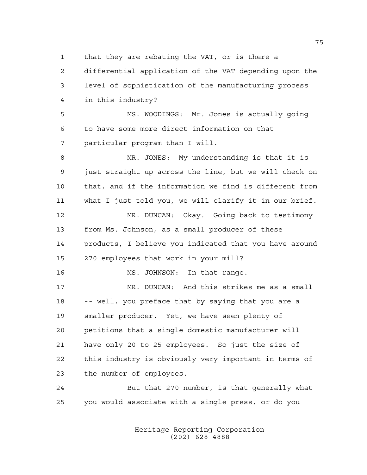that they are rebating the VAT, or is there a

 differential application of the VAT depending upon the level of sophistication of the manufacturing process in this industry?

 MS. WOODINGS: Mr. Jones is actually going to have some more direct information on that particular program than I will.

 MR. JONES: My understanding is that it is just straight up across the line, but we will check on that, and if the information we find is different from what I just told you, we will clarify it in our brief. MR. DUNCAN: Okay. Going back to testimony from Ms. Johnson, as a small producer of these products, I believe you indicated that you have around 270 employees that work in your mill? MS. JOHNSON: In that range.

 MR. DUNCAN: And this strikes me as a small -- well, you preface that by saying that you are a smaller producer. Yet, we have seen plenty of petitions that a single domestic manufacturer will have only 20 to 25 employees. So just the size of this industry is obviously very important in terms of the number of employees.

 But that 270 number, is that generally what you would associate with a single press, or do you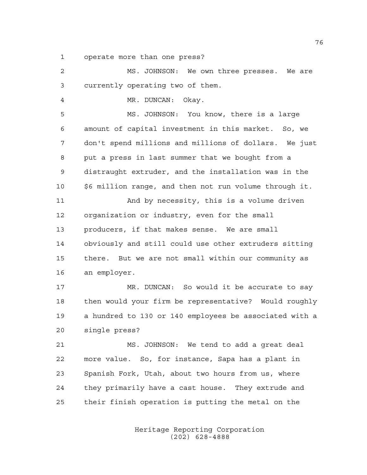operate more than one press?

 MS. JOHNSON: We own three presses. We are currently operating two of them. MR. DUNCAN: Okay. MS. JOHNSON: You know, there is a large amount of capital investment in this market. So, we don't spend millions and millions of dollars. We just put a press in last summer that we bought from a distraught extruder, and the installation was in the \$6 million range, and then not run volume through it. And by necessity, this is a volume driven organization or industry, even for the small producers, if that makes sense. We are small obviously and still could use other extruders sitting there. But we are not small within our community as an employer. 17 MR. DUNCAN: So would it be accurate to say then would your firm be representative? Would roughly a hundred to 130 or 140 employees be associated with a single press? MS. JOHNSON: We tend to add a great deal more value. So, for instance, Sapa has a plant in Spanish Fork, Utah, about two hours from us, where they primarily have a cast house. They extrude and their finish operation is putting the metal on the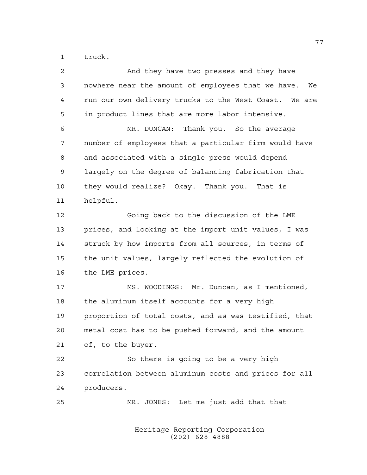truck.

| 2  | And they have two presses and they have                  |
|----|----------------------------------------------------------|
| 3  | nowhere near the amount of employees that we have.<br>We |
| 4  | run our own delivery trucks to the West Coast. We are    |
| 5  | in product lines that are more labor intensive.          |
| 6  | MR. DUNCAN: Thank you. So the average                    |
| 7  | number of employees that a particular firm would have    |
| 8  | and associated with a single press would depend          |
| 9  | largely on the degree of balancing fabrication that      |
| 10 | they would realize? Okay. Thank you. That is             |
| 11 | helpful.                                                 |
| 12 | Going back to the discussion of the LME                  |
| 13 | prices, and looking at the import unit values, I was     |
| 14 | struck by how imports from all sources, in terms of      |
| 15 | the unit values, largely reflected the evolution of      |
| 16 | the LME prices.                                          |
| 17 | MS. WOODINGS: Mr. Duncan, as I mentioned,                |
| 18 | the aluminum itself accounts for a very high             |
| 19 | proportion of total costs, and as was testified, that    |
| 20 | metal cost has to be pushed forward, and the amount      |
| 21 | of, to the buyer.                                        |
| 22 | So there is going to be a very high                      |
| 23 | correlation between aluminum costs and prices for all    |
| 24 | producers.                                               |
| 25 | MR. JONES: Let me just add that that                     |
|    |                                                          |
|    |                                                          |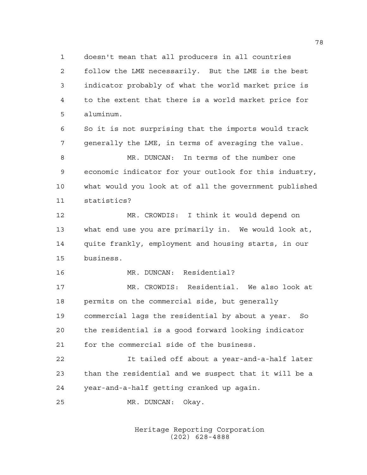doesn't mean that all producers in all countries follow the LME necessarily. But the LME is the best indicator probably of what the world market price is to the extent that there is a world market price for aluminum.

 So it is not surprising that the imports would track generally the LME, in terms of averaging the value.

 MR. DUNCAN: In terms of the number one economic indicator for your outlook for this industry, what would you look at of all the government published statistics?

 MR. CROWDIS: I think it would depend on what end use you are primarily in. We would look at, quite frankly, employment and housing starts, in our business.

MR. DUNCAN: Residential?

 MR. CROWDIS: Residential. We also look at permits on the commercial side, but generally commercial lags the residential by about a year. So the residential is a good forward looking indicator for the commercial side of the business.

 It tailed off about a year-and-a-half later than the residential and we suspect that it will be a year-and-a-half getting cranked up again.

MR. DUNCAN: Okay.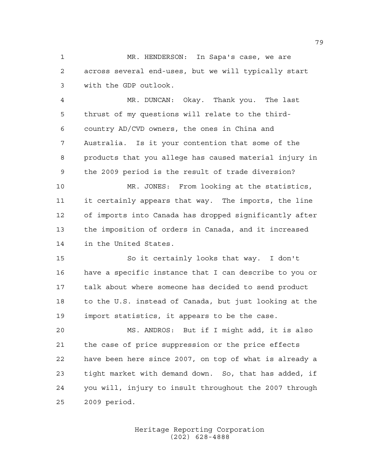MR. HENDERSON: In Sapa's case, we are across several end-uses, but we will typically start with the GDP outlook.

 MR. DUNCAN: Okay. Thank you. The last thrust of my questions will relate to the third- country AD/CVD owners, the ones in China and Australia. Is it your contention that some of the products that you allege has caused material injury in the 2009 period is the result of trade diversion?

 MR. JONES: From looking at the statistics, it certainly appears that way. The imports, the line of imports into Canada has dropped significantly after the imposition of orders in Canada, and it increased in the United States.

 So it certainly looks that way. I don't have a specific instance that I can describe to you or talk about where someone has decided to send product to the U.S. instead of Canada, but just looking at the import statistics, it appears to be the case.

 MS. ANDROS: But if I might add, it is also the case of price suppression or the price effects have been here since 2007, on top of what is already a tight market with demand down. So, that has added, if you will, injury to insult throughout the 2007 through 2009 period.

> Heritage Reporting Corporation (202) 628-4888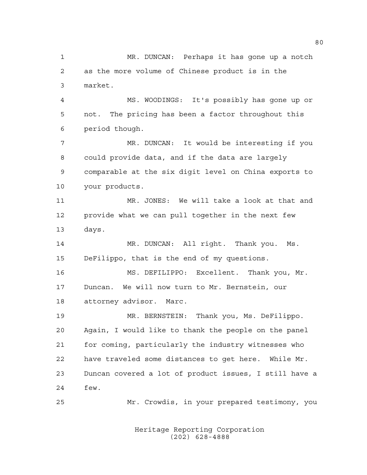MR. DUNCAN: Perhaps it has gone up a notch as the more volume of Chinese product is in the market. MS. WOODINGS: It's possibly has gone up or not. The pricing has been a factor throughout this period though. MR. DUNCAN: It would be interesting if you could provide data, and if the data are largely comparable at the six digit level on China exports to your products. MR. JONES: We will take a look at that and provide what we can pull together in the next few days. 14 MR. DUNCAN: All right. Thank you. Ms. DeFilippo, that is the end of my questions. MS. DEFILIPPO: Excellent. Thank you, Mr. Duncan. We will now turn to Mr. Bernstein, our attorney advisor. Marc. MR. BERNSTEIN: Thank you, Ms. DeFilippo. Again, I would like to thank the people on the panel for coming, particularly the industry witnesses who have traveled some distances to get here. While Mr. Duncan covered a lot of product issues, I still have a few. Mr. Crowdis, in your prepared testimony, you

> Heritage Reporting Corporation (202) 628-4888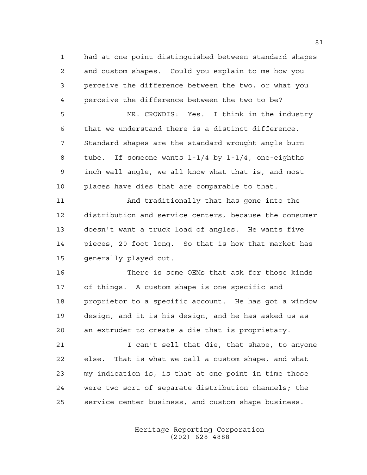had at one point distinguished between standard shapes and custom shapes. Could you explain to me how you perceive the difference between the two, or what you perceive the difference between the two to be?

 MR. CROWDIS: Yes. I think in the industry that we understand there is a distinct difference. Standard shapes are the standard wrought angle burn tube. If someone wants 1-1/4 by 1-1/4, one-eighths inch wall angle, we all know what that is, and most places have dies that are comparable to that.

 And traditionally that has gone into the distribution and service centers, because the consumer doesn't want a truck load of angles. He wants five pieces, 20 foot long. So that is how that market has 15 generally played out.

 There is some OEMs that ask for those kinds of things. A custom shape is one specific and proprietor to a specific account. He has got a window design, and it is his design, and he has asked us as an extruder to create a die that is proprietary.

 I can't sell that die, that shape, to anyone else. That is what we call a custom shape, and what my indication is, is that at one point in time those were two sort of separate distribution channels; the service center business, and custom shape business.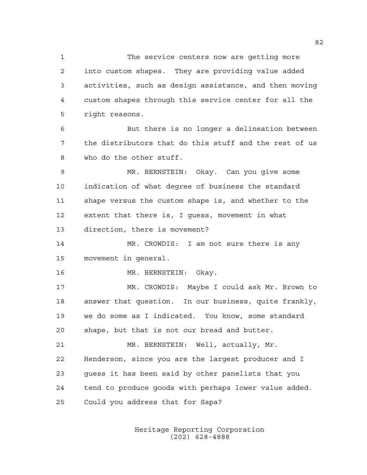The service centers now are getting more into custom shapes. They are providing value added activities, such as design assistance, and then moving custom shapes through this service center for all the right reasons.

 But there is no longer a delineation between the distributors that do this stuff and the rest of us who do the other stuff.

 MR. BERNSTEIN: Okay. Can you give some indication of what degree of business the standard shape versus the custom shape is, and whether to the extent that there is, I guess, movement in what direction, there is movement?

 MR. CROWDIS: I am not sure there is any movement in general.

16 MR. BERNSTEIN: Okay.

 MR. CROWDIS: Maybe I could ask Mr. Brown to answer that question. In our business, quite frankly, we do some as I indicated. You know, some standard shape, but that is not our bread and butter.

 MR. BERNSTEIN: Well, actually, Mr. Henderson, since you are the largest producer and I guess it has been said by other panelists that you tend to produce goods with perhaps lower value added. Could you address that for Sapa?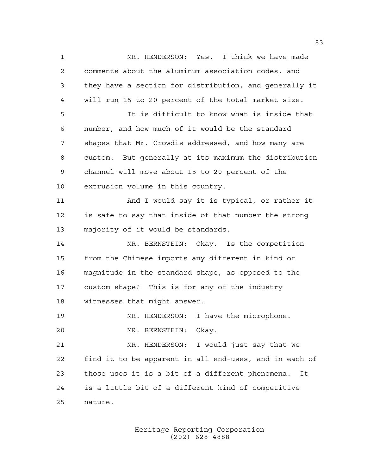MR. HENDERSON: Yes. I think we have made comments about the aluminum association codes, and they have a section for distribution, and generally it will run 15 to 20 percent of the total market size. It is difficult to know what is inside that number, and how much of it would be the standard shapes that Mr. Crowdis addressed, and how many are custom. But generally at its maximum the distribution channel will move about 15 to 20 percent of the extrusion volume in this country. And I would say it is typical, or rather it is safe to say that inside of that number the strong majority of it would be standards. MR. BERNSTEIN: Okay. Is the competition from the Chinese imports any different in kind or magnitude in the standard shape, as opposed to the custom shape? This is for any of the industry witnesses that might answer. MR. HENDERSON: I have the microphone. MR. BERNSTEIN: Okay. MR. HENDERSON: I would just say that we find it to be apparent in all end-uses, and in each of those uses it is a bit of a different phenomena. It is a little bit of a different kind of competitive nature.

> Heritage Reporting Corporation (202) 628-4888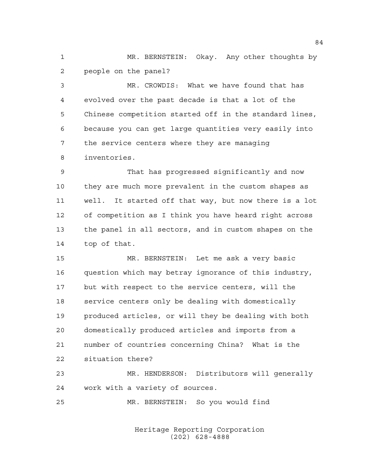MR. BERNSTEIN: Okay. Any other thoughts by people on the panel?

 MR. CROWDIS: What we have found that has evolved over the past decade is that a lot of the Chinese competition started off in the standard lines, because you can get large quantities very easily into the service centers where they are managing inventories.

 That has progressed significantly and now they are much more prevalent in the custom shapes as well. It started off that way, but now there is a lot of competition as I think you have heard right across the panel in all sectors, and in custom shapes on the top of that.

 MR. BERNSTEIN: Let me ask a very basic question which may betray ignorance of this industry, but with respect to the service centers, will the service centers only be dealing with domestically produced articles, or will they be dealing with both domestically produced articles and imports from a number of countries concerning China? What is the situation there?

 MR. HENDERSON: Distributors will generally work with a variety of sources.

MR. BERNSTEIN: So you would find

Heritage Reporting Corporation (202) 628-4888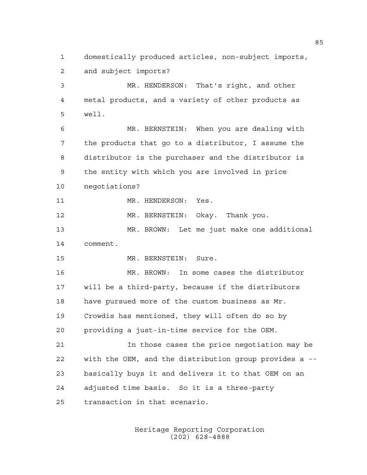domestically produced articles, non-subject imports, and subject imports? MR. HENDERSON: That's right, and other metal products, and a variety of other products as well. MR. BERNSTEIN: When you are dealing with the products that go to a distributor, I assume the

 distributor is the purchaser and the distributor is the entity with which you are involved in price

negotiations?

11 MR. HENDERSON: Yes.

MR. BERNSTEIN: Okay. Thank you.

 MR. BROWN: Let me just make one additional comment.

MR. BERNSTEIN: Sure.

 MR. BROWN: In some cases the distributor will be a third-party, because if the distributors have pursued more of the custom business as Mr. Crowdis has mentioned, they will often do so by providing a just-in-time service for the OEM.

 In those cases the price negotiation may be with the OEM, and the distribution group provides a -- basically buys it and delivers it to that OEM on an adjusted time basis. So it is a three-party transaction in that scenario.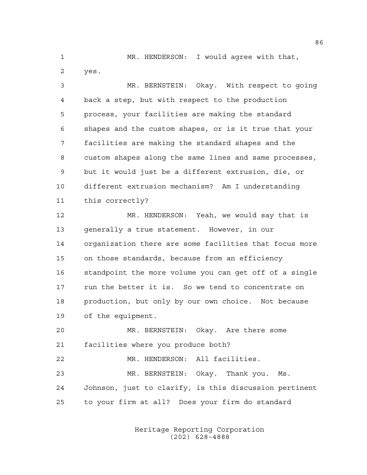MR. HENDERSON: I would agree with that, yes.

 MR. BERNSTEIN: Okay. With respect to going back a step, but with respect to the production process, your facilities are making the standard shapes and the custom shapes, or is it true that your facilities are making the standard shapes and the custom shapes along the same lines and same processes, but it would just be a different extrusion, die, or different extrusion mechanism? Am I understanding this correctly?

 MR. HENDERSON: Yeah, we would say that is generally a true statement. However, in our organization there are some facilities that focus more on those standards, because from an efficiency standpoint the more volume you can get off of a single run the better it is. So we tend to concentrate on production, but only by our own choice. Not because of the equipment.

 MR. BERNSTEIN: Okay. Are there some facilities where you produce both? MR. HENDERSON: All facilities. MR. BERNSTEIN: Okay. Thank you. Ms. Johnson, just to clarify, is this discussion pertinent to your firm at all? Does your firm do standard

> Heritage Reporting Corporation (202) 628-4888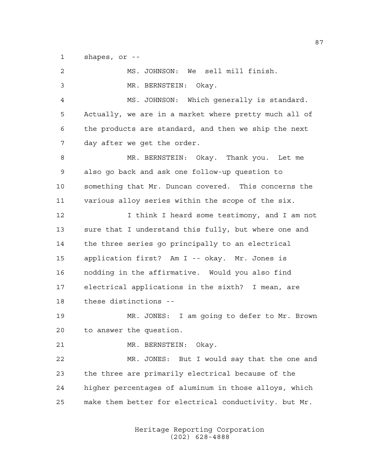shapes, or --

| 2  | MS. JOHNSON: We sell mill finish.                     |
|----|-------------------------------------------------------|
| 3  | MR. BERNSTEIN: Okay.                                  |
| 4  | MS. JOHNSON: Which generally is standard.             |
| 5  | Actually, we are in a market where pretty much all of |
| 6  | the products are standard, and then we ship the next  |
| 7  | day after we get the order.                           |
| 8  | MR. BERNSTEIN: Okay. Thank you. Let me                |
| 9  | also go back and ask one follow-up question to        |
| 10 | something that Mr. Duncan covered. This concerns the  |
| 11 | various alloy series within the scope of the six.     |
| 12 | I think I heard some testimony, and I am not          |
| 13 | sure that I understand this fully, but where one and  |
| 14 | the three series go principally to an electrical      |
| 15 | application first? Am I -- okay. Mr. Jones is         |
| 16 | nodding in the affirmative. Would you also find       |
| 17 | electrical applications in the sixth? I mean, are     |
| 18 | these distinctions --                                 |
| 19 | MR. JONES: I am going to defer to Mr. Brown           |
| 20 | to answer the question.                               |
| 21 | MR. BERNSTEIN: Okay.                                  |
| 22 | MR. JONES: But I would say that the one and           |
| 23 | the three are primarily electrical because of the     |
| 24 | higher percentages of aluminum in those alloys, which |
| 25 | make them better for electrical conductivity. but Mr. |
|    |                                                       |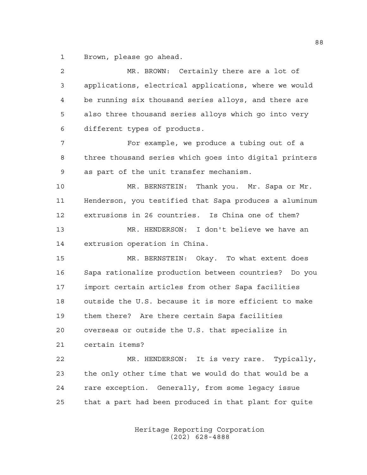Brown, please go ahead.

| 2  | MR. BROWN: Certainly there are a lot of                |
|----|--------------------------------------------------------|
| 3  | applications, electrical applications, where we would  |
| 4  | be running six thousand series alloys, and there are   |
| 5  | also three thousand series alloys which go into very   |
| 6  | different types of products.                           |
| 7  | For example, we produce a tubing out of a              |
| 8  | three thousand series which goes into digital printers |
| 9  | as part of the unit transfer mechanism.                |
| 10 | MR. BERNSTEIN: Thank you. Mr. Sapa or Mr.              |
| 11 | Henderson, you testified that Sapa produces a aluminum |
| 12 | extrusions in 26 countries. Is China one of them?      |
| 13 | MR. HENDERSON: I don't believe we have an              |
| 14 | extrusion operation in China.                          |
| 15 | MR. BERNSTEIN: Okay. To what extent does               |
| 16 | Sapa rationalize production between countries? Do you  |
| 17 | import certain articles from other Sapa facilities     |
| 18 | outside the U.S. because it is more efficient to make  |
| 19 | them there? Are there certain Sapa facilities          |
| 20 | overseas or outside the U.S. that specialize in        |
| 21 | certain items?                                         |
| 22 | MR. HENDERSON: It is very rare. Typically,             |
| 23 | the only other time that we would do that would be a   |
| 24 | rare exception. Generally, from some legacy issue      |
| 25 | that a part had been produced in that plant for quite  |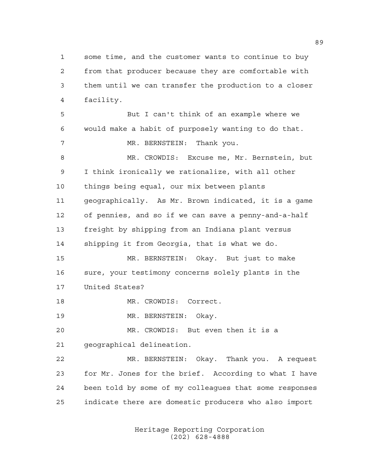some time, and the customer wants to continue to buy from that producer because they are comfortable with them until we can transfer the production to a closer facility.

 But I can't think of an example where we would make a habit of purposely wanting to do that. 7 MR. BERNSTEIN: Thank you. MR. CROWDIS: Excuse me, Mr. Bernstein, but I think ironically we rationalize, with all other things being equal, our mix between plants geographically. As Mr. Brown indicated, it is a game of pennies, and so if we can save a penny-and-a-half freight by shipping from an Indiana plant versus shipping it from Georgia, that is what we do. MR. BERNSTEIN: Okay. But just to make

 sure, your testimony concerns solely plants in the United States?

MR. CROWDIS: Correct.

MR. BERNSTEIN: Okay.

 MR. CROWDIS: But even then it is a geographical delineation.

 MR. BERNSTEIN: Okay. Thank you. A request for Mr. Jones for the brief. According to what I have been told by some of my colleagues that some responses indicate there are domestic producers who also import

> Heritage Reporting Corporation (202) 628-4888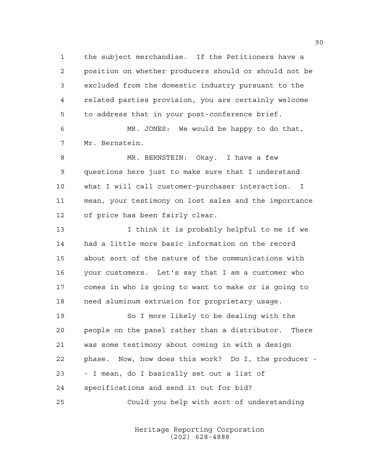the subject merchandise. If the Petitioners have a position on whether producers should or should not be excluded from the domestic industry pursuant to the related parties provision, you are certainly welcome to address that in your post-conference brief.

 MR. JONES: We would be happy to do that, Mr. Bernstein.

 MR. BERNSTEIN: Okay. I have a few questions here just to make sure that I understand what I will call customer-purchaser interaction. I mean, your testimony on lost sales and the importance of price has been fairly clear.

13 13 I think it is probably helpful to me if we had a little more basic information on the record about sort of the nature of the communications with your customers. Let's say that I am a customer who comes in who is going to want to make or is going to need aluminum extrusion for proprietary usage.

 So I more likely to be dealing with the people on the panel rather than a distributor. There was some testimony about coming in with a design phase. Now, how does this work? Do I, the producer - - I mean, do I basically set out a list of specifications and send it out for bid?

Could you help with sort of understanding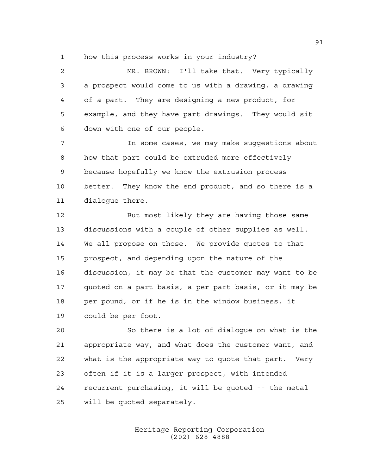how this process works in your industry?

 MR. BROWN: I'll take that. Very typically a prospect would come to us with a drawing, a drawing of a part. They are designing a new product, for example, and they have part drawings. They would sit down with one of our people.

 In some cases, we may make suggestions about how that part could be extruded more effectively because hopefully we know the extrusion process better. They know the end product, and so there is a dialogue there.

12 But most likely they are having those same discussions with a couple of other supplies as well. We all propose on those. We provide quotes to that prospect, and depending upon the nature of the discussion, it may be that the customer may want to be quoted on a part basis, a per part basis, or it may be per pound, or if he is in the window business, it could be per foot.

 So there is a lot of dialogue on what is the appropriate way, and what does the customer want, and what is the appropriate way to quote that part. Very often if it is a larger prospect, with intended recurrent purchasing, it will be quoted -- the metal will be quoted separately.

> Heritage Reporting Corporation (202) 628-4888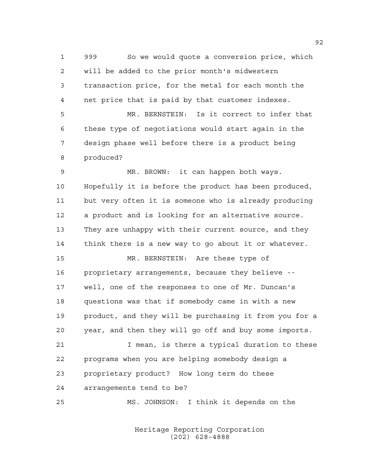999 So we would quote a conversion price, which will be added to the prior month's midwestern transaction price, for the metal for each month the net price that is paid by that customer indexes. MR. BERNSTEIN: Is it correct to infer that these type of negotiations would start again in the design phase well before there is a product being produced? MR. BROWN: it can happen both ways. Hopefully it is before the product has been produced, but very often it is someone who is already producing a product and is looking for an alternative source. They are unhappy with their current source, and they think there is a new way to go about it or whatever. MR. BERNSTEIN: Are these type of proprietary arrangements, because they believe -- well, one of the responses to one of Mr. Duncan's questions was that if somebody came in with a new product, and they will be purchasing it from you for a year, and then they will go off and buy some imports. I mean, is there a typical duration to these programs when you are helping somebody design a proprietary product? How long term do these arrangements tend to be?

MS. JOHNSON: I think it depends on the

Heritage Reporting Corporation (202) 628-4888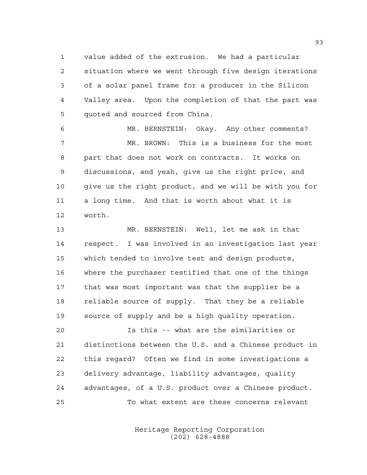value added of the extrusion. We had a particular situation where we went through five design iterations of a solar panel frame for a producer in the Silicon Valley area. Upon the completion of that the part was quoted and sourced from China.

 MR. BERNSTEIN: Okay. Any other comments? MR. BROWN: This is a business for the most part that does not work on contracts. It works on discussions, and yeah, give us the right price, and 10 give us the right product, and we will be with you for a long time. And that is worth about what it is worth.

 MR. BERNSTEIN: Well, let me ask in that respect. I was involved in an investigation last year which tended to involve test and design products, where the purchaser testified that one of the things that was most important was that the supplier be a reliable source of supply. That they be a reliable source of supply and be a high quality operation.

 Is this -- what are the similarities or distinctions between the U.S. and a Chinese product in this regard? Often we find in some investigations a delivery advantage, liability advantages, quality advantages, of a U.S. product over a Chinese product. To what extent are these concerns relevant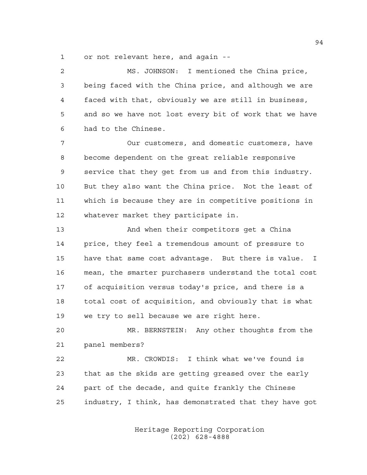or not relevant here, and again --

 MS. JOHNSON: I mentioned the China price, being faced with the China price, and although we are faced with that, obviously we are still in business, and so we have not lost every bit of work that we have had to the Chinese. Our customers, and domestic customers, have become dependent on the great reliable responsive service that they get from us and from this industry. But they also want the China price. Not the least of which is because they are in competitive positions in whatever market they participate in. And when their competitors get a China price, they feel a tremendous amount of pressure to have that same cost advantage. But there is value. I mean, the smarter purchasers understand the total cost of acquisition versus today's price, and there is a total cost of acquisition, and obviously that is what we try to sell because we are right here. MR. BERNSTEIN: Any other thoughts from the panel members? MR. CROWDIS: I think what we've found is

 that as the skids are getting greased over the early part of the decade, and quite frankly the Chinese industry, I think, has demonstrated that they have got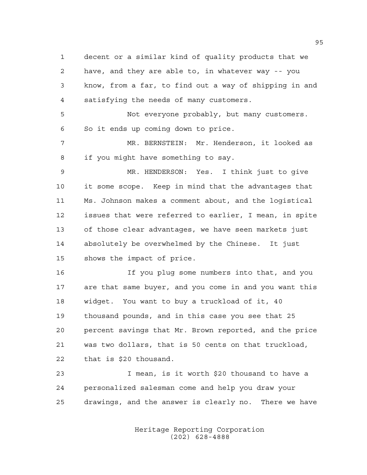decent or a similar kind of quality products that we have, and they are able to, in whatever way -- you know, from a far, to find out a way of shipping in and satisfying the needs of many customers. Not everyone probably, but many customers. So it ends up coming down to price. MR. BERNSTEIN: Mr. Henderson, it looked as if you might have something to say. MR. HENDERSON: Yes. I think just to give it some scope. Keep in mind that the advantages that Ms. Johnson makes a comment about, and the logistical issues that were referred to earlier, I mean, in spite of those clear advantages, we have seen markets just absolutely be overwhelmed by the Chinese. It just shows the impact of price. If you plug some numbers into that, and you are that same buyer, and you come in and you want this

 widget. You want to buy a truckload of it, 40 thousand pounds, and in this case you see that 25 percent savings that Mr. Brown reported, and the price was two dollars, that is 50 cents on that truckload, that is \$20 thousand.

 I mean, is it worth \$20 thousand to have a personalized salesman come and help you draw your drawings, and the answer is clearly no. There we have

> Heritage Reporting Corporation (202) 628-4888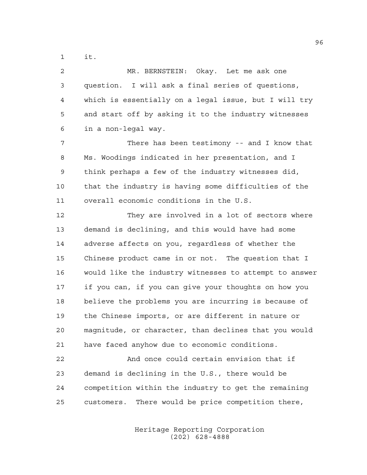it.

 MR. BERNSTEIN: Okay. Let me ask one question. I will ask a final series of questions, which is essentially on a legal issue, but I will try and start off by asking it to the industry witnesses in a non-legal way.

 There has been testimony -- and I know that Ms. Woodings indicated in her presentation, and I think perhaps a few of the industry witnesses did, that the industry is having some difficulties of the overall economic conditions in the U.S.

 They are involved in a lot of sectors where demand is declining, and this would have had some adverse affects on you, regardless of whether the Chinese product came in or not. The question that I would like the industry witnesses to attempt to answer if you can, if you can give your thoughts on how you believe the problems you are incurring is because of the Chinese imports, or are different in nature or magnitude, or character, than declines that you would have faced anyhow due to economic conditions.

 And once could certain envision that if demand is declining in the U.S., there would be competition within the industry to get the remaining customers. There would be price competition there,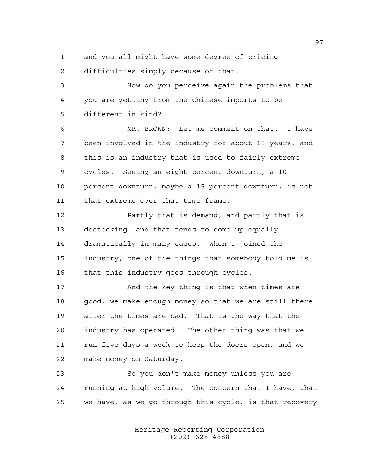and you all might have some degree of pricing

difficulties simply because of that.

 How do you perceive again the problems that you are getting from the Chinese imports to be different in kind?

 MR. BROWN: Let me comment on that. I have been involved in the industry for about 15 years, and this is an industry that is used to fairly extreme cycles. Seeing an eight percent downturn, a 10 percent downturn, maybe a 15 percent downturn, is not that extreme over that time frame.

 Partly that is demand, and partly that is destocking, and that tends to come up equally dramatically in many cases. When I joined the industry, one of the things that somebody told me is that this industry goes through cycles.

17 And the key thing is that when times are 18 good, we make enough money so that we are still there after the times are bad. That is the way that the industry has operated. The other thing was that we run five days a week to keep the doors open, and we make money on Saturday.

 So you don't make money unless you are running at high volume. The concern that I have, that we have, as we go through this cycle, is that recovery

> Heritage Reporting Corporation (202) 628-4888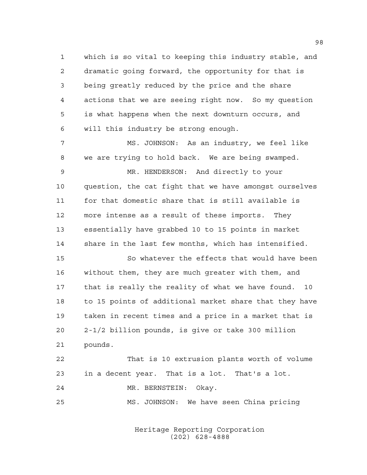which is so vital to keeping this industry stable, and dramatic going forward, the opportunity for that is being greatly reduced by the price and the share actions that we are seeing right now. So my question is what happens when the next downturn occurs, and will this industry be strong enough.

 MS. JOHNSON: As an industry, we feel like we are trying to hold back. We are being swamped. MR. HENDERSON: And directly to your question, the cat fight that we have amongst ourselves for that domestic share that is still available is more intense as a result of these imports. They essentially have grabbed 10 to 15 points in market share in the last few months, which has intensified.

 So whatever the effects that would have been without them, they are much greater with them, and that is really the reality of what we have found. 10 to 15 points of additional market share that they have taken in recent times and a price in a market that is 2-1/2 billion pounds, is give or take 300 million pounds.

 That is 10 extrusion plants worth of volume in a decent year. That is a lot. That's a lot. MR. BERNSTEIN: Okay. MS. JOHNSON: We have seen China pricing

> Heritage Reporting Corporation (202) 628-4888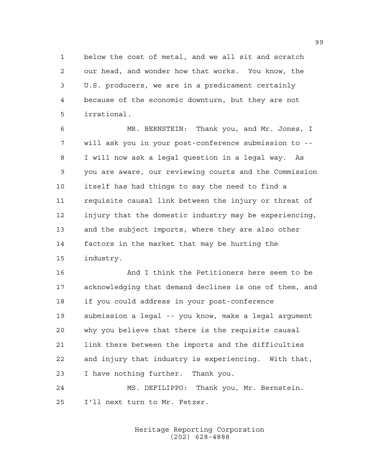below the cost of metal, and we all sit and scratch our head, and wonder how that works. You know, the U.S. producers, we are in a predicament certainly because of the economic downturn, but they are not irrational.

 MR. BERNSTEIN: Thank you, and Mr. Jones, I will ask you in your post-conference submission to -- I will now ask a legal question in a legal way. As you are aware, our reviewing courts and the Commission itself has had things to say the need to find a requisite causal link between the injury or threat of injury that the domestic industry may be experiencing, and the subject imports, where they are also other factors in the market that may be hurting the industry.

 And I think the Petitioners here seem to be acknowledging that demand declines is one of them, and if you could address in your post-conference submission a legal -- you know, make a legal argument why you believe that there is the requisite causal link there between the imports and the difficulties and injury that industry is experiencing. With that, I have nothing further. Thank you.

 MS. DEFILIPPO: Thank you, Mr. Bernstein. I'll next turn to Mr. Fetzer.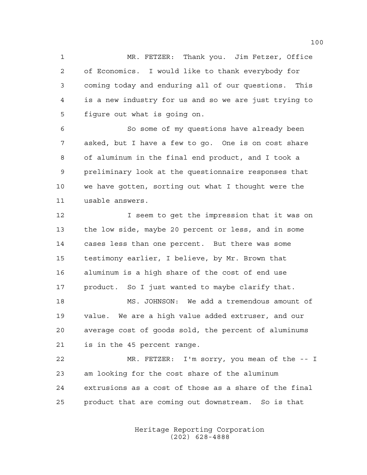MR. FETZER: Thank you. Jim Fetzer, Office of Economics. I would like to thank everybody for coming today and enduring all of our questions. This is a new industry for us and so we are just trying to figure out what is going on.

 So some of my questions have already been asked, but I have a few to go. One is on cost share of aluminum in the final end product, and I took a preliminary look at the questionnaire responses that we have gotten, sorting out what I thought were the usable answers.

 I seem to get the impression that it was on the low side, maybe 20 percent or less, and in some cases less than one percent. But there was some testimony earlier, I believe, by Mr. Brown that aluminum is a high share of the cost of end use product. So I just wanted to maybe clarify that.

 MS. JOHNSON: We add a tremendous amount of value. We are a high value added extruser, and our average cost of goods sold, the percent of aluminums is in the 45 percent range.

 MR. FETZER: I'm sorry, you mean of the -- I am looking for the cost share of the aluminum extrusions as a cost of those as a share of the final product that are coming out downstream. So is that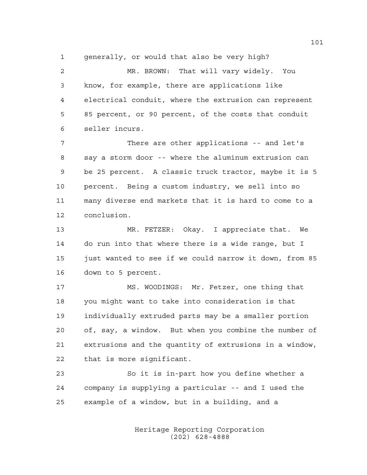generally, or would that also be very high?

 MR. BROWN: That will vary widely. You know, for example, there are applications like electrical conduit, where the extrusion can represent 85 percent, or 90 percent, of the costs that conduit seller incurs.

 There are other applications -- and let's say a storm door -- where the aluminum extrusion can be 25 percent. A classic truck tractor, maybe it is 5 percent. Being a custom industry, we sell into so many diverse end markets that it is hard to come to a conclusion.

 MR. FETZER: Okay. I appreciate that. We do run into that where there is a wide range, but I 15 just wanted to see if we could narrow it down, from 85 down to 5 percent.

 MS. WOODINGS: Mr. Fetzer, one thing that you might want to take into consideration is that individually extruded parts may be a smaller portion of, say, a window. But when you combine the number of extrusions and the quantity of extrusions in a window, that is more significant.

 So it is in-part how you define whether a company is supplying a particular -- and I used the example of a window, but in a building, and a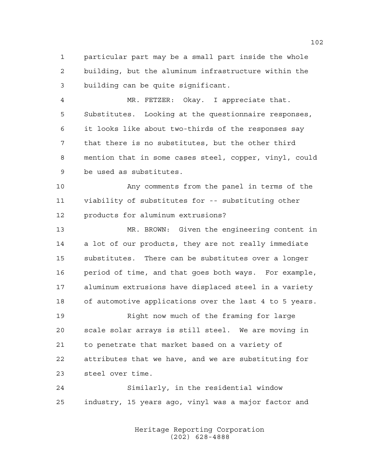particular part may be a small part inside the whole building, but the aluminum infrastructure within the building can be quite significant.

 MR. FETZER: Okay. I appreciate that. Substitutes. Looking at the questionnaire responses, it looks like about two-thirds of the responses say that there is no substitutes, but the other third mention that in some cases steel, copper, vinyl, could be used as substitutes.

 Any comments from the panel in terms of the viability of substitutes for -- substituting other products for aluminum extrusions?

 MR. BROWN: Given the engineering content in a lot of our products, they are not really immediate substitutes. There can be substitutes over a longer period of time, and that goes both ways. For example, aluminum extrusions have displaced steel in a variety of automotive applications over the last 4 to 5 years.

 Right now much of the framing for large scale solar arrays is still steel. We are moving in to penetrate that market based on a variety of attributes that we have, and we are substituting for steel over time.

 Similarly, in the residential window industry, 15 years ago, vinyl was a major factor and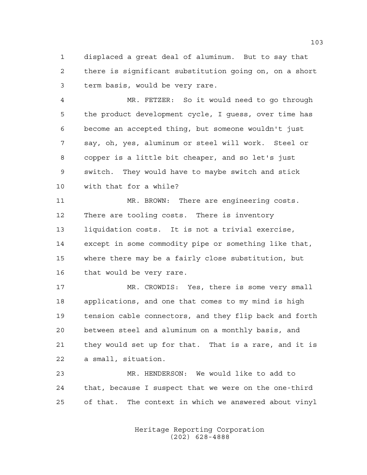displaced a great deal of aluminum. But to say that there is significant substitution going on, on a short term basis, would be very rare.

 MR. FETZER: So it would need to go through the product development cycle, I guess, over time has become an accepted thing, but someone wouldn't just say, oh, yes, aluminum or steel will work. Steel or copper is a little bit cheaper, and so let's just switch. They would have to maybe switch and stick with that for a while?

 MR. BROWN: There are engineering costs. There are tooling costs. There is inventory liquidation costs. It is not a trivial exercise, except in some commodity pipe or something like that, where there may be a fairly close substitution, but that would be very rare.

17 MR. CROWDIS: Yes, there is some very small applications, and one that comes to my mind is high tension cable connectors, and they flip back and forth between steel and aluminum on a monthly basis, and they would set up for that. That is a rare, and it is a small, situation.

 MR. HENDERSON: We would like to add to that, because I suspect that we were on the one-third of that. The context in which we answered about vinyl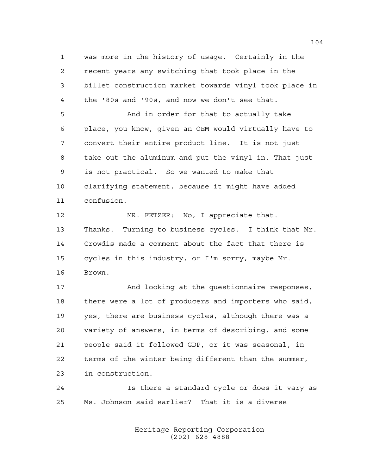was more in the history of usage. Certainly in the recent years any switching that took place in the billet construction market towards vinyl took place in the '80s and '90s, and now we don't see that.

 And in order for that to actually take place, you know, given an OEM would virtually have to convert their entire product line. It is not just take out the aluminum and put the vinyl in. That just is not practical. So we wanted to make that clarifying statement, because it might have added confusion.

12 MR. FETZER: No, I appreciate that. Thanks. Turning to business cycles. I think that Mr. Crowdis made a comment about the fact that there is cycles in this industry, or I'm sorry, maybe Mr. Brown.

17 And looking at the questionnaire responses, there were a lot of producers and importers who said, yes, there are business cycles, although there was a variety of answers, in terms of describing, and some people said it followed GDP, or it was seasonal, in terms of the winter being different than the summer, in construction.

 Is there a standard cycle or does it vary as Ms. Johnson said earlier? That it is a diverse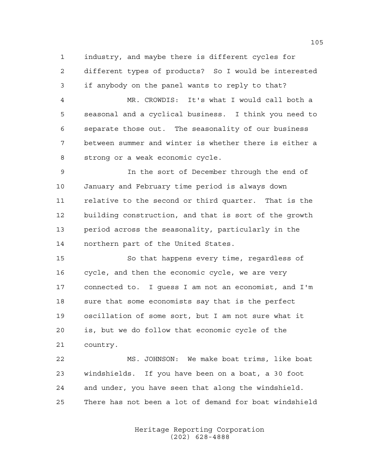industry, and maybe there is different cycles for different types of products? So I would be interested if anybody on the panel wants to reply to that?

 MR. CROWDIS: It's what I would call both a seasonal and a cyclical business. I think you need to separate those out. The seasonality of our business between summer and winter is whether there is either a strong or a weak economic cycle.

 In the sort of December through the end of January and February time period is always down relative to the second or third quarter. That is the building construction, and that is sort of the growth period across the seasonality, particularly in the northern part of the United States.

 So that happens every time, regardless of cycle, and then the economic cycle, we are very connected to. I guess I am not an economist, and I'm sure that some economists say that is the perfect oscillation of some sort, but I am not sure what it is, but we do follow that economic cycle of the country.

 MS. JOHNSON: We make boat trims, like boat windshields. If you have been on a boat, a 30 foot and under, you have seen that along the windshield. There has not been a lot of demand for boat windshield

> Heritage Reporting Corporation (202) 628-4888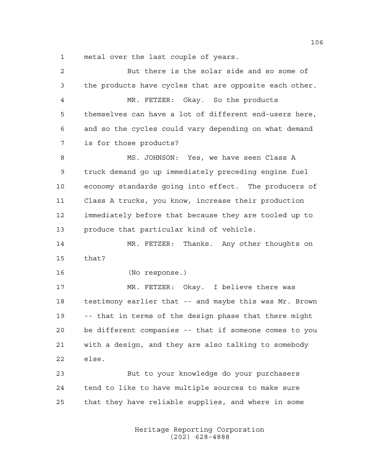metal over the last couple of years.

| $\mathbf{2}$ | But there is the solar side and so some of             |
|--------------|--------------------------------------------------------|
| 3            | the products have cycles that are opposite each other. |
| 4            | MR. FETZER: Okay. So the products                      |
| 5            | themselves can have a lot of different end-users here, |
| 6            | and so the cycles could vary depending on what demand  |
| 7            | is for those products?                                 |
| 8            | MS. JOHNSON: Yes, we have seen Class A                 |
| 9            | truck demand go up immediately preceding engine fuel   |
| 10           | economy standards going into effect. The producers of  |
| 11           | Class A trucks, you know, increase their production    |
| 12           | immediately before that because they are tooled up to  |
| 13           | produce that particular kind of vehicle.               |
| 14           | MR. FETZER: Thanks. Any other thoughts on              |
| 15           | that?                                                  |
| 16           | (No response.)                                         |
| 17           | MR. FETZER: Okay. I believe there was                  |
| 18           | testimony earlier that -- and maybe this was Mr. Brown |
| 19           | -- that in terms of the design phase that there might  |
| 20           | be different companies -- that if someone comes to you |
| 21           | with a design, and they are also talking to somebody   |
| 22           | else.                                                  |
| 23           | But to your knowledge do your purchasers               |
| 24           | tend to like to have multiple sources to make sure     |
| 25           | that they have reliable supplies, and where in some    |
|              |                                                        |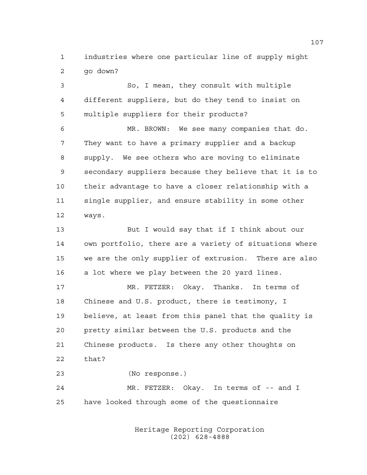industries where one particular line of supply might go down?

 So, I mean, they consult with multiple different suppliers, but do they tend to insist on multiple suppliers for their products?

 MR. BROWN: We see many companies that do. They want to have a primary supplier and a backup supply. We see others who are moving to eliminate secondary suppliers because they believe that it is to their advantage to have a closer relationship with a single supplier, and ensure stability in some other ways.

 But I would say that if I think about our own portfolio, there are a variety of situations where we are the only supplier of extrusion. There are also a lot where we play between the 20 yard lines.

 MR. FETZER: Okay. Thanks. In terms of Chinese and U.S. product, there is testimony, I believe, at least from this panel that the quality is pretty similar between the U.S. products and the Chinese products. Is there any other thoughts on that?

 (No response.) MR. FETZER: Okay. In terms of -- and I have looked through some of the questionnaire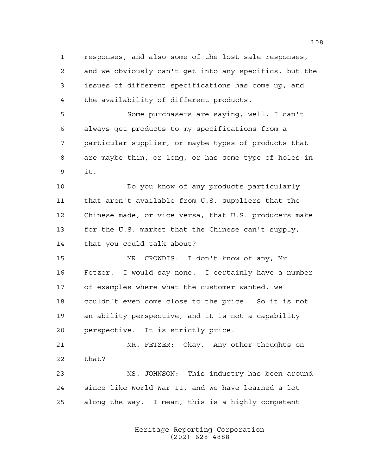responses, and also some of the lost sale responses, and we obviously can't get into any specifics, but the issues of different specifications has come up, and the availability of different products.

 Some purchasers are saying, well, I can't always get products to my specifications from a particular supplier, or maybe types of products that are maybe thin, or long, or has some type of holes in it.

 Do you know of any products particularly that aren't available from U.S. suppliers that the Chinese made, or vice versa, that U.S. producers make for the U.S. market that the Chinese can't supply, that you could talk about?

 MR. CROWDIS: I don't know of any, Mr. Fetzer. I would say none. I certainly have a number of examples where what the customer wanted, we couldn't even come close to the price. So it is not an ability perspective, and it is not a capability perspective. It is strictly price.

 MR. FETZER: Okay. Any other thoughts on that? MS. JOHNSON: This industry has been around

 since like World War II, and we have learned a lot along the way. I mean, this is a highly competent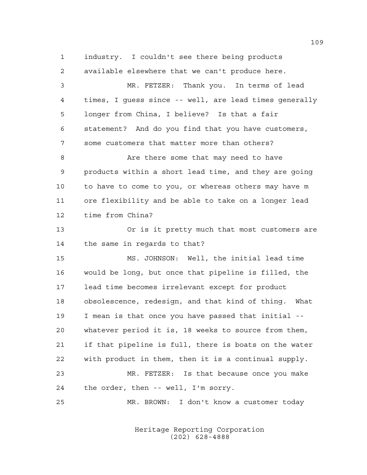industry. I couldn't see there being products

available elsewhere that we can't produce here.

 MR. FETZER: Thank you. In terms of lead times, I guess since -- well, are lead times generally longer from China, I believe? Is that a fair statement? And do you find that you have customers, some customers that matter more than others? 8 Are there some that may need to have products within a short lead time, and they are going to have to come to you, or whereas others may have m ore flexibility and be able to take on a longer lead time from China? Or is it pretty much that most customers are the same in regards to that? MS. JOHNSON: Well, the initial lead time would be long, but once that pipeline is filled, the lead time becomes irrelevant except for product obsolescence, redesign, and that kind of thing. What I mean is that once you have passed that initial -- whatever period it is, 18 weeks to source from them, if that pipeline is full, there is boats on the water with product in them, then it is a continual supply. MR. FETZER: Is that because once you make the order, then -- well, I'm sorry. MR. BROWN: I don't know a customer today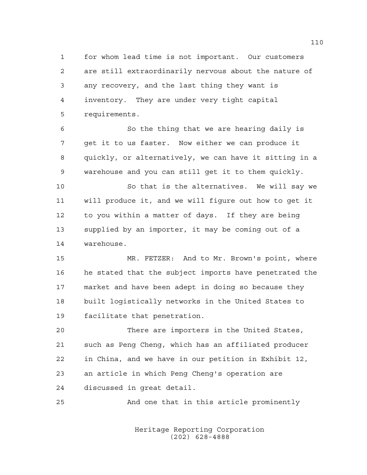for whom lead time is not important. Our customers are still extraordinarily nervous about the nature of any recovery, and the last thing they want is inventory. They are under very tight capital requirements.

 So the thing that we are hearing daily is get it to us faster. Now either we can produce it quickly, or alternatively, we can have it sitting in a warehouse and you can still get it to them quickly.

 So that is the alternatives. We will say we will produce it, and we will figure out how to get it to you within a matter of days. If they are being supplied by an importer, it may be coming out of a warehouse.

 MR. FETZER: And to Mr. Brown's point, where he stated that the subject imports have penetrated the market and have been adept in doing so because they built logistically networks in the United States to facilitate that penetration.

 There are importers in the United States, such as Peng Cheng, which has an affiliated producer in China, and we have in our petition in Exhibit 12, an article in which Peng Cheng's operation are discussed in great detail.

And one that in this article prominently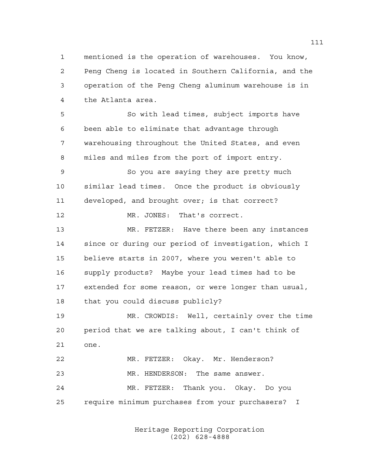mentioned is the operation of warehouses. You know, Peng Cheng is located in Southern California, and the operation of the Peng Cheng aluminum warehouse is in the Atlanta area.

 So with lead times, subject imports have been able to eliminate that advantage through warehousing throughout the United States, and even miles and miles from the port of import entry.

 So you are saying they are pretty much similar lead times. Once the product is obviously developed, and brought over; is that correct?

MR. JONES: That's correct.

 MR. FETZER: Have there been any instances since or during our period of investigation, which I believe starts in 2007, where you weren't able to supply products? Maybe your lead times had to be extended for some reason, or were longer than usual, that you could discuss publicly?

 MR. CROWDIS: Well, certainly over the time period that we are talking about, I can't think of one.

 MR. FETZER: Okay. Mr. Henderson? 23 MR. HENDERSON: The same answer. MR. FETZER: Thank you. Okay. Do you require minimum purchases from your purchasers? I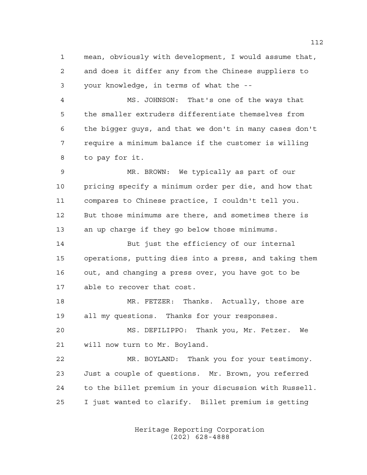mean, obviously with development, I would assume that, and does it differ any from the Chinese suppliers to your knowledge, in terms of what the --

 MS. JOHNSON: That's one of the ways that the smaller extruders differentiate themselves from the bigger guys, and that we don't in many cases don't require a minimum balance if the customer is willing to pay for it.

 MR. BROWN: We typically as part of our pricing specify a minimum order per die, and how that compares to Chinese practice, I couldn't tell you. But those minimums are there, and sometimes there is an up charge if they go below those minimums.

 But just the efficiency of our internal operations, putting dies into a press, and taking them out, and changing a press over, you have got to be able to recover that cost.

 MR. FETZER: Thanks. Actually, those are all my questions. Thanks for your responses.

 MS. DEFILIPPO: Thank you, Mr. Fetzer. We will now turn to Mr. Boyland.

 MR. BOYLAND: Thank you for your testimony. Just a couple of questions. Mr. Brown, you referred to the billet premium in your discussion with Russell. I just wanted to clarify. Billet premium is getting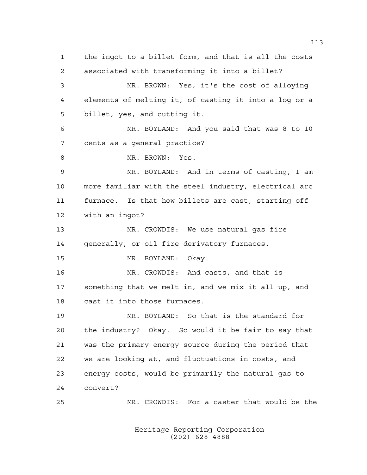the ingot to a billet form, and that is all the costs associated with transforming it into a billet? MR. BROWN: Yes, it's the cost of alloying elements of melting it, of casting it into a log or a billet, yes, and cutting it. MR. BOYLAND: And you said that was 8 to 10 cents as a general practice? 8 MR. BROWN: Yes. MR. BOYLAND: And in terms of casting, I am more familiar with the steel industry, electrical arc furnace. Is that how billets are cast, starting off with an ingot? MR. CROWDIS: We use natural gas fire generally, or oil fire derivatory furnaces. MR. BOYLAND: Okay. MR. CROWDIS: And casts, and that is something that we melt in, and we mix it all up, and cast it into those furnaces. MR. BOYLAND: So that is the standard for the industry? Okay. So would it be fair to say that was the primary energy source during the period that we are looking at, and fluctuations in costs, and energy costs, would be primarily the natural gas to convert? MR. CROWDIS: For a caster that would be the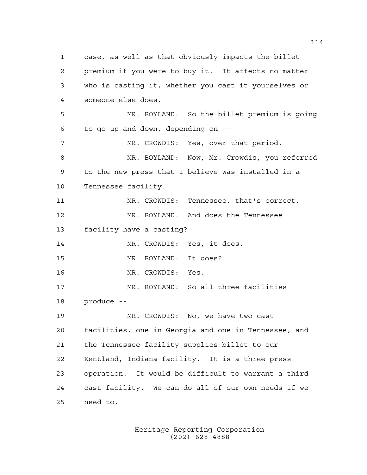case, as well as that obviously impacts the billet premium if you were to buy it. It affects no matter who is casting it, whether you cast it yourselves or someone else does. MR. BOYLAND: So the billet premium is going to go up and down, depending on -- MR. CROWDIS: Yes, over that period. 8 MR. BOYLAND: Now, Mr. Crowdis, you referred to the new press that I believe was installed in a Tennessee facility. MR. CROWDIS: Tennessee, that's correct. MR. BOYLAND: And does the Tennessee facility have a casting? MR. CROWDIS: Yes, it does. MR. BOYLAND: It does? MR. CROWDIS: Yes. MR. BOYLAND: So all three facilities produce -- MR. CROWDIS: No, we have two cast facilities, one in Georgia and one in Tennessee, and the Tennessee facility supplies billet to our Kentland, Indiana facility. It is a three press operation. It would be difficult to warrant a third cast facility. We can do all of our own needs if we need to.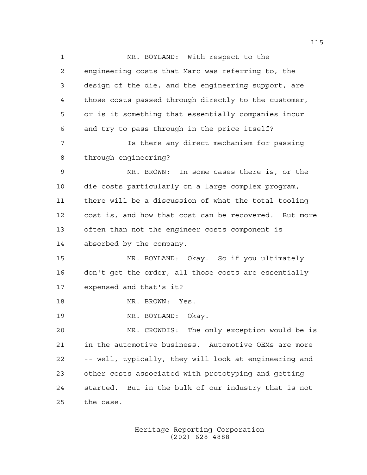MR. BOYLAND: With respect to the engineering costs that Marc was referring to, the design of the die, and the engineering support, are those costs passed through directly to the customer, or is it something that essentially companies incur and try to pass through in the price itself? Is there any direct mechanism for passing through engineering? MR. BROWN: In some cases there is, or the die costs particularly on a large complex program, there will be a discussion of what the total tooling cost is, and how that cost can be recovered. But more often than not the engineer costs component is absorbed by the company. MR. BOYLAND: Okay. So if you ultimately don't get the order, all those costs are essentially expensed and that's it? MR. BROWN: Yes. MR. BOYLAND: Okay. MR. CROWDIS: The only exception would be is in the automotive business. Automotive OEMs are more -- well, typically, they will look at engineering and other costs associated with prototyping and getting started. But in the bulk of our industry that is not the case.

> Heritage Reporting Corporation (202) 628-4888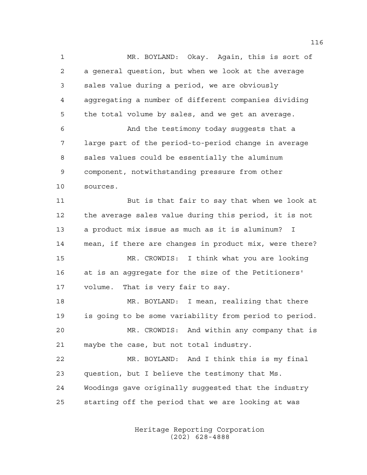MR. BOYLAND: Okay. Again, this is sort of a general question, but when we look at the average sales value during a period, we are obviously aggregating a number of different companies dividing the total volume by sales, and we get an average. And the testimony today suggests that a large part of the period-to-period change in average sales values could be essentially the aluminum

 component, notwithstanding pressure from other sources.

 But is that fair to say that when we look at the average sales value during this period, it is not a product mix issue as much as it is aluminum? I mean, if there are changes in product mix, were there? MR. CROWDIS: I think what you are looking at is an aggregate for the size of the Petitioners' volume. That is very fair to say.

 MR. BOYLAND: I mean, realizing that there is going to be some variability from period to period. MR. CROWDIS: And within any company that is maybe the case, but not total industry.

 MR. BOYLAND: And I think this is my final question, but I believe the testimony that Ms. Woodings gave originally suggested that the industry starting off the period that we are looking at was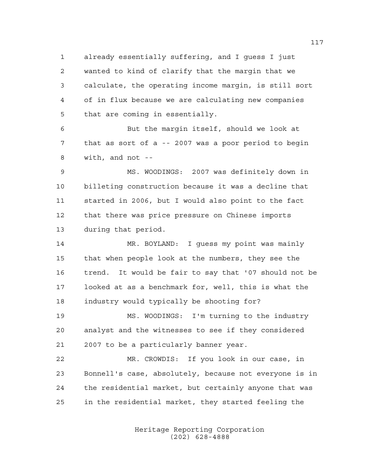already essentially suffering, and I guess I just wanted to kind of clarify that the margin that we calculate, the operating income margin, is still sort of in flux because we are calculating new companies that are coming in essentially.

 But the margin itself, should we look at that as sort of a -- 2007 was a poor period to begin with, and not --

 MS. WOODINGS: 2007 was definitely down in billeting construction because it was a decline that started in 2006, but I would also point to the fact that there was price pressure on Chinese imports during that period.

 MR. BOYLAND: I guess my point was mainly that when people look at the numbers, they see the trend. It would be fair to say that '07 should not be looked at as a benchmark for, well, this is what the industry would typically be shooting for?

 MS. WOODINGS: I'm turning to the industry analyst and the witnesses to see if they considered 2007 to be a particularly banner year.

 MR. CROWDIS: If you look in our case, in Bonnell's case, absolutely, because not everyone is in the residential market, but certainly anyone that was in the residential market, they started feeling the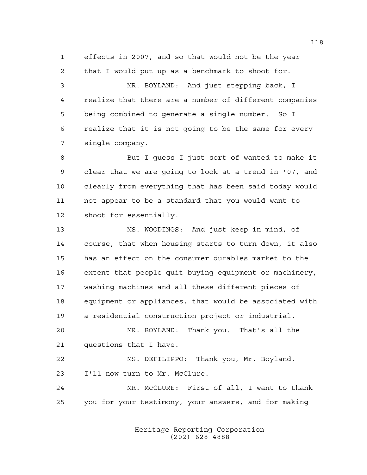effects in 2007, and so that would not be the year that I would put up as a benchmark to shoot for.

 MR. BOYLAND: And just stepping back, I realize that there are a number of different companies being combined to generate a single number. So I realize that it is not going to be the same for every single company.

 But I guess I just sort of wanted to make it clear that we are going to look at a trend in '07, and clearly from everything that has been said today would not appear to be a standard that you would want to shoot for essentially.

 MS. WOODINGS: And just keep in mind, of course, that when housing starts to turn down, it also has an effect on the consumer durables market to the extent that people quit buying equipment or machinery, washing machines and all these different pieces of equipment or appliances, that would be associated with a residential construction project or industrial.

 MR. BOYLAND: Thank you. That's all the questions that I have.

 MS. DEFILIPPO: Thank you, Mr. Boyland. I'll now turn to Mr. McClure.

 MR. McCLURE: First of all, I want to thank you for your testimony, your answers, and for making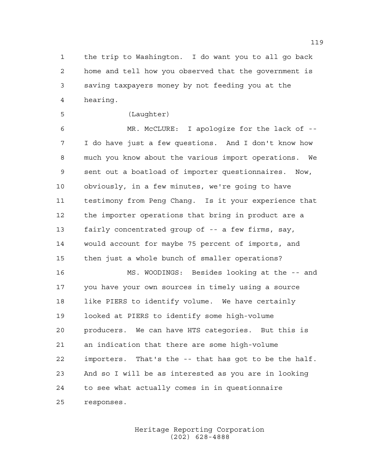the trip to Washington. I do want you to all go back home and tell how you observed that the government is saving taxpayers money by not feeding you at the hearing.

(Laughter)

 MR. McCLURE: I apologize for the lack of -- I do have just a few questions. And I don't know how much you know about the various import operations. We sent out a boatload of importer questionnaires. Now, obviously, in a few minutes, we're going to have testimony from Peng Chang. Is it your experience that the importer operations that bring in product are a fairly concentrated group of -- a few firms, say, would account for maybe 75 percent of imports, and then just a whole bunch of smaller operations?

 MS. WOODINGS: Besides looking at the -- and you have your own sources in timely using a source like PIERS to identify volume. We have certainly looked at PIERS to identify some high-volume producers. We can have HTS categories. But this is an indication that there are some high-volume importers. That's the -- that has got to be the half. And so I will be as interested as you are in looking to see what actually comes in in questionnaire responses.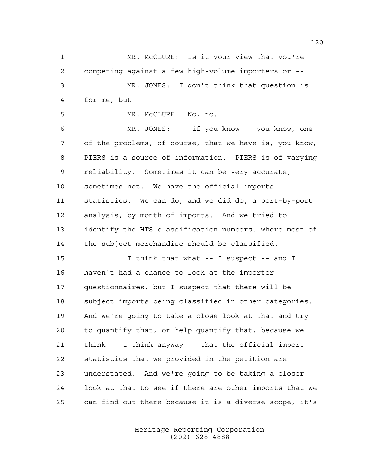MR. McCLURE: Is it your view that you're competing against a few high-volume importers or -- MR. JONES: I don't think that question is for me, but -- MR. McCLURE: No, no. MR. JONES: -- if you know -- you know, one of the problems, of course, that we have is, you know, PIERS is a source of information. PIERS is of varying reliability. Sometimes it can be very accurate, sometimes not. We have the official imports statistics. We can do, and we did do, a port-by-port

 analysis, by month of imports. And we tried to identify the HTS classification numbers, where most of the subject merchandise should be classified.

 I think that what -- I suspect -- and I haven't had a chance to look at the importer questionnaires, but I suspect that there will be subject imports being classified in other categories. And we're going to take a close look at that and try to quantify that, or help quantify that, because we think -- I think anyway -- that the official import statistics that we provided in the petition are understated. And we're going to be taking a closer look at that to see if there are other imports that we can find out there because it is a diverse scope, it's

> Heritage Reporting Corporation (202) 628-4888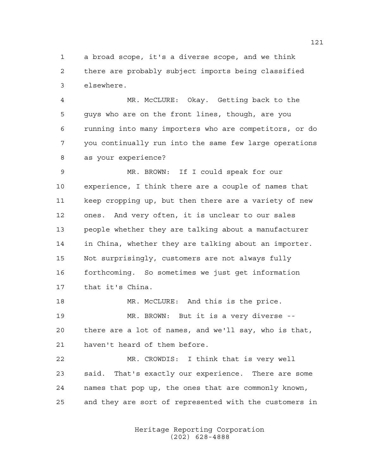a broad scope, it's a diverse scope, and we think there are probably subject imports being classified elsewhere.

 MR. McCLURE: Okay. Getting back to the guys who are on the front lines, though, are you running into many importers who are competitors, or do you continually run into the same few large operations as your experience?

 MR. BROWN: If I could speak for our experience, I think there are a couple of names that keep cropping up, but then there are a variety of new ones. And very often, it is unclear to our sales people whether they are talking about a manufacturer in China, whether they are talking about an importer. Not surprisingly, customers are not always fully forthcoming. So sometimes we just get information that it's China.

 MR. McCLURE: And this is the price. MR. BROWN: But it is a very diverse -- there are a lot of names, and we'll say, who is that, haven't heard of them before.

 MR. CROWDIS: I think that is very well said. That's exactly our experience. There are some names that pop up, the ones that are commonly known, and they are sort of represented with the customers in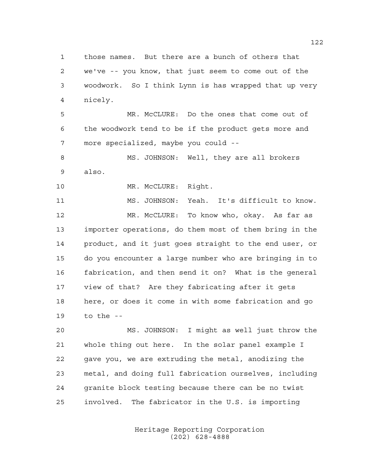those names. But there are a bunch of others that we've -- you know, that just seem to come out of the woodwork. So I think Lynn is has wrapped that up very nicely.

 MR. McCLURE: Do the ones that come out of the woodwork tend to be if the product gets more and more specialized, maybe you could --

8 MS. JOHNSON: Well, they are all brokers also.

10 MR. McCLURE: Right.

 MS. JOHNSON: Yeah. It's difficult to know. MR. McCLURE: To know who, okay. As far as importer operations, do them most of them bring in the product, and it just goes straight to the end user, or do you encounter a large number who are bringing in to fabrication, and then send it on? What is the general view of that? Are they fabricating after it gets here, or does it come in with some fabrication and go to the --

 MS. JOHNSON: I might as well just throw the whole thing out here. In the solar panel example I gave you, we are extruding the metal, anodizing the metal, and doing full fabrication ourselves, including granite block testing because there can be no twist involved. The fabricator in the U.S. is importing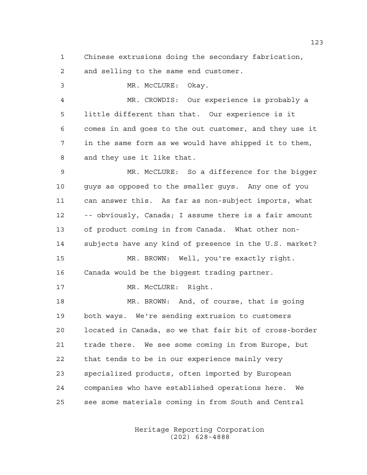Chinese extrusions doing the secondary fabrication,

and selling to the same end customer.

 MR. McCLURE: Okay. MR. CROWDIS: Our experience is probably a little different than that. Our experience is it comes in and goes to the out customer, and they use it in the same form as we would have shipped it to them, and they use it like that. MR. McCLURE: So a difference for the bigger guys as opposed to the smaller guys. Any one of you can answer this. As far as non-subject imports, what -- obviously, Canada; I assume there is a fair amount of product coming in from Canada. What other non- subjects have any kind of presence in the U.S. market? MR. BROWN: Well, you're exactly right. Canada would be the biggest trading partner. 17 MR. McCLURE: Right. MR. BROWN: And, of course, that is going both ways. We're sending extrusion to customers located in Canada, so we that fair bit of cross-border trade there. We see some coming in from Europe, but that tends to be in our experience mainly very specialized products, often imported by European companies who have established operations here. We see some materials coming in from South and Central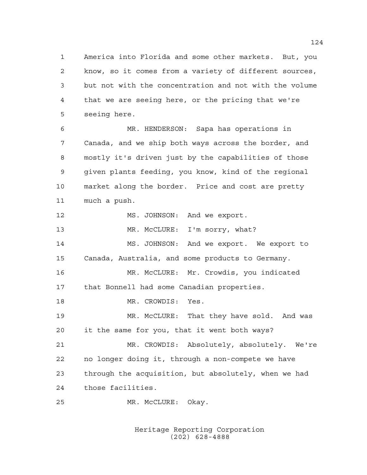America into Florida and some other markets. But, you know, so it comes from a variety of different sources, but not with the concentration and not with the volume that we are seeing here, or the pricing that we're seeing here.

 MR. HENDERSON: Sapa has operations in Canada, and we ship both ways across the border, and mostly it's driven just by the capabilities of those given plants feeding, you know, kind of the regional market along the border. Price and cost are pretty much a push.

12 MS. JOHNSON: And we export.

13 MR. McCLURE: I'm sorry, what?

 MS. JOHNSON: And we export. We export to Canada, Australia, and some products to Germany.

 MR. McCLURE: Mr. Crowdis, you indicated that Bonnell had some Canadian properties.

MR. CROWDIS: Yes.

 MR. McCLURE: That they have sold. And was it the same for you, that it went both ways?

 MR. CROWDIS: Absolutely, absolutely. We're no longer doing it, through a non-compete we have through the acquisition, but absolutely, when we had those facilities.

MR. McCLURE: Okay.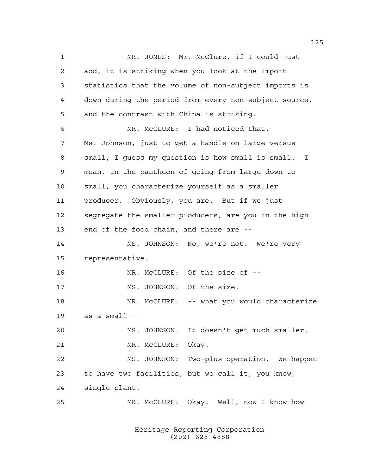1 MR. JONES: Mr. McClure, if I could just add, it is striking when you look at the import statistics that the volume of non-subject imports is down during the period from every non-subject source, and the contrast with China is striking. MR. McCLURE: I had noticed that. Ms. Johnson, just to get a handle on large versus small, I guess my question is how small is small. I mean, in the pantheon of going from large down to small, you characterize yourself as a smaller producer. Obviously, you are. But if we just segregate the smaller producers, are you in the high end of the food chain, and there are -- MS. JOHNSON: No, we're not. We're very representative. MR. McCLURE: Of the size of -- 17 MS. JOHNSON: Of the size. MR. McCLURE: -- what you would characterize as a small -- MS. JOHNSON: It doesn't get much smaller. 21 MR. McCLURE: Okay. MS. JOHNSON: Two-plus operation. We happen to have two facilities, but we call it, you know, single plant. MR. McCLURE: Okay. Well, now I know how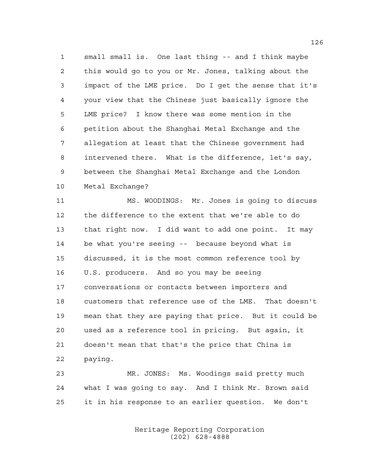small small is. One last thing -- and I think maybe this would go to you or Mr. Jones, talking about the impact of the LME price. Do I get the sense that it's your view that the Chinese just basically ignore the LME price? I know there was some mention in the petition about the Shanghai Metal Exchange and the allegation at least that the Chinese government had intervened there. What is the difference, let's say, between the Shanghai Metal Exchange and the London Metal Exchange?

 MS. WOODINGS: Mr. Jones is going to discuss the difference to the extent that we're able to do that right now. I did want to add one point. It may be what you're seeing -- because beyond what is discussed, it is the most common reference tool by U.S. producers. And so you may be seeing conversations or contacts between importers and customers that reference use of the LME. That doesn't mean that they are paying that price. But it could be used as a reference tool in pricing. But again, it doesn't mean that that's the price that China is paying.

 MR. JONES: Ms. Woodings said pretty much what I was going to say. And I think Mr. Brown said it in his response to an earlier question. We don't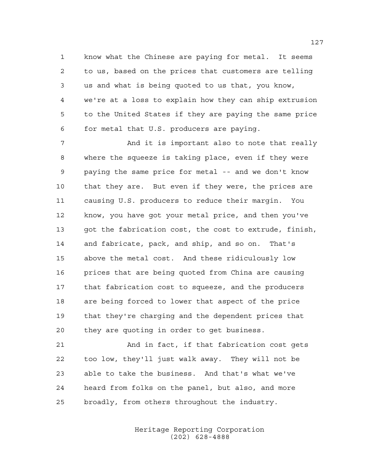know what the Chinese are paying for metal. It seems to us, based on the prices that customers are telling us and what is being quoted to us that, you know, we're at a loss to explain how they can ship extrusion to the United States if they are paying the same price for metal that U.S. producers are paying.

 And it is important also to note that really where the squeeze is taking place, even if they were paying the same price for metal -- and we don't know that they are. But even if they were, the prices are causing U.S. producers to reduce their margin. You know, you have got your metal price, and then you've got the fabrication cost, the cost to extrude, finish, and fabricate, pack, and ship, and so on. That's above the metal cost. And these ridiculously low prices that are being quoted from China are causing that fabrication cost to squeeze, and the producers are being forced to lower that aspect of the price that they're charging and the dependent prices that they are quoting in order to get business.

 And in fact, if that fabrication cost gets too low, they'll just walk away. They will not be able to take the business. And that's what we've heard from folks on the panel, but also, and more broadly, from others throughout the industry.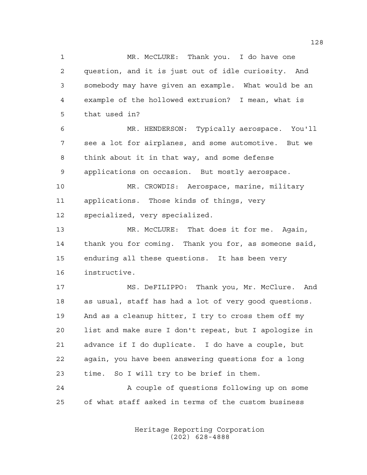MR. McCLURE: Thank you. I do have one question, and it is just out of idle curiosity. And somebody may have given an example. What would be an example of the hollowed extrusion? I mean, what is that used in? MR. HENDERSON: Typically aerospace. You'll see a lot for airplanes, and some automotive. But we think about it in that way, and some defense applications on occasion. But mostly aerospace. MR. CROWDIS: Aerospace, marine, military applications. Those kinds of things, very specialized, very specialized. MR. McCLURE: That does it for me. Again, thank you for coming. Thank you for, as someone said, enduring all these questions. It has been very instructive. MS. DeFILIPPO: Thank you, Mr. McClure. And as usual, staff has had a lot of very good questions. And as a cleanup hitter, I try to cross them off my list and make sure I don't repeat, but I apologize in advance if I do duplicate. I do have a couple, but again, you have been answering questions for a long time. So I will try to be brief in them. A couple of questions following up on some of what staff asked in terms of the custom business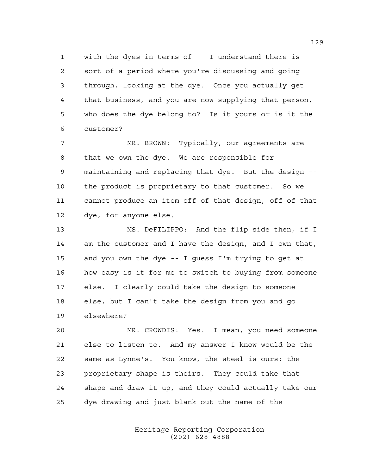with the dyes in terms of -- I understand there is sort of a period where you're discussing and going through, looking at the dye. Once you actually get that business, and you are now supplying that person, who does the dye belong to? Is it yours or is it the customer?

 MR. BROWN: Typically, our agreements are that we own the dye. We are responsible for maintaining and replacing that dye. But the design -- the product is proprietary to that customer. So we cannot produce an item off of that design, off of that dye, for anyone else.

 MS. DeFILIPPO: And the flip side then, if I am the customer and I have the design, and I own that, and you own the dye -- I guess I'm trying to get at how easy is it for me to switch to buying from someone else. I clearly could take the design to someone else, but I can't take the design from you and go elsewhere?

 MR. CROWDIS: Yes. I mean, you need someone else to listen to. And my answer I know would be the same as Lynne's. You know, the steel is ours; the proprietary shape is theirs. They could take that shape and draw it up, and they could actually take our dye drawing and just blank out the name of the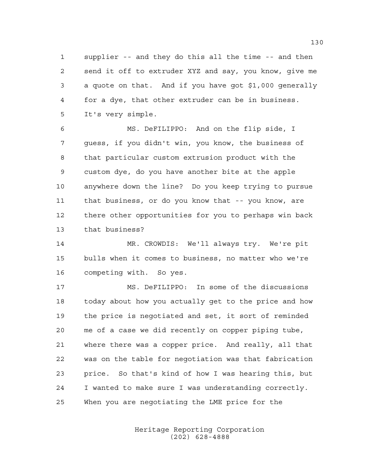supplier -- and they do this all the time -- and then send it off to extruder XYZ and say, you know, give me a quote on that. And if you have got \$1,000 generally for a dye, that other extruder can be in business. It's very simple.

 MS. DeFILIPPO: And on the flip side, I guess, if you didn't win, you know, the business of that particular custom extrusion product with the custom dye, do you have another bite at the apple anywhere down the line? Do you keep trying to pursue that business, or do you know that -- you know, are there other opportunities for you to perhaps win back that business?

 MR. CROWDIS: We'll always try. We're pit bulls when it comes to business, no matter who we're competing with. So yes.

 MS. DeFILIPPO: In some of the discussions today about how you actually get to the price and how the price is negotiated and set, it sort of reminded me of a case we did recently on copper piping tube, where there was a copper price. And really, all that was on the table for negotiation was that fabrication price. So that's kind of how I was hearing this, but I wanted to make sure I was understanding correctly. When you are negotiating the LME price for the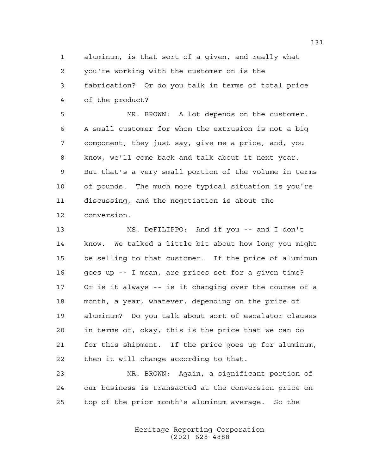aluminum, is that sort of a given, and really what you're working with the customer on is the fabrication? Or do you talk in terms of total price of the product?

 MR. BROWN: A lot depends on the customer. A small customer for whom the extrusion is not a big component, they just say, give me a price, and, you know, we'll come back and talk about it next year. But that's a very small portion of the volume in terms of pounds. The much more typical situation is you're discussing, and the negotiation is about the conversion.

 MS. DeFILIPPO: And if you -- and I don't know. We talked a little bit about how long you might be selling to that customer. If the price of aluminum goes up -- I mean, are prices set for a given time? Or is it always -- is it changing over the course of a month, a year, whatever, depending on the price of aluminum? Do you talk about sort of escalator clauses in terms of, okay, this is the price that we can do for this shipment. If the price goes up for aluminum, then it will change according to that.

 MR. BROWN: Again, a significant portion of our business is transacted at the conversion price on top of the prior month's aluminum average. So the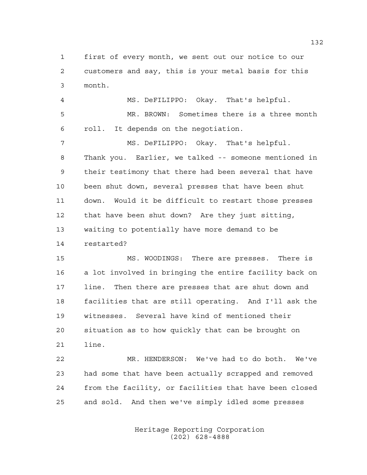first of every month, we sent out our notice to our customers and say, this is your metal basis for this month.

 MS. DeFILIPPO: Okay. That's helpful. MR. BROWN: Sometimes there is a three month roll. It depends on the negotiation.

 MS. DeFILIPPO: Okay. That's helpful. Thank you. Earlier, we talked -- someone mentioned in their testimony that there had been several that have been shut down, several presses that have been shut down. Would it be difficult to restart those presses that have been shut down? Are they just sitting, waiting to potentially have more demand to be restarted?

 MS. WOODINGS: There are presses. There is a lot involved in bringing the entire facility back on line. Then there are presses that are shut down and facilities that are still operating. And I'll ask the witnesses. Several have kind of mentioned their situation as to how quickly that can be brought on line.

 MR. HENDERSON: We've had to do both. We've had some that have been actually scrapped and removed from the facility, or facilities that have been closed and sold. And then we've simply idled some presses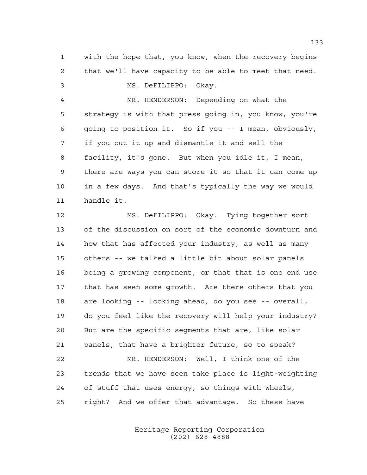with the hope that, you know, when the recovery begins that we'll have capacity to be able to meet that need.

MS. DeFILIPPO: Okay.

 MR. HENDERSON: Depending on what the strategy is with that press going in, you know, you're going to position it. So if you -- I mean, obviously, if you cut it up and dismantle it and sell the facility, it's gone. But when you idle it, I mean, there are ways you can store it so that it can come up in a few days. And that's typically the way we would handle it.

 MS. DeFILIPPO: Okay. Tying together sort of the discussion on sort of the economic downturn and how that has affected your industry, as well as many others -- we talked a little bit about solar panels being a growing component, or that that is one end use that has seen some growth. Are there others that you are looking -- looking ahead, do you see -- overall, do you feel like the recovery will help your industry? But are the specific segments that are, like solar panels, that have a brighter future, so to speak? MR. HENDERSON: Well, I think one of the trends that we have seen take place is light-weighting of stuff that uses energy, so things with wheels,

> Heritage Reporting Corporation (202) 628-4888

right? And we offer that advantage. So these have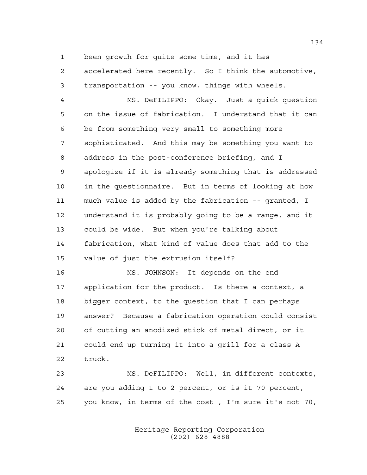been growth for quite some time, and it has

 accelerated here recently. So I think the automotive, transportation -- you know, things with wheels.

 MS. DeFILIPPO: Okay. Just a quick question on the issue of fabrication. I understand that it can be from something very small to something more sophisticated. And this may be something you want to address in the post-conference briefing, and I apologize if it is already something that is addressed in the questionnaire. But in terms of looking at how much value is added by the fabrication -- granted, I understand it is probably going to be a range, and it could be wide. But when you're talking about fabrication, what kind of value does that add to the value of just the extrusion itself?

 MS. JOHNSON: It depends on the end application for the product. Is there a context, a bigger context, to the question that I can perhaps answer? Because a fabrication operation could consist of cutting an anodized stick of metal direct, or it could end up turning it into a grill for a class A truck.

 MS. DeFILIPPO: Well, in different contexts, are you adding 1 to 2 percent, or is it 70 percent, you know, in terms of the cost , I'm sure it's not 70,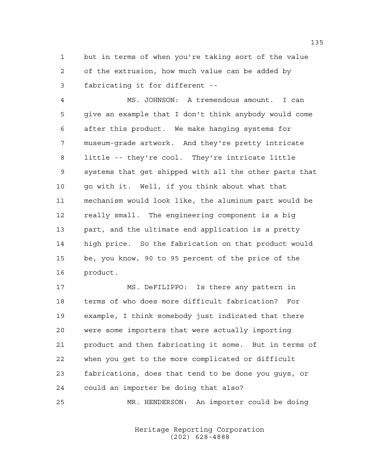but in terms of when you're taking sort of the value of the extrusion, how much value can be added by fabricating it for different --

 MS. JOHNSON: A tremendous amount. I can give an example that I don't think anybody would come after this product. We make hanging systems for museum-grade artwork. And they're pretty intricate little -- they're cool. They're intricate little systems that get shipped with all the other parts that go with it. Well, if you think about what that mechanism would look like, the aluminum part would be really small. The engineering component is a big part, and the ultimate end application is a pretty high price. So the fabrication on that product would be, you know, 90 to 95 percent of the price of the product.

 MS. DeFILIPPO: Is there any pattern in terms of who does more difficult fabrication? For example, I think somebody just indicated that there were some importers that were actually importing product and then fabricating it some. But in terms of when you get to the more complicated or difficult fabrications, does that tend to be done you guys, or could an importer be doing that also?

MR. HENDERSON: An importer could be doing

Heritage Reporting Corporation (202) 628-4888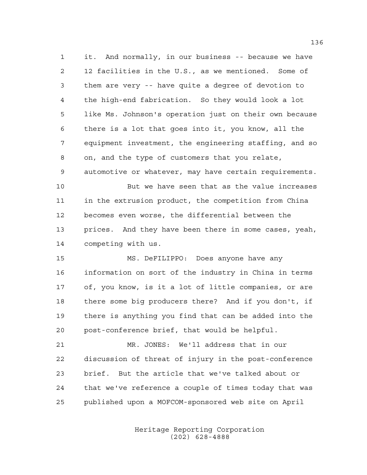it. And normally, in our business -- because we have 12 facilities in the U.S., as we mentioned. Some of them are very -- have quite a degree of devotion to the high-end fabrication. So they would look a lot like Ms. Johnson's operation just on their own because there is a lot that goes into it, you know, all the equipment investment, the engineering staffing, and so on, and the type of customers that you relate, automotive or whatever, may have certain requirements.

 But we have seen that as the value increases in the extrusion product, the competition from China becomes even worse, the differential between the prices. And they have been there in some cases, yeah, competing with us.

 MS. DeFILIPPO: Does anyone have any information on sort of the industry in China in terms of, you know, is it a lot of little companies, or are there some big producers there? And if you don't, if there is anything you find that can be added into the post-conference brief, that would be helpful.

 MR. JONES: We'll address that in our discussion of threat of injury in the post-conference brief. But the article that we've talked about or that we've reference a couple of times today that was published upon a MOFCOM-sponsored web site on April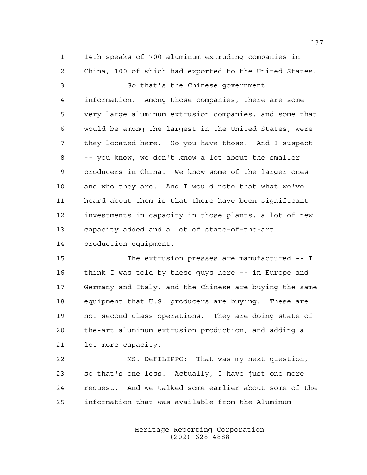14th speaks of 700 aluminum extruding companies in China, 100 of which had exported to the United States.

 So that's the Chinese government information. Among those companies, there are some very large aluminum extrusion companies, and some that would be among the largest in the United States, were they located here. So you have those. And I suspect -- you know, we don't know a lot about the smaller producers in China. We know some of the larger ones and who they are. And I would note that what we've heard about them is that there have been significant investments in capacity in those plants, a lot of new capacity added and a lot of state-of-the-art production equipment.

 The extrusion presses are manufactured -- I think I was told by these guys here -- in Europe and Germany and Italy, and the Chinese are buying the same equipment that U.S. producers are buying. These are not second-class operations. They are doing state-of- the-art aluminum extrusion production, and adding a lot more capacity.

 MS. DeFILIPPO: That was my next question, so that's one less. Actually, I have just one more request. And we talked some earlier about some of the information that was available from the Aluminum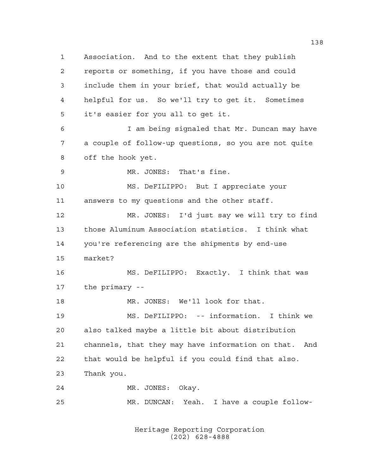Association. And to the extent that they publish reports or something, if you have those and could include them in your brief, that would actually be helpful for us. So we'll try to get it. Sometimes it's easier for you all to get it. I am being signaled that Mr. Duncan may have a couple of follow-up questions, so you are not quite off the hook yet. MR. JONES: That's fine. MS. DeFILIPPO: But I appreciate your answers to my questions and the other staff. MR. JONES: I'd just say we will try to find those Aluminum Association statistics. I think what you're referencing are the shipments by end-use market? MS. DeFILIPPO: Exactly. I think that was the primary -- MR. JONES: We'll look for that. MS. DeFILIPPO: -- information. I think we also talked maybe a little bit about distribution channels, that they may have information on that. And that would be helpful if you could find that also. Thank you. MR. JONES: Okay. MR. DUNCAN: Yeah. I have a couple follow-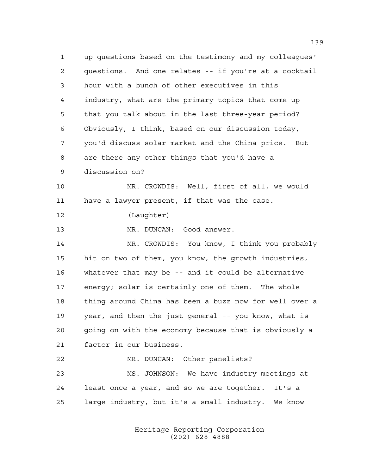up questions based on the testimony and my colleagues' questions. And one relates -- if you're at a cocktail hour with a bunch of other executives in this industry, what are the primary topics that come up that you talk about in the last three-year period? Obviously, I think, based on our discussion today, you'd discuss solar market and the China price. But are there any other things that you'd have a discussion on? MR. CROWDIS: Well, first of all, we would have a lawyer present, if that was the case. (Laughter) MR. DUNCAN: Good answer. MR. CROWDIS: You know, I think you probably hit on two of them, you know, the growth industries, whatever that may be -- and it could be alternative energy; solar is certainly one of them. The whole thing around China has been a buzz now for well over a year, and then the just general -- you know, what is going on with the economy because that is obviously a factor in our business. MR. DUNCAN: Other panelists? MS. JOHNSON: We have industry meetings at least once a year, and so we are together. It's a large industry, but it's a small industry. We know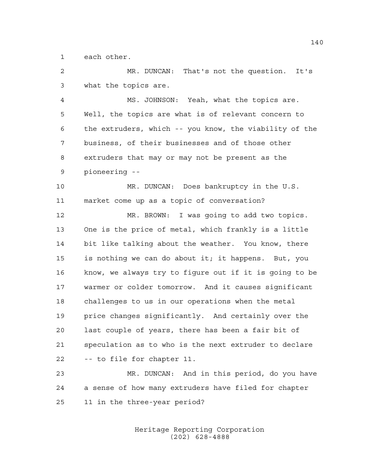each other.

 MR. DUNCAN: That's not the question. It's what the topics are.

 MS. JOHNSON: Yeah, what the topics are. Well, the topics are what is of relevant concern to the extruders, which -- you know, the viability of the business, of their businesses and of those other extruders that may or may not be present as the pioneering --

 MR. DUNCAN: Does bankruptcy in the U.S. market come up as a topic of conversation?

 MR. BROWN: I was going to add two topics. One is the price of metal, which frankly is a little bit like talking about the weather. You know, there is nothing we can do about it; it happens. But, you know, we always try to figure out if it is going to be warmer or colder tomorrow. And it causes significant challenges to us in our operations when the metal price changes significantly. And certainly over the last couple of years, there has been a fair bit of speculation as to who is the next extruder to declare -- to file for chapter 11.

 MR. DUNCAN: And in this period, do you have a sense of how many extruders have filed for chapter 11 in the three-year period?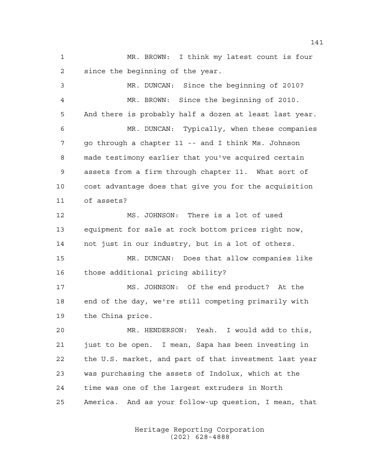MR. BROWN: I think my latest count is four since the beginning of the year.

 MR. DUNCAN: Since the beginning of 2010? MR. BROWN: Since the beginning of 2010. And there is probably half a dozen at least last year. MR. DUNCAN: Typically, when these companies go through a chapter 11 -- and I think Ms. Johnson made testimony earlier that you've acquired certain assets from a firm through chapter 11. What sort of cost advantage does that give you for the acquisition of assets? MS. JOHNSON: There is a lot of used equipment for sale at rock bottom prices right now, not just in our industry, but in a lot of others. MR. DUNCAN: Does that allow companies like those additional pricing ability? MS. JOHNSON: Of the end product? At the end of the day, we're still competing primarily with the China price. MR. HENDERSON: Yeah. I would add to this, just to be open. I mean, Sapa has been investing in the U.S. market, and part of that investment last year was purchasing the assets of Indolux, which at the time was one of the largest extruders in North America. And as your follow-up question, I mean, that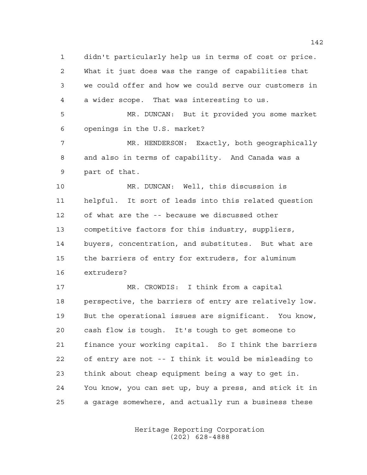didn't particularly help us in terms of cost or price. What it just does was the range of capabilities that we could offer and how we could serve our customers in a wider scope. That was interesting to us.

 MR. DUNCAN: But it provided you some market openings in the U.S. market?

 MR. HENDERSON: Exactly, both geographically and also in terms of capability. And Canada was a part of that.

 MR. DUNCAN: Well, this discussion is helpful. It sort of leads into this related question of what are the -- because we discussed other competitive factors for this industry, suppliers, buyers, concentration, and substitutes. But what are the barriers of entry for extruders, for aluminum extruders?

 MR. CROWDIS: I think from a capital perspective, the barriers of entry are relatively low. But the operational issues are significant. You know, cash flow is tough. It's tough to get someone to finance your working capital. So I think the barriers of entry are not -- I think it would be misleading to think about cheap equipment being a way to get in. You know, you can set up, buy a press, and stick it in a garage somewhere, and actually run a business these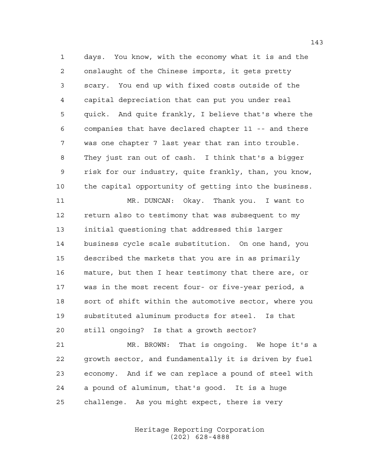days. You know, with the economy what it is and the onslaught of the Chinese imports, it gets pretty scary. You end up with fixed costs outside of the capital depreciation that can put you under real quick. And quite frankly, I believe that's where the companies that have declared chapter 11 -- and there was one chapter 7 last year that ran into trouble. They just ran out of cash. I think that's a bigger risk for our industry, quite frankly, than, you know, the capital opportunity of getting into the business.

 MR. DUNCAN: Okay. Thank you. I want to return also to testimony that was subsequent to my initial questioning that addressed this larger business cycle scale substitution. On one hand, you described the markets that you are in as primarily mature, but then I hear testimony that there are, or was in the most recent four- or five-year period, a sort of shift within the automotive sector, where you substituted aluminum products for steel. Is that still ongoing? Is that a growth sector?

 MR. BROWN: That is ongoing. We hope it's a growth sector, and fundamentally it is driven by fuel economy. And if we can replace a pound of steel with a pound of aluminum, that's good. It is a huge challenge. As you might expect, there is very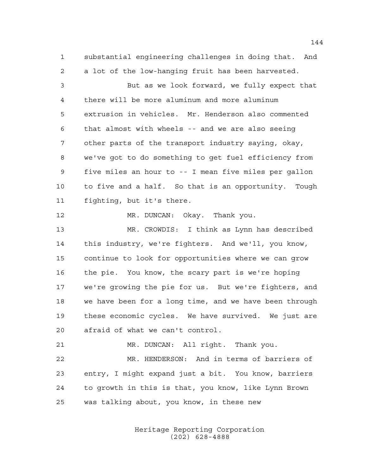substantial engineering challenges in doing that. And a lot of the low-hanging fruit has been harvested.

 But as we look forward, we fully expect that there will be more aluminum and more aluminum extrusion in vehicles. Mr. Henderson also commented that almost with wheels -- and we are also seeing other parts of the transport industry saying, okay, we've got to do something to get fuel efficiency from five miles an hour to -- I mean five miles per gallon to five and a half. So that is an opportunity. Tough fighting, but it's there.

12 MR. DUNCAN: Okay. Thank you.

 MR. CROWDIS: I think as Lynn has described this industry, we're fighters. And we'll, you know, continue to look for opportunities where we can grow the pie. You know, the scary part is we're hoping we're growing the pie for us. But we're fighters, and we have been for a long time, and we have been through these economic cycles. We have survived. We just are afraid of what we can't control.

MR. DUNCAN: All right. Thank you.

 MR. HENDERSON: And in terms of barriers of entry, I might expand just a bit. You know, barriers to growth in this is that, you know, like Lynn Brown was talking about, you know, in these new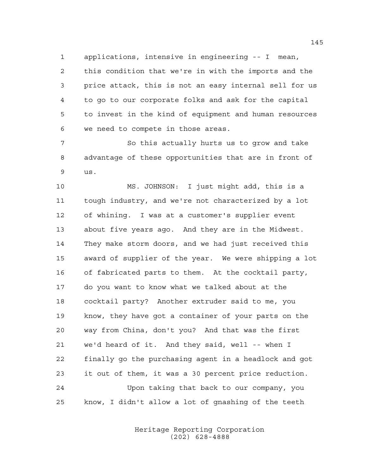applications, intensive in engineering -- I mean, this condition that we're in with the imports and the price attack, this is not an easy internal sell for us to go to our corporate folks and ask for the capital to invest in the kind of equipment and human resources we need to compete in those areas.

 So this actually hurts us to grow and take advantage of these opportunities that are in front of us.

 MS. JOHNSON: I just might add, this is a tough industry, and we're not characterized by a lot of whining. I was at a customer's supplier event about five years ago. And they are in the Midwest. They make storm doors, and we had just received this award of supplier of the year. We were shipping a lot of fabricated parts to them. At the cocktail party, do you want to know what we talked about at the cocktail party? Another extruder said to me, you know, they have got a container of your parts on the way from China, don't you? And that was the first we'd heard of it. And they said, well -- when I finally go the purchasing agent in a headlock and got it out of them, it was a 30 percent price reduction. Upon taking that back to our company, you know, I didn't allow a lot of gnashing of the teeth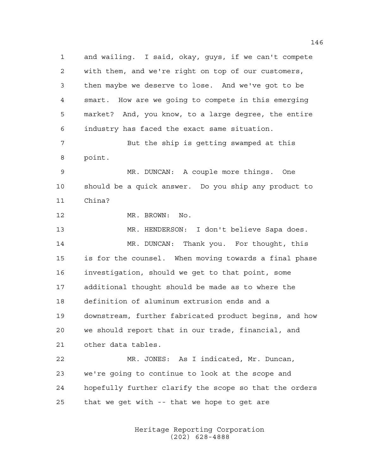and wailing. I said, okay, guys, if we can't compete with them, and we're right on top of our customers, then maybe we deserve to lose. And we've got to be smart. How are we going to compete in this emerging market? And, you know, to a large degree, the entire industry has faced the exact same situation. But the ship is getting swamped at this point. MR. DUNCAN: A couple more things. One should be a quick answer. Do you ship any product to China? MR. BROWN: No. MR. HENDERSON: I don't believe Sapa does. MR. DUNCAN: Thank you. For thought, this is for the counsel. When moving towards a final phase investigation, should we get to that point, some additional thought should be made as to where the definition of aluminum extrusion ends and a downstream, further fabricated product begins, and how we should report that in our trade, financial, and other data tables. MR. JONES: As I indicated, Mr. Duncan, we're going to continue to look at the scope and hopefully further clarify the scope so that the orders that we get with -- that we hope to get are

> Heritage Reporting Corporation (202) 628-4888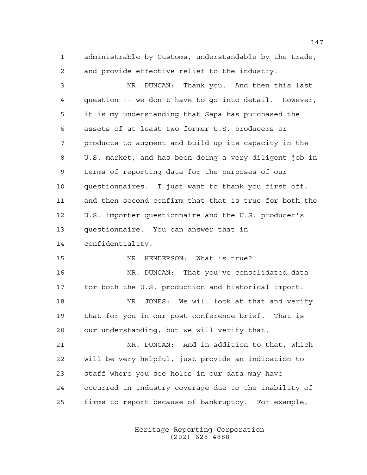administrable by Customs, understandable by the trade, and provide effective relief to the industry.

 MR. DUNCAN: Thank you. And then this last question -- we don't have to go into detail. However, it is my understanding that Sapa has purchased the assets of at least two former U.S. producers or products to augment and build up its capacity in the U.S. market, and has been doing a very diligent job in terms of reporting data for the purposes of our questionnaires. I just want to thank you first off, and then second confirm that that is true for both the U.S. importer questionnaire and the U.S. producer's questionnaire. You can answer that in confidentiality. MR. HENDERSON: What is true? MR. DUNCAN: That you've consolidated data for both the U.S. production and historical import. MR. JONES: We will look at that and verify that for you in our post-conference brief. That is

our understanding, but we will verify that.

 MR. DUNCAN: And in addition to that, which will be very helpful, just provide an indication to staff where you see holes in our data may have occurred in industry coverage due to the inability of firms to report because of bankruptcy. For example,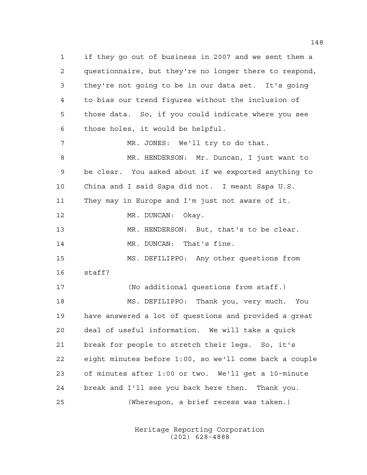if they go out of business in 2007 and we sent them a questionnaire, but they're no longer there to respond, they're not going to be in our data set. It's going to bias our trend figures without the inclusion of those data. So, if you could indicate where you see those holes, it would be helpful. MR. JONES: We'll try to do that. MR. HENDERSON: Mr. Duncan, I just want to be clear. You asked about if we exported anything to China and I said Sapa did not. I meant Sapa U.S. They may in Europe and I'm just not aware of it. 12 MR. DUNCAN: Okay. MR. HENDERSON: But, that's to be clear. 14 MR. DUNCAN: That's fine. MS. DEFILIPPO: Any other questions from staff?

 (No additional questions from staff.) MS. DEFILIPPO: Thank you, very much. You have answered a lot of questions and provided a great deal of useful information. We will take a quick break for people to stretch their legs. So, it's eight minutes before 1:00, so we'll come back a couple of minutes after 1:00 or two. We'll get a 10-minute break and I'll see you back here then. Thank you. (Whereupon, a brief recess was taken.)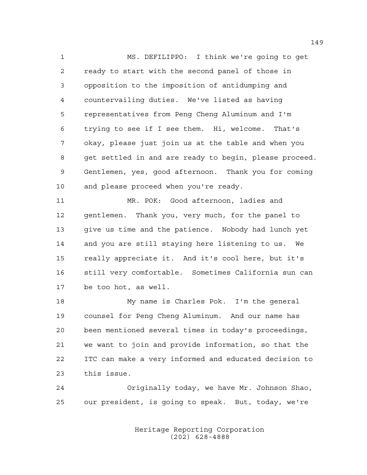MS. DEFILIPPO: I think we're going to get ready to start with the second panel of those in opposition to the imposition of antidumping and countervailing duties. We've listed as having representatives from Peng Cheng Aluminum and I'm trying to see if I see them. Hi, welcome. That's okay, please just join us at the table and when you get settled in and are ready to begin, please proceed. Gentlemen, yes, good afternoon. Thank you for coming and please proceed when you're ready.

 MR. POK: Good afternoon, ladies and gentlemen. Thank you, very much, for the panel to give us time and the patience. Nobody had lunch yet and you are still staying here listening to us. We really appreciate it. And it's cool here, but it's still very comfortable. Sometimes California sun can be too hot, as well.

 My name is Charles Pok. I'm the general counsel for Peng Cheng Aluminum. And our name has been mentioned several times in today's proceedings, we want to join and provide information, so that the ITC can make a very informed and educated decision to this issue.

 Originally today, we have Mr. Johnson Shao, our president, is going to speak. But, today, we're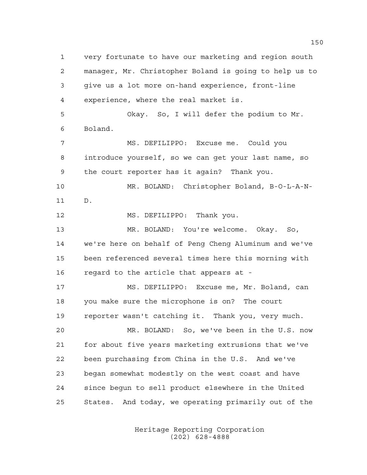very fortunate to have our marketing and region south manager, Mr. Christopher Boland is going to help us to give us a lot more on-hand experience, front-line experience, where the real market is. Okay. So, I will defer the podium to Mr. Boland. MS. DEFILIPPO: Excuse me. Could you introduce yourself, so we can get your last name, so the court reporter has it again? Thank you. MR. BOLAND: Christopher Boland, B-O-L-A-N- D. 12 MS. DEFILIPPO: Thank you. MR. BOLAND: You're welcome. Okay. So, we're here on behalf of Peng Cheng Aluminum and we've been referenced several times here this morning with regard to the article that appears at - MS. DEFILIPPO: Excuse me, Mr. Boland, can you make sure the microphone is on? The court reporter wasn't catching it. Thank you, very much. MR. BOLAND: So, we've been in the U.S. now for about five years marketing extrusions that we've been purchasing from China in the U.S. And we've began somewhat modestly on the west coast and have since begun to sell product elsewhere in the United States. And today, we operating primarily out of the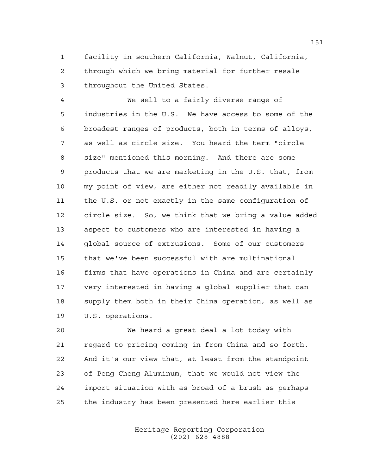facility in southern California, Walnut, California, through which we bring material for further resale throughout the United States.

 We sell to a fairly diverse range of industries in the U.S. We have access to some of the broadest ranges of products, both in terms of alloys, as well as circle size. You heard the term "circle size" mentioned this morning. And there are some products that we are marketing in the U.S. that, from my point of view, are either not readily available in the U.S. or not exactly in the same configuration of circle size. So, we think that we bring a value added aspect to customers who are interested in having a global source of extrusions. Some of our customers that we've been successful with are multinational firms that have operations in China and are certainly very interested in having a global supplier that can supply them both in their China operation, as well as U.S. operations.

 We heard a great deal a lot today with regard to pricing coming in from China and so forth. And it's our view that, at least from the standpoint of Peng Cheng Aluminum, that we would not view the import situation with as broad of a brush as perhaps the industry has been presented here earlier this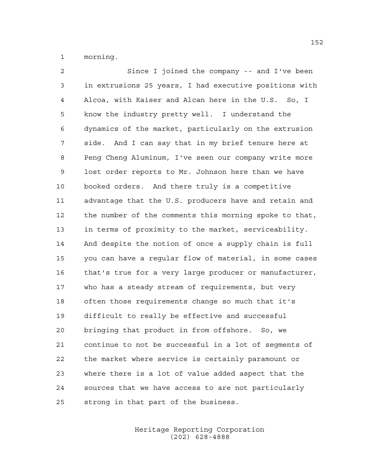morning.

 Since I joined the company -- and I've been in extrusions 25 years, I had executive positions with Alcoa, with Kaiser and Alcan here in the U.S. So, I know the industry pretty well. I understand the dynamics of the market, particularly on the extrusion side. And I can say that in my brief tenure here at Peng Cheng Aluminum, I've seen our company write more lost order reports to Mr. Johnson here than we have booked orders. And there truly is a competitive advantage that the U.S. producers have and retain and the number of the comments this morning spoke to that, in terms of proximity to the market, serviceability. And despite the notion of once a supply chain is full you can have a regular flow of material, in some cases that's true for a very large producer or manufacturer, who has a steady stream of requirements, but very often those requirements change so much that it's difficult to really be effective and successful bringing that product in from offshore. So, we continue to not be successful in a lot of segments of the market where service is certainly paramount or where there is a lot of value added aspect that the sources that we have access to are not particularly strong in that part of the business.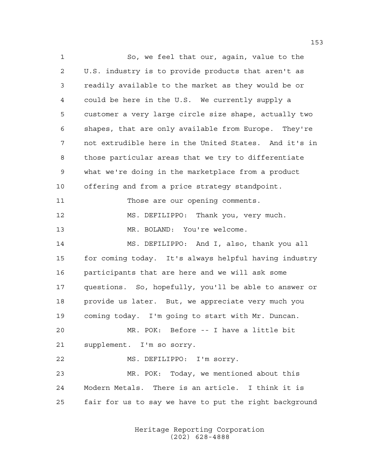So, we feel that our, again, value to the U.S. industry is to provide products that aren't as readily available to the market as they would be or could be here in the U.S. We currently supply a customer a very large circle size shape, actually two shapes, that are only available from Europe. They're not extrudible here in the United States. And it's in those particular areas that we try to differentiate what we're doing in the marketplace from a product offering and from a price strategy standpoint. Those are our opening comments. MS. DEFILIPPO: Thank you, very much. MR. BOLAND: You're welcome. MS. DEFILIPPO: And I, also, thank you all for coming today. It's always helpful having industry participants that are here and we will ask some questions. So, hopefully, you'll be able to answer or provide us later. But, we appreciate very much you coming today. I'm going to start with Mr. Duncan. MR. POK: Before -- I have a little bit supplement. I'm so sorry. MS. DEFILIPPO: I'm sorry. MR. POK: Today, we mentioned about this Modern Metals. There is an article. I think it is fair for us to say we have to put the right background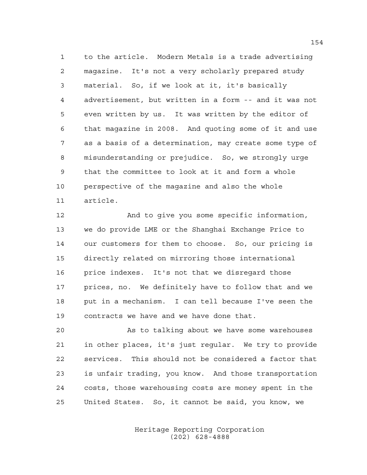to the article. Modern Metals is a trade advertising magazine. It's not a very scholarly prepared study material. So, if we look at it, it's basically advertisement, but written in a form -- and it was not even written by us. It was written by the editor of that magazine in 2008. And quoting some of it and use as a basis of a determination, may create some type of misunderstanding or prejudice. So, we strongly urge that the committee to look at it and form a whole perspective of the magazine and also the whole article.

 And to give you some specific information, we do provide LME or the Shanghai Exchange Price to our customers for them to choose. So, our pricing is directly related on mirroring those international price indexes. It's not that we disregard those prices, no. We definitely have to follow that and we put in a mechanism. I can tell because I've seen the contracts we have and we have done that.

 As to talking about we have some warehouses in other places, it's just regular. We try to provide services. This should not be considered a factor that is unfair trading, you know. And those transportation costs, those warehousing costs are money spent in the United States. So, it cannot be said, you know, we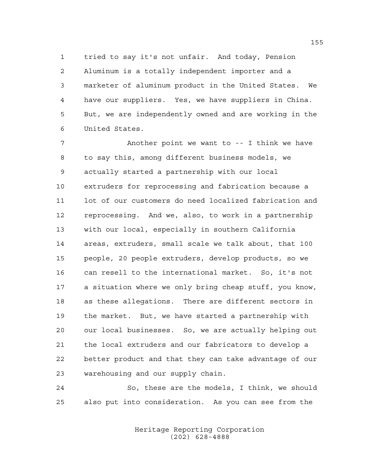tried to say it's not unfair. And today, Pension Aluminum is a totally independent importer and a marketer of aluminum product in the United States. We have our suppliers. Yes, we have suppliers in China. But, we are independently owned and are working in the United States.

 Another point we want to -- I think we have to say this, among different business models, we actually started a partnership with our local extruders for reprocessing and fabrication because a lot of our customers do need localized fabrication and reprocessing. And we, also, to work in a partnership with our local, especially in southern California areas, extruders, small scale we talk about, that 100 people, 20 people extruders, develop products, so we can resell to the international market. So, it's not a situation where we only bring cheap stuff, you know, as these allegations. There are different sectors in the market. But, we have started a partnership with our local businesses. So, we are actually helping out the local extruders and our fabricators to develop a better product and that they can take advantage of our warehousing and our supply chain.

 So, these are the models, I think, we should also put into consideration. As you can see from the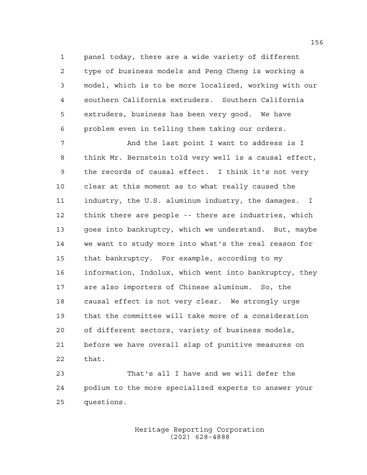panel today, there are a wide variety of different type of business models and Peng Cheng is working a model, which is to be more localized, working with our southern California extruders. Southern California extruders, business has been very good. We have problem even in telling them taking our orders.

7 And the last point I want to address is I think Mr. Bernstein told very well is a causal effect, the records of causal effect. I think it's not very clear at this moment as to what really caused the industry, the U.S. aluminum industry, the damages. I think there are people -- there are industries, which goes into bankruptcy, which we understand. But, maybe we want to study more into what's the real reason for that bankruptcy. For example, according to my information, Indolux, which went into bankruptcy, they are also importers of Chinese aluminum. So, the causal effect is not very clear. We strongly urge that the committee will take more of a consideration of different sectors, variety of business models, before we have overall slap of punitive measures on that.

 That's all I have and we will defer the podium to the more specialized experts to answer your questions.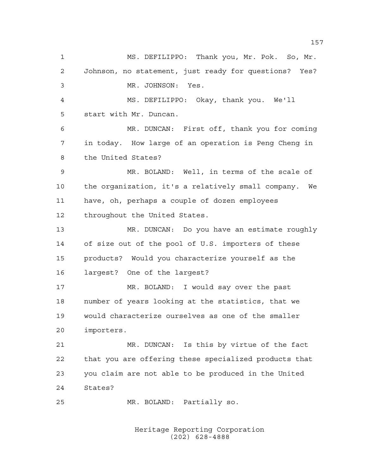MS. DEFILIPPO: Thank you, Mr. Pok. So, Mr. Johnson, no statement, just ready for questions? Yes? MR. JOHNSON: Yes. MS. DEFILIPPO: Okay, thank you. We'll start with Mr. Duncan. MR. DUNCAN: First off, thank you for coming in today. How large of an operation is Peng Cheng in the United States? MR. BOLAND: Well, in terms of the scale of the organization, it's a relatively small company. We have, oh, perhaps a couple of dozen employees throughout the United States. MR. DUNCAN: Do you have an estimate roughly of size out of the pool of U.S. importers of these products? Would you characterize yourself as the largest? One of the largest? MR. BOLAND: I would say over the past number of years looking at the statistics, that we would characterize ourselves as one of the smaller importers. MR. DUNCAN: Is this by virtue of the fact that you are offering these specialized products that you claim are not able to be produced in the United States? MR. BOLAND: Partially so.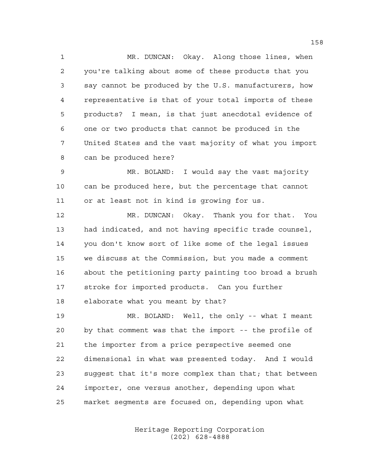1 MR. DUNCAN: Okay. Along those lines, when you're talking about some of these products that you say cannot be produced by the U.S. manufacturers, how representative is that of your total imports of these products? I mean, is that just anecdotal evidence of one or two products that cannot be produced in the United States and the vast majority of what you import can be produced here?

 MR. BOLAND: I would say the vast majority can be produced here, but the percentage that cannot or at least not in kind is growing for us.

 MR. DUNCAN: Okay. Thank you for that. You had indicated, and not having specific trade counsel, you don't know sort of like some of the legal issues we discuss at the Commission, but you made a comment about the petitioning party painting too broad a brush stroke for imported products. Can you further elaborate what you meant by that?

 MR. BOLAND: Well, the only -- what I meant by that comment was that the import -- the profile of the importer from a price perspective seemed one dimensional in what was presented today. And I would suggest that it's more complex than that; that between importer, one versus another, depending upon what market segments are focused on, depending upon what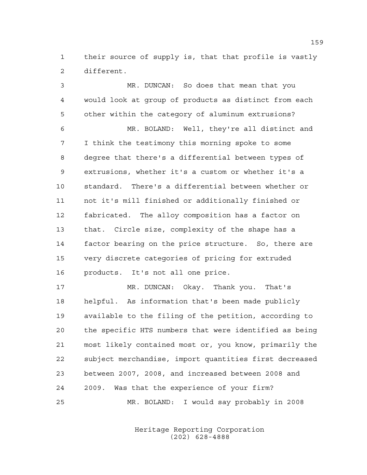their source of supply is, that that profile is vastly different.

 MR. DUNCAN: So does that mean that you would look at group of products as distinct from each other within the category of aluminum extrusions? MR. BOLAND: Well, they're all distinct and I think the testimony this morning spoke to some degree that there's a differential between types of extrusions, whether it's a custom or whether it's a standard. There's a differential between whether or not it's mill finished or additionally finished or fabricated. The alloy composition has a factor on that. Circle size, complexity of the shape has a factor bearing on the price structure. So, there are very discrete categories of pricing for extruded products. It's not all one price. 17 MR. DUNCAN: Okay. Thank you. That's helpful. As information that's been made publicly available to the filing of the petition, according to the specific HTS numbers that were identified as being most likely contained most or, you know, primarily the subject merchandise, import quantities first decreased between 2007, 2008, and increased between 2008 and

MR. BOLAND: I would say probably in 2008

2009. Was that the experience of your firm?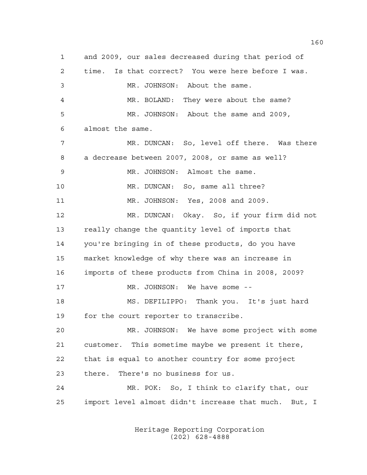and 2009, our sales decreased during that period of time. Is that correct? You were here before I was. MR. JOHNSON: About the same. MR. BOLAND: They were about the same? MR. JOHNSON: About the same and 2009, almost the same. MR. DUNCAN: So, level off there. Was there a decrease between 2007, 2008, or same as well? MR. JOHNSON: Almost the same. MR. DUNCAN: So, same all three? MR. JOHNSON: Yes, 2008 and 2009. MR. DUNCAN: Okay. So, if your firm did not really change the quantity level of imports that you're bringing in of these products, do you have market knowledge of why there was an increase in imports of these products from China in 2008, 2009? 17 MR. JOHNSON: We have some -- MS. DEFILIPPO: Thank you. It's just hard for the court reporter to transcribe. MR. JOHNSON: We have some project with some customer. This sometime maybe we present it there, that is equal to another country for some project there. There's no business for us. MR. POK: So, I think to clarify that, our import level almost didn't increase that much. But, I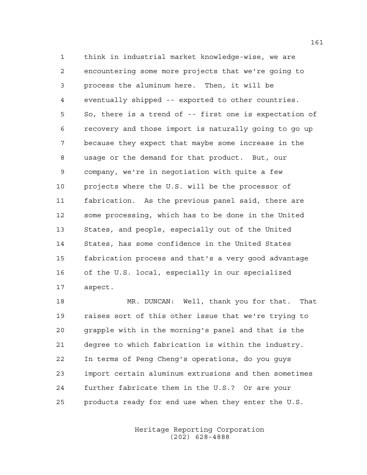think in industrial market knowledge-wise, we are encountering some more projects that we're going to process the aluminum here. Then, it will be eventually shipped -- exported to other countries. So, there is a trend of -- first one is expectation of recovery and those import is naturally going to go up because they expect that maybe some increase in the usage or the demand for that product. But, our company, we're in negotiation with quite a few projects where the U.S. will be the processor of fabrication. As the previous panel said, there are some processing, which has to be done in the United States, and people, especially out of the United States, has some confidence in the United States fabrication process and that's a very good advantage of the U.S. local, especially in our specialized aspect.

 MR. DUNCAN: Well, thank you for that. That raises sort of this other issue that we're trying to grapple with in the morning's panel and that is the degree to which fabrication is within the industry. In terms of Peng Cheng's operations, do you guys import certain aluminum extrusions and then sometimes further fabricate them in the U.S.? Or are your products ready for end use when they enter the U.S.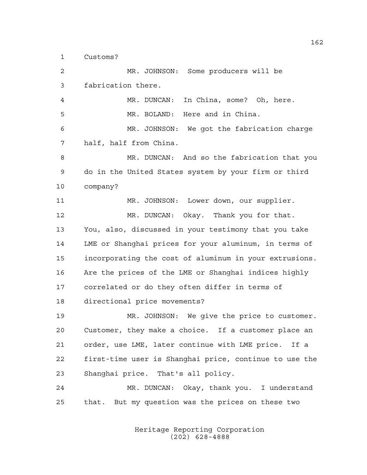Customs?

 MR. JOHNSON: Some producers will be fabrication there. MR. DUNCAN: In China, some? Oh, here. MR. BOLAND: Here and in China. MR. JOHNSON: We got the fabrication charge half, half from China. MR. DUNCAN: And so the fabrication that you do in the United States system by your firm or third company? MR. JOHNSON: Lower down, our supplier. MR. DUNCAN: Okay. Thank you for that. You, also, discussed in your testimony that you take LME or Shanghai prices for your aluminum, in terms of incorporating the cost of aluminum in your extrusions. Are the prices of the LME or Shanghai indices highly correlated or do they often differ in terms of directional price movements? MR. JOHNSON: We give the price to customer. Customer, they make a choice. If a customer place an order, use LME, later continue with LME price. If a first-time user is Shanghai price, continue to use the Shanghai price. That's all policy. MR. DUNCAN: Okay, thank you. I understand that. But my question was the prices on these two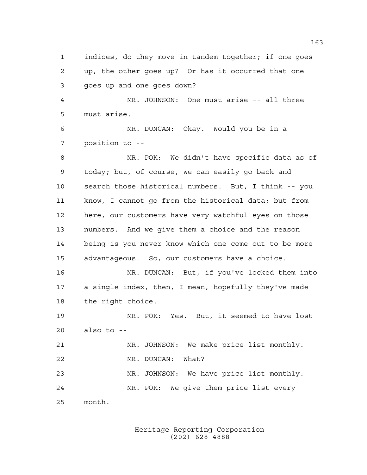indices, do they move in tandem together; if one goes up, the other goes up? Or has it occurred that one goes up and one goes down? MR. JOHNSON: One must arise -- all three must arise. MR. DUNCAN: Okay. Would you be in a position to -- MR. POK: We didn't have specific data as of today; but, of course, we can easily go back and search those historical numbers. But, I think -- you know, I cannot go from the historical data; but from here, our customers have very watchful eyes on those numbers. And we give them a choice and the reason being is you never know which one come out to be more advantageous. So, our customers have a choice. MR. DUNCAN: But, if you've locked them into a single index, then, I mean, hopefully they've made the right choice. MR. POK: Yes. But, it seemed to have lost also to -- MR. JOHNSON: We make price list monthly. 22 MR. DUNCAN: What? MR. JOHNSON: We have price list monthly. MR. POK: We give them price list every month.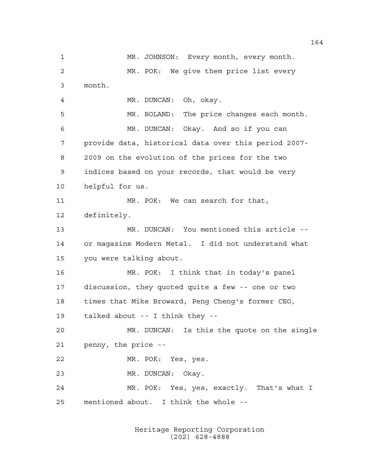MR. JOHNSON: Every month, every month. MR. POK: We give them price list every month. MR. DUNCAN: Oh, okay. MR. BOLAND: The price changes each month. MR. DUNCAN: Okay. And so if you can provide data, historical data over this period 2007- 2009 on the evolution of the prices for the two indices based on your records, that would be very helpful for us. MR. POK: We can search for that, definitely. MR. DUNCAN: You mentioned this article -- or magazine Modern Metal. I did not understand what you were talking about. MR. POK: I think that in today's panel discussion, they quoted quite a few -- one or two times that Mike Broward, Peng Cheng's former CEO, talked about -- I think they -- MR. DUNCAN: Is this the quote on the single penny, the price -- MR. POK: Yes, yes. MR. DUNCAN: Okay. MR. POK: Yes, yes, exactly. That's what I mentioned about. I think the whole --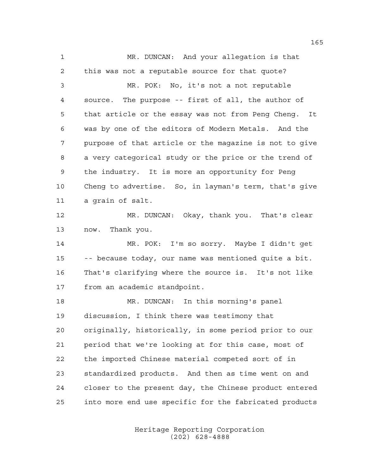MR. DUNCAN: And your allegation is that this was not a reputable source for that quote? MR. POK: No, it's not a not reputable source. The purpose -- first of all, the author of that article or the essay was not from Peng Cheng. It was by one of the editors of Modern Metals. And the purpose of that article or the magazine is not to give a very categorical study or the price or the trend of the industry. It is more an opportunity for Peng Cheng to advertise. So, in layman's term, that's give a grain of salt. MR. DUNCAN: Okay, thank you. That's clear now. Thank you. MR. POK: I'm so sorry. Maybe I didn't get -- because today, our name was mentioned quite a bit. That's clarifying where the source is. It's not like from an academic standpoint. MR. DUNCAN: In this morning's panel discussion, I think there was testimony that originally, historically, in some period prior to our period that we're looking at for this case, most of the imported Chinese material competed sort of in standardized products. And then as time went on and closer to the present day, the Chinese product entered into more end use specific for the fabricated products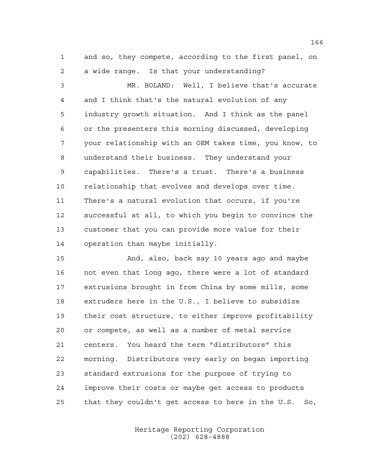and so, they compete, according to the first panel, on a wide range. Is that your understanding?

 MR. BOLAND: Well, I believe that's accurate and I think that's the natural evolution of any industry growth situation. And I think as the panel or the presenters this morning discussed, developing your relationship with an OEM takes time, you know, to understand their business. They understand your capabilities. There's a trust. There's a business relationship that evolves and develops over time. There's a natural evolution that occurs, if you're successful at all, to which you begin to convince the customer that you can provide more value for their operation than maybe initially.

 And, also, back say 10 years ago and maybe not even that long ago, there were a lot of standard extrusions brought in from China by some mills, some extruders here in the U.S., I believe to subsidize their cost structure, to either improve profitability or compete, as well as a number of metal service centers. You heard the term "distributors" this morning. Distributors very early on began importing standard extrusions for the purpose of trying to improve their costs or maybe get access to products that they couldn't get access to here in the U.S. So,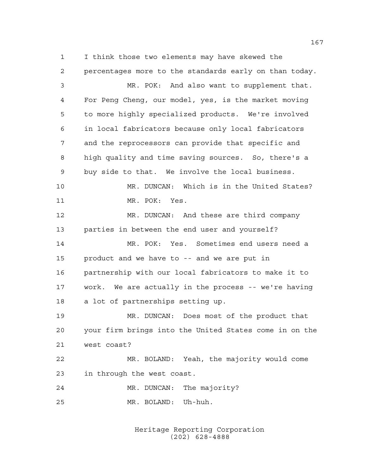I think those two elements may have skewed the percentages more to the standards early on than today.

 MR. POK: And also want to supplement that. For Peng Cheng, our model, yes, is the market moving to more highly specialized products. We're involved in local fabricators because only local fabricators and the reprocessors can provide that specific and high quality and time saving sources. So, there's a buy side to that. We involve the local business. MR. DUNCAN: Which is in the United States? MR. POK: Yes. MR. DUNCAN: And these are third company parties in between the end user and yourself? MR. POK: Yes. Sometimes end users need a product and we have to -- and we are put in partnership with our local fabricators to make it to work. We are actually in the process -- we're having a lot of partnerships setting up. MR. DUNCAN: Does most of the product that your firm brings into the United States come in on the west coast? MR. BOLAND: Yeah, the majority would come in through the west coast. MR. DUNCAN: The majority?

> Heritage Reporting Corporation (202) 628-4888

MR. BOLAND: Uh-huh.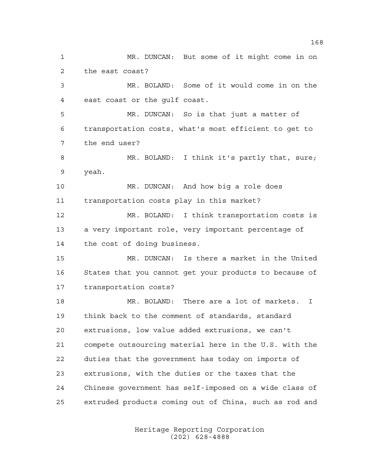MR. DUNCAN: But some of it might come in on the east coast? MR. BOLAND: Some of it would come in on the east coast or the gulf coast. MR. DUNCAN: So is that just a matter of transportation costs, what's most efficient to get to the end user? 8 MR. BOLAND: I think it's partly that, sure; yeah. MR. DUNCAN: And how big a role does transportation costs play in this market? MR. BOLAND: I think transportation costs is a very important role, very important percentage of the cost of doing business. MR. DUNCAN: Is there a market in the United States that you cannot get your products to because of transportation costs? MR. BOLAND: There are a lot of markets. I think back to the comment of standards, standard extrusions, low value added extrusions, we can't compete outsourcing material here in the U.S. with the duties that the government has today on imports of extrusions, with the duties or the taxes that the Chinese government has self-imposed on a wide class of extruded products coming out of China, such as rod and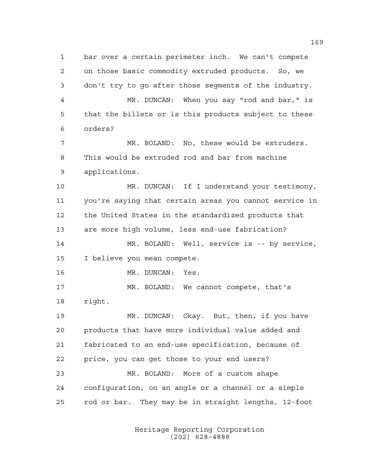bar over a certain perimeter inch. We can't compete on those basic commodity extruded products. So, we don't try to go after those segments of the industry. MR. DUNCAN: When you say "rod and bar," is that the billets or is this products subject to these orders? MR. BOLAND: No, these would be extruders. This would be extruded rod and bar from machine applications. MR. DUNCAN: If I understand your testimony, you're saying that certain areas you cannot service in the United States in the standardized products that are more high volume, less end-use fabrication? MR. BOLAND: Well, service is -- by service, I believe you mean compete. MR. DUNCAN: Yes. MR. BOLAND: We cannot compete, that's right. MR. DUNCAN: Okay. But, then, if you have products that have more individual value added and fabricated to an end-use specification, because of price, you can get those to your end users? MR. BOLAND: More of a custom shape configuration, on an angle or a channel or a simple rod or bar. They may be in straight lengths, 12-foot

> Heritage Reporting Corporation (202) 628-4888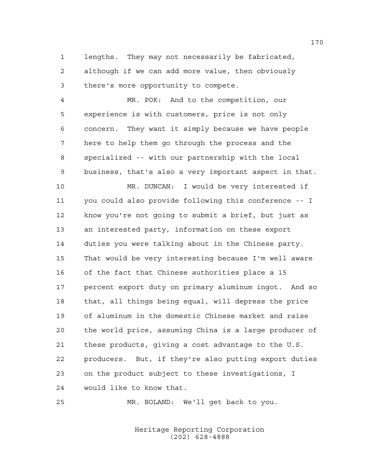lengths. They may not necessarily be fabricated, although if we can add more value, then obviously there's more opportunity to compete.

 MR. POK: And to the competition, our experience is with customers, price is not only concern. They want it simply because we have people here to help them go through the process and the specialized -- with our partnership with the local business, that's also a very important aspect in that.

 MR. DUNCAN: I would be very interested if you could also provide following this conference -- I know you're not going to submit a brief, but just as an interested party, information on these export duties you were talking about in the Chinese party. That would be very interesting because I'm well aware of the fact that Chinese authorities place a 15 percent export duty on primary aluminum ingot. And so that, all things being equal, will depress the price of aluminum in the domestic Chinese market and raise the world price, assuming China is a large producer of these products, giving a cost advantage to the U.S. producers. But, if they're also putting export duties on the product subject to these investigations, I would like to know that.

MR. BOLAND: We'll get back to you.

Heritage Reporting Corporation (202) 628-4888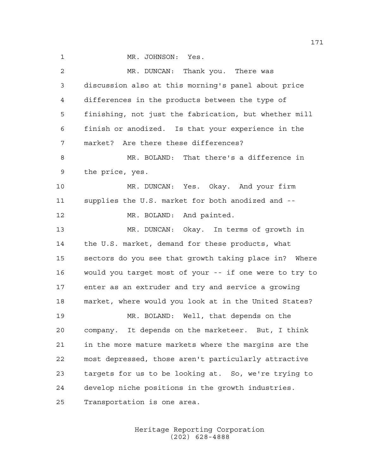1 MR. JOHNSON: Yes. MR. DUNCAN: Thank you. There was discussion also at this morning's panel about price differences in the products between the type of finishing, not just the fabrication, but whether mill finish or anodized. Is that your experience in the market? Are there these differences? MR. BOLAND: That there's a difference in the price, yes. MR. DUNCAN: Yes. Okay. And your firm supplies the U.S. market for both anodized and -- 12 MR. BOLAND: And painted. MR. DUNCAN: Okay. In terms of growth in the U.S. market, demand for these products, what sectors do you see that growth taking place in? Where would you target most of your -- if one were to try to enter as an extruder and try and service a growing market, where would you look at in the United States? MR. BOLAND: Well, that depends on the company. It depends on the marketeer. But, I think in the more mature markets where the margins are the most depressed, those aren't particularly attractive targets for us to be looking at. So, we're trying to develop niche positions in the growth industries. Transportation is one area.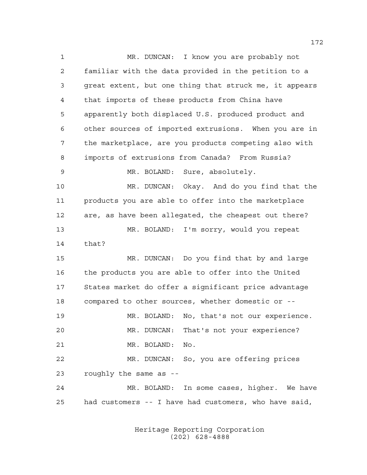MR. DUNCAN: I know you are probably not familiar with the data provided in the petition to a great extent, but one thing that struck me, it appears that imports of these products from China have apparently both displaced U.S. produced product and other sources of imported extrusions. When you are in the marketplace, are you products competing also with imports of extrusions from Canada? From Russia? MR. BOLAND: Sure, absolutely. MR. DUNCAN: Okay. And do you find that the products you are able to offer into the marketplace are, as have been allegated, the cheapest out there? MR. BOLAND: I'm sorry, would you repeat that? MR. DUNCAN: Do you find that by and large the products you are able to offer into the United States market do offer a significant price advantage compared to other sources, whether domestic or -- MR. BOLAND: No, that's not our experience. MR. DUNCAN: That's not your experience? MR. BOLAND: No. MR. DUNCAN: So, you are offering prices roughly the same as -- MR. BOLAND: In some cases, higher. We have had customers -- I have had customers, who have said,

> Heritage Reporting Corporation (202) 628-4888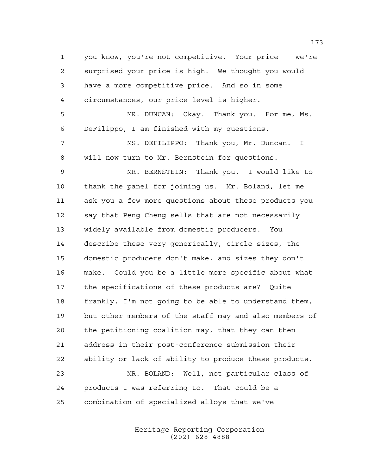you know, you're not competitive. Your price -- we're surprised your price is high. We thought you would have a more competitive price. And so in some circumstances, our price level is higher. MR. DUNCAN: Okay. Thank you. For me, Ms. DeFilippo, I am finished with my questions. MS. DEFILIPPO: Thank you, Mr. Duncan. I will now turn to Mr. Bernstein for questions. MR. BERNSTEIN: Thank you. I would like to thank the panel for joining us. Mr. Boland, let me ask you a few more questions about these products you say that Peng Cheng sells that are not necessarily widely available from domestic producers. You describe these very generically, circle sizes, the domestic producers don't make, and sizes they don't make. Could you be a little more specific about what the specifications of these products are? Quite frankly, I'm not going to be able to understand them, but other members of the staff may and also members of the petitioning coalition may, that they can then address in their post-conference submission their ability or lack of ability to produce these products. MR. BOLAND: Well, not particular class of products I was referring to. That could be a combination of specialized alloys that we've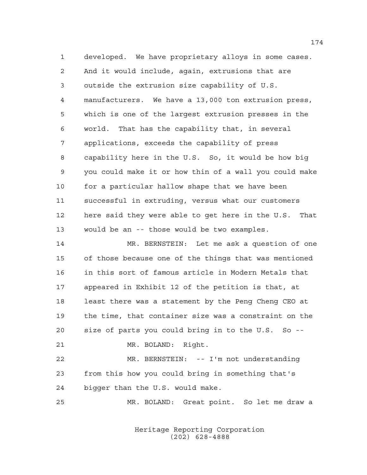developed. We have proprietary alloys in some cases. And it would include, again, extrusions that are outside the extrusion size capability of U.S. manufacturers. We have a 13,000 ton extrusion press, which is one of the largest extrusion presses in the world. That has the capability that, in several applications, exceeds the capability of press capability here in the U.S. So, it would be how big you could make it or how thin of a wall you could make for a particular hallow shape that we have been successful in extruding, versus what our customers here said they were able to get here in the U.S. That would be an -- those would be two examples.

 MR. BERNSTEIN: Let me ask a question of one of those because one of the things that was mentioned in this sort of famous article in Modern Metals that appeared in Exhibit 12 of the petition is that, at least there was a statement by the Peng Cheng CEO at the time, that container size was a constraint on the size of parts you could bring in to the U.S. So --

MR. BOLAND: Right.

 MR. BERNSTEIN: -- I'm not understanding from this how you could bring in something that's bigger than the U.S. would make.

MR. BOLAND: Great point. So let me draw a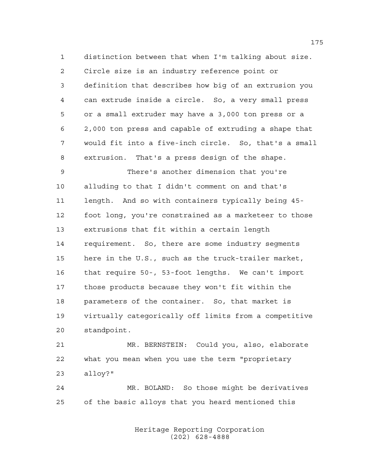distinction between that when I'm talking about size. Circle size is an industry reference point or definition that describes how big of an extrusion you can extrude inside a circle. So, a very small press or a small extruder may have a 3,000 ton press or a 2,000 ton press and capable of extruding a shape that would fit into a five-inch circle. So, that's a small extrusion. That's a press design of the shape.

 There's another dimension that you're alluding to that I didn't comment on and that's length. And so with containers typically being 45- foot long, you're constrained as a marketeer to those extrusions that fit within a certain length requirement. So, there are some industry segments here in the U.S., such as the truck-trailer market, that require 50-, 53-foot lengths. We can't import those products because they won't fit within the parameters of the container. So, that market is virtually categorically off limits from a competitive standpoint.

 MR. BERNSTEIN: Could you, also, elaborate what you mean when you use the term "proprietary alloy?"

 MR. BOLAND: So those might be derivatives of the basic alloys that you heard mentioned this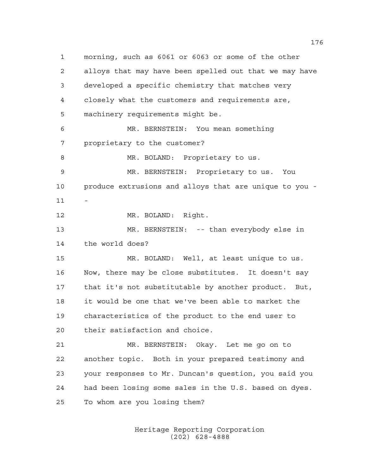morning, such as 6061 or 6063 or some of the other alloys that may have been spelled out that we may have developed a specific chemistry that matches very closely what the customers and requirements are, machinery requirements might be. MR. BERNSTEIN: You mean something proprietary to the customer? 8 MR. BOLAND: Proprietary to us. MR. BERNSTEIN: Proprietary to us. You produce extrusions and alloys that are unique to you - MR. BOLAND: Right. MR. BERNSTEIN: -- than everybody else in the world does? MR. BOLAND: Well, at least unique to us. Now, there may be close substitutes. It doesn't say that it's not substitutable by another product. But, it would be one that we've been able to market the characteristics of the product to the end user to their satisfaction and choice. MR. BERNSTEIN: Okay. Let me go on to another topic. Both in your prepared testimony and your responses to Mr. Duncan's question, you said you had been losing some sales in the U.S. based on dyes. To whom are you losing them?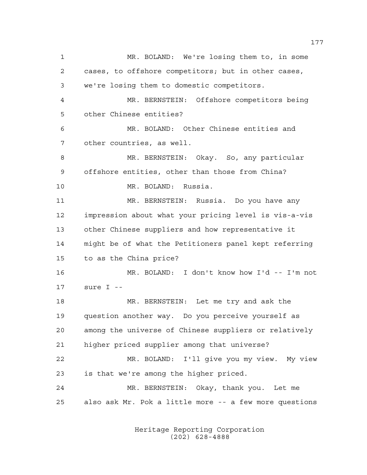MR. BOLAND: We're losing them to, in some cases, to offshore competitors; but in other cases, we're losing them to domestic competitors. MR. BERNSTEIN: Offshore competitors being other Chinese entities? MR. BOLAND: Other Chinese entities and other countries, as well. MR. BERNSTEIN: Okay. So, any particular offshore entities, other than those from China? MR. BOLAND: Russia. MR. BERNSTEIN: Russia. Do you have any impression about what your pricing level is vis-a-vis other Chinese suppliers and how representative it might be of what the Petitioners panel kept referring to as the China price? MR. BOLAND: I don't know how I'd -- I'm not sure I -- MR. BERNSTEIN: Let me try and ask the question another way. Do you perceive yourself as among the universe of Chinese suppliers or relatively higher priced supplier among that universe? MR. BOLAND: I'll give you my view. My view is that we're among the higher priced. MR. BERNSTEIN: Okay, thank you. Let me also ask Mr. Pok a little more -- a few more questions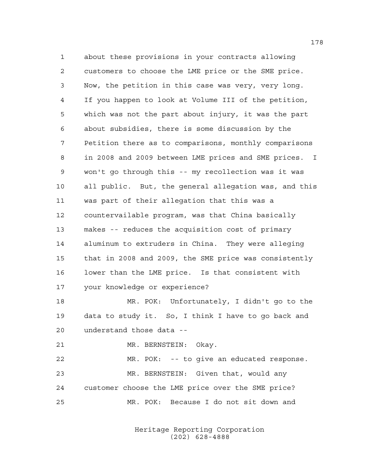about these provisions in your contracts allowing customers to choose the LME price or the SME price. Now, the petition in this case was very, very long. If you happen to look at Volume III of the petition, which was not the part about injury, it was the part about subsidies, there is some discussion by the Petition there as to comparisons, monthly comparisons in 2008 and 2009 between LME prices and SME prices. I won't go through this -- my recollection was it was all public. But, the general allegation was, and this was part of their allegation that this was a countervailable program, was that China basically makes -- reduces the acquisition cost of primary aluminum to extruders in China. They were alleging that in 2008 and 2009, the SME price was consistently lower than the LME price. Is that consistent with your knowledge or experience? MR. POK: Unfortunately, I didn't go to the data to study it. So, I think I have to go back and

understand those data --

MR. BERNSTEIN: Okay.

 MR. POK: -- to give an educated response. MR. BERNSTEIN: Given that, would any customer choose the LME price over the SME price? MR. POK: Because I do not sit down and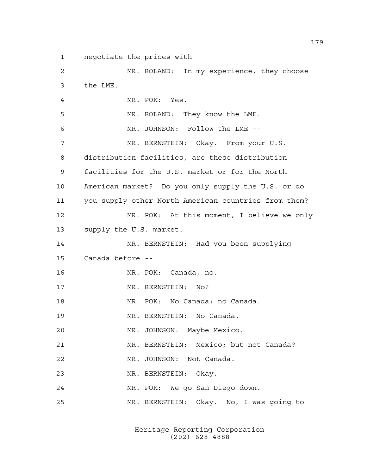negotiate the prices with --

 MR. BOLAND: In my experience, they choose the LME. MR. POK: Yes. MR. BOLAND: They know the LME. MR. JOHNSON: Follow the LME -- MR. BERNSTEIN: Okay. From your U.S. distribution facilities, are these distribution facilities for the U.S. market or for the North American market? Do you only supply the U.S. or do you supply other North American countries from them? MR. POK: At this moment, I believe we only supply the U.S. market. MR. BERNSTEIN: Had you been supplying Canada before -- MR. POK: Canada, no. 17 MR. BERNSTEIN: No? MR. POK: No Canada; no Canada. MR. BERNSTEIN: No Canada. MR. JOHNSON: Maybe Mexico. MR. BERNSTEIN: Mexico; but not Canada? MR. JOHNSON: Not Canada. MR. BERNSTEIN: Okay. MR. POK: We go San Diego down. MR. BERNSTEIN: Okay. No, I was going to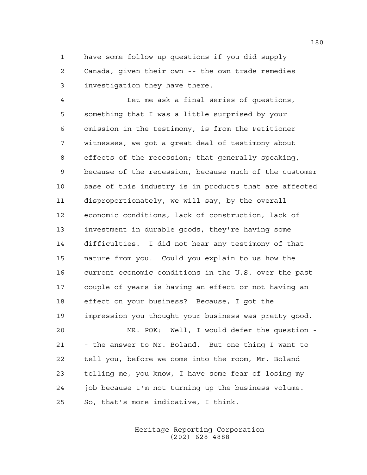have some follow-up questions if you did supply Canada, given their own -- the own trade remedies investigation they have there.

 Let me ask a final series of questions, something that I was a little surprised by your omission in the testimony, is from the Petitioner witnesses, we got a great deal of testimony about effects of the recession; that generally speaking, because of the recession, because much of the customer base of this industry is in products that are affected disproportionately, we will say, by the overall economic conditions, lack of construction, lack of investment in durable goods, they're having some difficulties. I did not hear any testimony of that nature from you. Could you explain to us how the current economic conditions in the U.S. over the past couple of years is having an effect or not having an effect on your business? Because, I got the impression you thought your business was pretty good.

 MR. POK: Well, I would defer the question - - the answer to Mr. Boland. But one thing I want to tell you, before we come into the room, Mr. Boland telling me, you know, I have some fear of losing my job because I'm not turning up the business volume. So, that's more indicative, I think.

> Heritage Reporting Corporation (202) 628-4888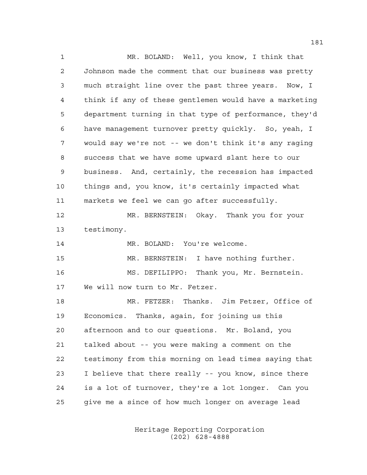MR. BOLAND: Well, you know, I think that Johnson made the comment that our business was pretty much straight line over the past three years. Now, I think if any of these gentlemen would have a marketing department turning in that type of performance, they'd have management turnover pretty quickly. So, yeah, I would say we're not -- we don't think it's any raging success that we have some upward slant here to our business. And, certainly, the recession has impacted things and, you know, it's certainly impacted what markets we feel we can go after successfully. MR. BERNSTEIN: Okay. Thank you for your testimony. MR. BOLAND: You're welcome. MR. BERNSTEIN: I have nothing further. MS. DEFILIPPO: Thank you, Mr. Bernstein. We will now turn to Mr. Fetzer. MR. FETZER: Thanks. Jim Fetzer, Office of Economics. Thanks, again, for joining us this afternoon and to our questions. Mr. Boland, you talked about -- you were making a comment on the testimony from this morning on lead times saying that I believe that there really -- you know, since there is a lot of turnover, they're a lot longer. Can you give me a since of how much longer on average lead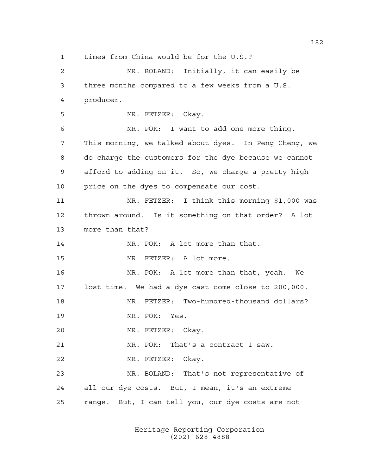times from China would be for the U.S.?

 MR. BOLAND: Initially, it can easily be three months compared to a few weeks from a U.S. producer. MR. FETZER: Okay. MR. POK: I want to add one more thing. This morning, we talked about dyes. In Peng Cheng, we do charge the customers for the dye because we cannot afford to adding on it. So, we charge a pretty high 10 price on the dyes to compensate our cost. MR. FETZER: I think this morning \$1,000 was thrown around. Is it something on that order? A lot more than that? MR. POK: A lot more than that. MR. FETZER: A lot more. MR. POK: A lot more than that, yeah. We lost time. We had a dye cast come close to 200,000. MR. FETZER: Two-hundred-thousand dollars? MR. POK: Yes. MR. FETZER: Okay. MR. POK: That's a contract I saw. MR. FETZER: Okay. MR. BOLAND: That's not representative of all our dye costs. But, I mean, it's an extreme range. But, I can tell you, our dye costs are not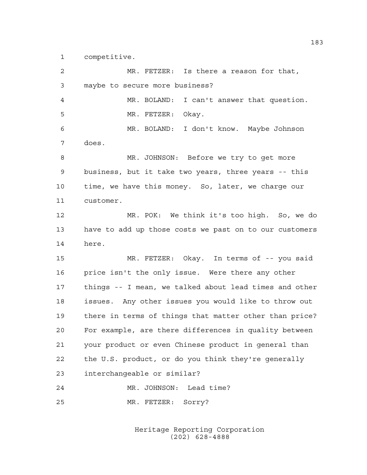competitive.

 MR. FETZER: Is there a reason for that, maybe to secure more business? MR. BOLAND: I can't answer that question. MR. FETZER: Okay. MR. BOLAND: I don't know. Maybe Johnson does. MR. JOHNSON: Before we try to get more business, but it take two years, three years -- this time, we have this money. So, later, we charge our customer. MR. POK: We think it's too high. So, we do have to add up those costs we past on to our customers here. MR. FETZER: Okay. In terms of -- you said price isn't the only issue. Were there any other things -- I mean, we talked about lead times and other issues. Any other issues you would like to throw out there in terms of things that matter other than price? For example, are there differences in quality between your product or even Chinese product in general than the U.S. product, or do you think they're generally interchangeable or similar? MR. JOHNSON: Lead time? MR. FETZER: Sorry?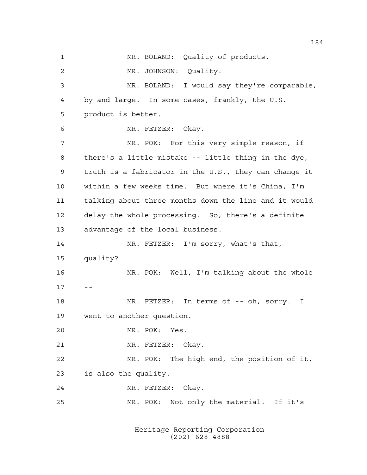MR. BOLAND: Quality of products. MR. JOHNSON: Quality. MR. BOLAND: I would say they're comparable, by and large. In some cases, frankly, the U.S. product is better. MR. FETZER: Okay. MR. POK: For this very simple reason, if there's a little mistake -- little thing in the dye, truth is a fabricator in the U.S., they can change it within a few weeks time. But where it's China, I'm talking about three months down the line and it would delay the whole processing. So, there's a definite advantage of the local business. 14 MR. FETZER: I'm sorry, what's that, quality? MR. POK: Well, I'm talking about the whole  $17 - -$  MR. FETZER: In terms of -- oh, sorry. I went to another question. MR. POK: Yes. MR. FETZER: Okay. MR. POK: The high end, the position of it, is also the quality. MR. FETZER: Okay. MR. POK: Not only the material. If it's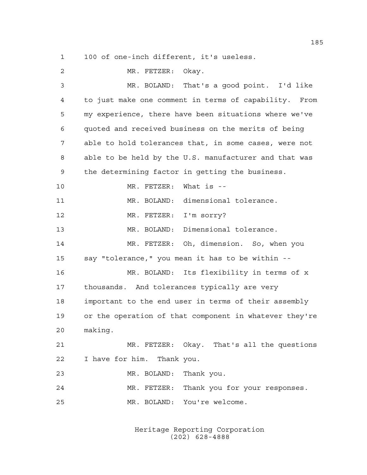100 of one-inch different, it's useless.

| $\overline{2}$ | MR. FETZER: Okay.                                      |
|----------------|--------------------------------------------------------|
| 3              | MR. BOLAND: That's a good point. I'd like              |
| 4              | to just make one comment in terms of capability. From  |
| 5              | my experience, there have been situations where we've  |
| 6              | quoted and received business on the merits of being    |
| 7              | able to hold tolerances that, in some cases, were not  |
| 8              | able to be held by the U.S. manufacturer and that was  |
| 9              | the determining factor in getting the business.        |
| 10             | MR. FETZER: What is --                                 |
| 11             | MR. BOLAND: dimensional tolerance.                     |
| 12             | MR. FETZER: I'm sorry?                                 |
| 13             | MR. BOLAND: Dimensional tolerance.                     |
| 14             | MR. FETZER: Oh, dimension. So, when you                |
| 15             | say "tolerance," you mean it has to be within --       |
| 16             | MR. BOLAND: Its flexibility in terms of x              |
| 17             | thousands. And tolerances typically are very           |
| 18             | important to the end user in terms of their assembly   |
| 19             | or the operation of that component in whatever they're |
| 20             | making.                                                |
| 21             | MR. FETZER: Okay. That's all the questions             |
| 22             | I have for him. Thank you.                             |
| 23             | MR. BOLAND: Thank you.                                 |
| 24             | MR. FETZER: Thank you for your responses.              |
| 25             | MR. BOLAND: You're welcome.                            |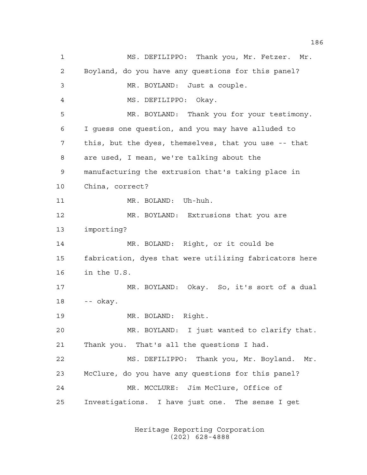MS. DEFILIPPO: Thank you, Mr. Fetzer. Mr. Boyland, do you have any questions for this panel? MR. BOYLAND: Just a couple. MS. DEFILIPPO: Okay. MR. BOYLAND: Thank you for your testimony. I guess one question, and you may have alluded to this, but the dyes, themselves, that you use -- that are used, I mean, we're talking about the manufacturing the extrusion that's taking place in China, correct? MR. BOLAND: Uh-huh. MR. BOYLAND: Extrusions that you are importing? MR. BOLAND: Right, or it could be fabrication, dyes that were utilizing fabricators here in the U.S. MR. BOYLAND: Okay. So, it's sort of a dual -- okay. MR. BOLAND: Right. MR. BOYLAND: I just wanted to clarify that. Thank you. That's all the questions I had. MS. DEFILIPPO: Thank you, Mr. Boyland. Mr. McClure, do you have any questions for this panel? MR. MCCLURE: Jim McClure, Office of Investigations. I have just one. The sense I get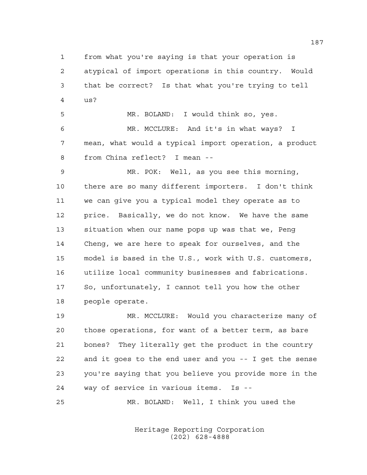from what you're saying is that your operation is atypical of import operations in this country. Would that be correct? Is that what you're trying to tell us?

 MR. BOLAND: I would think so, yes. MR. MCCLURE: And it's in what ways? I mean, what would a typical import operation, a product from China reflect? I mean --

 MR. POK: Well, as you see this morning, there are so many different importers. I don't think we can give you a typical model they operate as to price. Basically, we do not know. We have the same situation when our name pops up was that we, Peng Cheng, we are here to speak for ourselves, and the model is based in the U.S., work with U.S. customers, utilize local community businesses and fabrications. So, unfortunately, I cannot tell you how the other people operate.

 MR. MCCLURE: Would you characterize many of those operations, for want of a better term, as bare bones? They literally get the product in the country and it goes to the end user and you -- I get the sense you're saying that you believe you provide more in the way of service in various items. Is --

MR. BOLAND: Well, I think you used the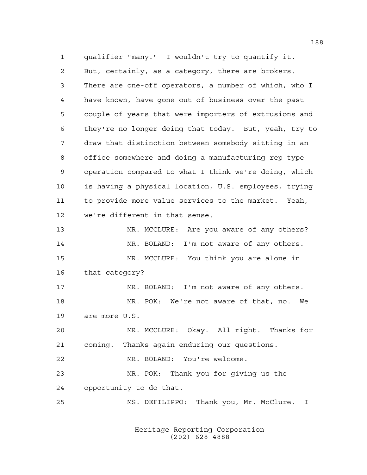qualifier "many." I wouldn't try to quantify it. But, certainly, as a category, there are brokers. There are one-off operators, a number of which, who I have known, have gone out of business over the past couple of years that were importers of extrusions and they're no longer doing that today. But, yeah, try to draw that distinction between somebody sitting in an office somewhere and doing a manufacturing rep type operation compared to what I think we're doing, which is having a physical location, U.S. employees, trying to provide more value services to the market. Yeah, we're different in that sense. MR. MCCLURE: Are you aware of any others? 14 MR. BOLAND: I'm not aware of any others. MR. MCCLURE: You think you are alone in that category? 17 MR. BOLAND: I'm not aware of any others. MR. POK: We're not aware of that, no. We are more U.S. MR. MCCLURE: Okay. All right. Thanks for coming. Thanks again enduring our questions. MR. BOLAND: You're welcome. MR. POK: Thank you for giving us the opportunity to do that. MS. DEFILIPPO: Thank you, Mr. McClure. I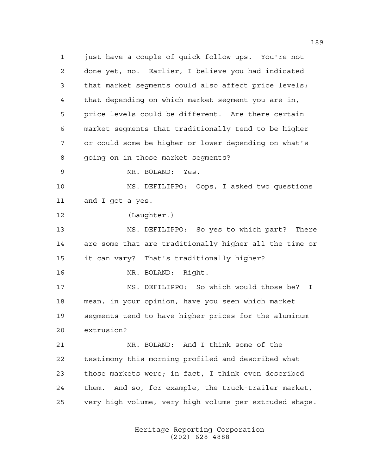just have a couple of quick follow-ups. You're not done yet, no. Earlier, I believe you had indicated that market segments could also affect price levels; that depending on which market segment you are in, price levels could be different. Are there certain market segments that traditionally tend to be higher or could some be higher or lower depending on what's going on in those market segments? MR. BOLAND: Yes. MS. DEFILIPPO: Oops, I asked two questions and I got a yes. (Laughter.) MS. DEFILIPPO: So yes to which part? There are some that are traditionally higher all the time or it can vary? That's traditionally higher? MR. BOLAND: Right. MS. DEFILIPPO: So which would those be? I mean, in your opinion, have you seen which market segments tend to have higher prices for the aluminum extrusion? MR. BOLAND: And I think some of the testimony this morning profiled and described what those markets were; in fact, I think even described them. And so, for example, the truck-trailer market, very high volume, very high volume per extruded shape.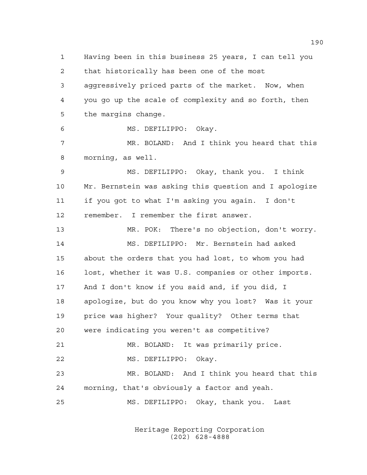Having been in this business 25 years, I can tell you that historically has been one of the most aggressively priced parts of the market. Now, when you go up the scale of complexity and so forth, then the margins change. MS. DEFILIPPO: Okay. MR. BOLAND: And I think you heard that this morning, as well. MS. DEFILIPPO: Okay, thank you. I think Mr. Bernstein was asking this question and I apologize if you got to what I'm asking you again. I don't remember. I remember the first answer. MR. POK: There's no objection, don't worry. MS. DEFILIPPO: Mr. Bernstein had asked about the orders that you had lost, to whom you had lost, whether it was U.S. companies or other imports. And I don't know if you said and, if you did, I apologize, but do you know why you lost? Was it your price was higher? Your quality? Other terms that were indicating you weren't as competitive? MR. BOLAND: It was primarily price. MS. DEFILIPPO: Okay. MR. BOLAND: And I think you heard that this morning, that's obviously a factor and yeah. MS. DEFILIPPO: Okay, thank you. Last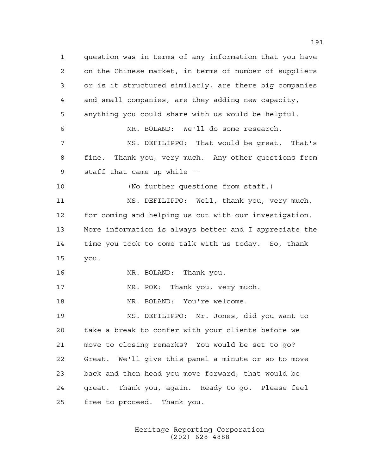question was in terms of any information that you have on the Chinese market, in terms of number of suppliers or is it structured similarly, are there big companies and small companies, are they adding new capacity, anything you could share with us would be helpful. MR. BOLAND: We'll do some research. MS. DEFILIPPO: That would be great. That's fine. Thank you, very much. Any other questions from staff that came up while -- (No further questions from staff.) MS. DEFILIPPO: Well, thank you, very much, for coming and helping us out with our investigation. More information is always better and I appreciate the time you took to come talk with us today. So, thank you. MR. BOLAND: Thank you. 17 MR. POK: Thank you, very much. MR. BOLAND: You're welcome. MS. DEFILIPPO: Mr. Jones, did you want to take a break to confer with your clients before we move to closing remarks? You would be set to go? Great. We'll give this panel a minute or so to move back and then head you move forward, that would be great. Thank you, again. Ready to go. Please feel free to proceed. Thank you.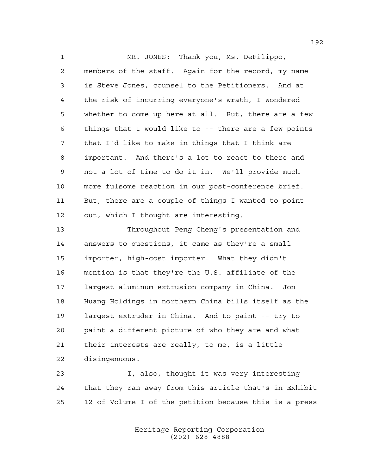MR. JONES: Thank you, Ms. DeFilippo, members of the staff. Again for the record, my name is Steve Jones, counsel to the Petitioners. And at the risk of incurring everyone's wrath, I wondered whether to come up here at all. But, there are a few things that I would like to -- there are a few points that I'd like to make in things that I think are important. And there's a lot to react to there and not a lot of time to do it in. We'll provide much more fulsome reaction in our post-conference brief. But, there are a couple of things I wanted to point out, which I thought are interesting.

 Throughout Peng Cheng's presentation and answers to questions, it came as they're a small importer, high-cost importer. What they didn't mention is that they're the U.S. affiliate of the largest aluminum extrusion company in China. Jon Huang Holdings in northern China bills itself as the largest extruder in China. And to paint -- try to paint a different picture of who they are and what their interests are really, to me, is a little disingenuous.

 I, also, thought it was very interesting that they ran away from this article that's in Exhibit 12 of Volume I of the petition because this is a press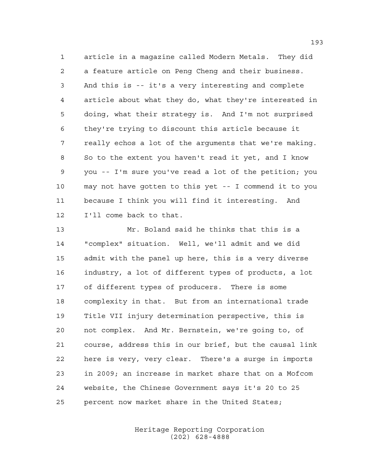article in a magazine called Modern Metals. They did a feature article on Peng Cheng and their business. And this is -- it's a very interesting and complete article about what they do, what they're interested in doing, what their strategy is. And I'm not surprised they're trying to discount this article because it really echos a lot of the arguments that we're making. So to the extent you haven't read it yet, and I know you -- I'm sure you've read a lot of the petition; you may not have gotten to this yet -- I commend it to you because I think you will find it interesting. And I'll come back to that.

 Mr. Boland said he thinks that this is a "complex" situation. Well, we'll admit and we did admit with the panel up here, this is a very diverse industry, a lot of different types of products, a lot of different types of producers. There is some complexity in that. But from an international trade Title VII injury determination perspective, this is not complex. And Mr. Bernstein, we're going to, of course, address this in our brief, but the causal link here is very, very clear. There's a surge in imports in 2009; an increase in market share that on a Mofcom website, the Chinese Government says it's 20 to 25 percent now market share in the United States;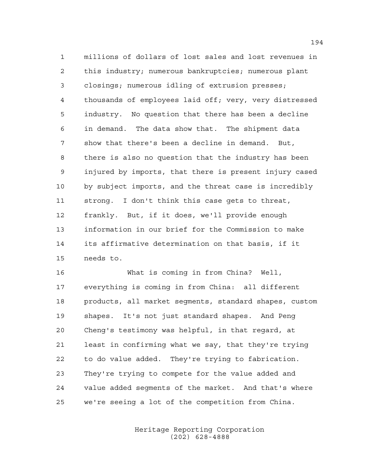millions of dollars of lost sales and lost revenues in this industry; numerous bankruptcies; numerous plant closings; numerous idling of extrusion presses; thousands of employees laid off; very, very distressed industry. No question that there has been a decline in demand. The data show that. The shipment data show that there's been a decline in demand. But, there is also no question that the industry has been injured by imports, that there is present injury cased by subject imports, and the threat case is incredibly strong. I don't think this case gets to threat, frankly. But, if it does, we'll provide enough information in our brief for the Commission to make its affirmative determination on that basis, if it needs to.

 What is coming in from China? Well, everything is coming in from China: all different products, all market segments, standard shapes, custom shapes. It's not just standard shapes. And Peng Cheng's testimony was helpful, in that regard, at least in confirming what we say, that they're trying to do value added. They're trying to fabrication. They're trying to compete for the value added and value added segments of the market. And that's where we're seeing a lot of the competition from China.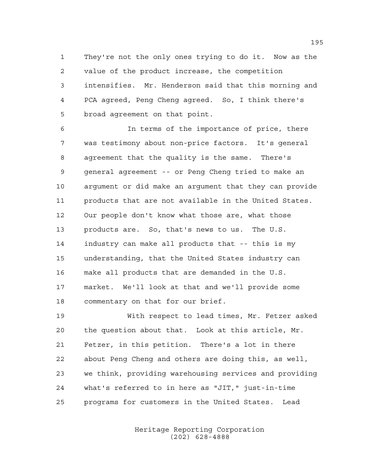They're not the only ones trying to do it. Now as the value of the product increase, the competition intensifies. Mr. Henderson said that this morning and PCA agreed, Peng Cheng agreed. So, I think there's broad agreement on that point.

 In terms of the importance of price, there was testimony about non-price factors. It's general agreement that the quality is the same. There's general agreement -- or Peng Cheng tried to make an argument or did make an argument that they can provide products that are not available in the United States. Our people don't know what those are, what those products are. So, that's news to us. The U.S. industry can make all products that -- this is my understanding, that the United States industry can make all products that are demanded in the U.S. market. We'll look at that and we'll provide some commentary on that for our brief.

 With respect to lead times, Mr. Fetzer asked the question about that. Look at this article, Mr. Fetzer, in this petition. There's a lot in there about Peng Cheng and others are doing this, as well, we think, providing warehousing services and providing what's referred to in here as "JIT," just-in-time programs for customers in the United States. Lead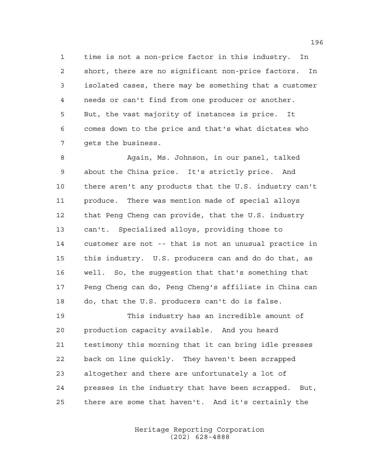time is not a non-price factor in this industry. In short, there are no significant non-price factors. In isolated cases, there may be something that a customer needs or can't find from one producer or another. But, the vast majority of instances is price. It comes down to the price and that's what dictates who gets the business.

 Again, Ms. Johnson, in our panel, talked about the China price. It's strictly price. And there aren't any products that the U.S. industry can't produce. There was mention made of special alloys that Peng Cheng can provide, that the U.S. industry can't. Specialized alloys, providing those to customer are not -- that is not an unusual practice in this industry. U.S. producers can and do do that, as well. So, the suggestion that that's something that Peng Cheng can do, Peng Cheng's affiliate in China can do, that the U.S. producers can't do is false.

 This industry has an incredible amount of production capacity available. And you heard testimony this morning that it can bring idle presses back on line quickly. They haven't been scrapped altogether and there are unfortunately a lot of presses in the industry that have been scrapped. But, there are some that haven't. And it's certainly the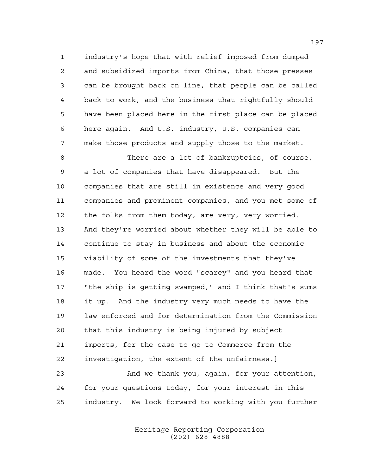industry's hope that with relief imposed from dumped and subsidized imports from China, that those presses can be brought back on line, that people can be called back to work, and the business that rightfully should have been placed here in the first place can be placed here again. And U.S. industry, U.S. companies can make those products and supply those to the market.

 There are a lot of bankruptcies, of course, a lot of companies that have disappeared. But the companies that are still in existence and very good companies and prominent companies, and you met some of the folks from them today, are very, very worried. And they're worried about whether they will be able to continue to stay in business and about the economic viability of some of the investments that they've made. You heard the word "scarey" and you heard that "the ship is getting swamped," and I think that's sums it up. And the industry very much needs to have the law enforced and for determination from the Commission that this industry is being injured by subject imports, for the case to go to Commerce from the investigation, the extent of the unfairness.]

 And we thank you, again, for your attention, for your questions today, for your interest in this industry. We look forward to working with you further

> Heritage Reporting Corporation (202) 628-4888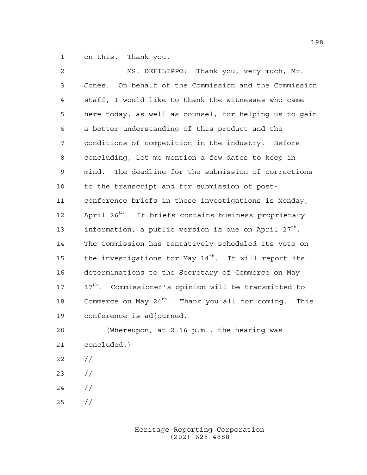on this. Thank you.

| $\mathbf{2}$ | MS. DEFILIPPO: Thank you, very much, Mr.                         |
|--------------|------------------------------------------------------------------|
| 3            | Jones. On behalf of the Commission and the Commission            |
| 4            | staff, I would like to thank the witnesses who came              |
| 5            | here today, as well as counsel, for helping us to gain           |
| 6            | a better understanding of this product and the                   |
| 7            | conditions of competition in the industry. Before                |
| 8            | concluding, let me mention a few dates to keep in                |
| 9            | mind. The deadline for the submission of corrections             |
| 10           | to the transcript and for submission of post-                    |
| 11           | conference briefs in these investigations is Monday,             |
| 12           | April 26 <sup>th</sup> . If briefs contains business proprietary |
| 13           | information, a public version is due on April $27th$ .           |
| 14           | The Commission has tentatively scheduled its vote on             |
| 15           | the investigations for May 14 <sup>th</sup> . It will report its |
| 16           | determinations to the Secretary of Commerce on May               |
| 17           | 17 <sup>th</sup> . Commissioner's opinion will be transmitted to |
| 18           | Commerce on May $24th$ . Thank you all for coming.<br>This       |
| 19           | conference is adjourned.                                         |
| 20           | (Whereupon, at 2:16 p.m., the hearing was                        |
| 21           | concluded.)                                                      |
| 22           | $\frac{1}{2}$                                                    |
|              |                                                                  |

- //
- //
- //